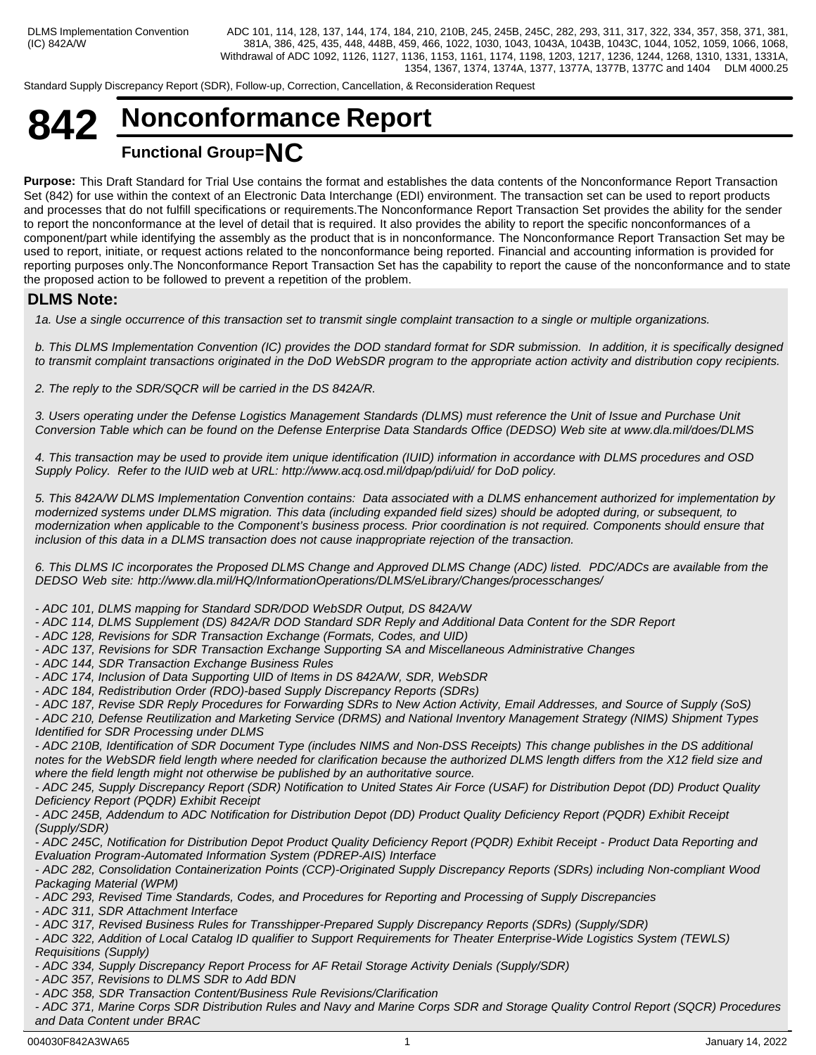Standard Supply Discrepancy Report (SDR), Follow-up, Correction, Cancellation, & Reconsideration Request

# **842 Nonconformance Report Functional Group=NC**

**Purpose:** This Draft Standard for Trial Use contains the format and establishes the data contents of the Nonconformance Report Transaction Set (842) for use within the context of an Electronic Data Interchange (EDI) environment. The transaction set can be used to report products and processes that do not fulfill specifications or requirements.The Nonconformance Report Transaction Set provides the ability for the sender to report the nonconformance at the level of detail that is required. It also provides the ability to report the specific nonconformances of a component/part while identifying the assembly as the product that is in nonconformance. The Nonconformance Report Transaction Set may be used to report, initiate, or request actions related to the nonconformance being reported. Financial and accounting information is provided for reporting purposes only.The Nonconformance Report Transaction Set has the capability to report the cause of the nonconformance and to state the proposed action to be followed to prevent a repetition of the problem.

# **DLMS Note:**

*1a. Use a single occurrence of this transaction set to transmit single complaint transaction to a single or multiple organizations.* 

*b. This DLMS Implementation Convention (IC) provides the DOD standard format for SDR submission. In addition, it is specifically designed to transmit complaint transactions originated in the DoD WebSDR program to the appropriate action activity and distribution copy recipients.*

*2. The reply to the SDR/SQCR will be carried in the DS 842A/R.*

*3. Users operating under the Defense Logistics Management Standards (DLMS) must reference the Unit of Issue and Purchase Unit Conversion Table which can be found on the Defense Enterprise Data Standards Office (DEDSO) Web site at www.dla.mil/does/DLMS*

*4. This transaction may be used to provide item unique identification (IUID) information in accordance with DLMS procedures and OSD Supply Policy. Refer to the IUID web at URL: http://www.acq.osd.mil/dpap/pdi/uid/ for DoD policy.*

*5. This 842A/W DLMS Implementation Convention contains: Data associated with a DLMS enhancement authorized for implementation by modernized systems under DLMS migration. This data (including expanded field sizes) should be adopted during, or subsequent, to modernization when applicable to the Component's business process. Prior coordination is not required. Components should ensure that inclusion of this data in a DLMS transaction does not cause inappropriate rejection of the transaction.*

*6. This DLMS IC incorporates the Proposed DLMS Change and Approved DLMS Change (ADC) listed. PDC/ADCs are available from the DEDSO Web site: http://www.dla.mil/HQ/InformationOperations/DLMS/eLibrary/Changes/processchanges/*

- *ADC 101, DLMS mapping for Standard SDR/DOD WebSDR Output, DS 842A/W*
- *ADC 114, DLMS Supplement (DS) 842A/R DOD Standard SDR Reply and Additional Data Content for the SDR Report*
- *ADC 128, Revisions for SDR Transaction Exchange (Formats, Codes, and UID)*
- *ADC 137, Revisions for SDR Transaction Exchange Supporting SA and Miscellaneous Administrative Changes*
- *ADC 144, SDR Transaction Exchange Business Rules*
- *ADC 174, Inclusion of Data Supporting UID of Items in DS 842A/W, SDR, WebSDR*
- *ADC 184, Redistribution Order (RDO)-based Supply Discrepancy Reports (SDRs)*
- *ADC 187, Revise SDR Reply Procedures for Forwarding SDRs to New Action Activity, Email Addresses, and Source of Supply (SoS)*

*- ADC 210, Defense Reutilization and Marketing Service (DRMS) and National Inventory Management Strategy (NIMS) Shipment Types Identified for SDR Processing under DLMS*

*- ADC 210B, Identification of SDR Document Type (includes NIMS and Non-DSS Receipts) This change publishes in the DS additional notes for the WebSDR field length where needed for clarification because the authorized DLMS length differs from the X12 field size and where the field length might not otherwise be published by an authoritative source.*

*- ADC 245, Supply Discrepancy Report (SDR) Notification to United States Air Force (USAF) for Distribution Depot (DD) Product Quality Deficiency Report (PQDR) Exhibit Receipt*

*- ADC 245B, Addendum to ADC Notification for Distribution Depot (DD) Product Quality Deficiency Report (PQDR) Exhibit Receipt (Supply/SDR)*

*- ADC 245C, Notification for Distribution Depot Product Quality Deficiency Report (PQDR) Exhibit Receipt - Product Data Reporting and Evaluation Program-Automated Information System (PDREP-AIS) Interface* 

*- ADC 282, Consolidation Containerization Points (CCP)-Originated Supply Discrepancy Reports (SDRs) including Non-compliant Wood Packaging Material (WPM)*

*- ADC 293, Revised Time Standards, Codes, and Procedures for Reporting and Processing of Supply Discrepancies*

*- ADC 311, SDR Attachment Interface*

*- ADC 317, Revised Business Rules for Transshipper-Prepared Supply Discrepancy Reports (SDRs) (Supply/SDR)*

*- ADC 322, Addition of Local Catalog ID qualifier to Support Requirements for Theater Enterprise-Wide Logistics System (TEWLS) Requisitions (Supply)*

*- ADC 334, Supply Discrepancy Report Process for AF Retail Storage Activity Denials (Supply/SDR)*

*- ADC 357, Revisions to DLMS SDR to Add BDN*

*- ADC 358, SDR Transaction Content/Business Rule Revisions/Clarification*

*- ADC 371, Marine Corps SDR Distribution Rules and Navy and Marine Corps SDR and Storage Quality Control Report (SQCR) Procedures and Data Content under BRAC*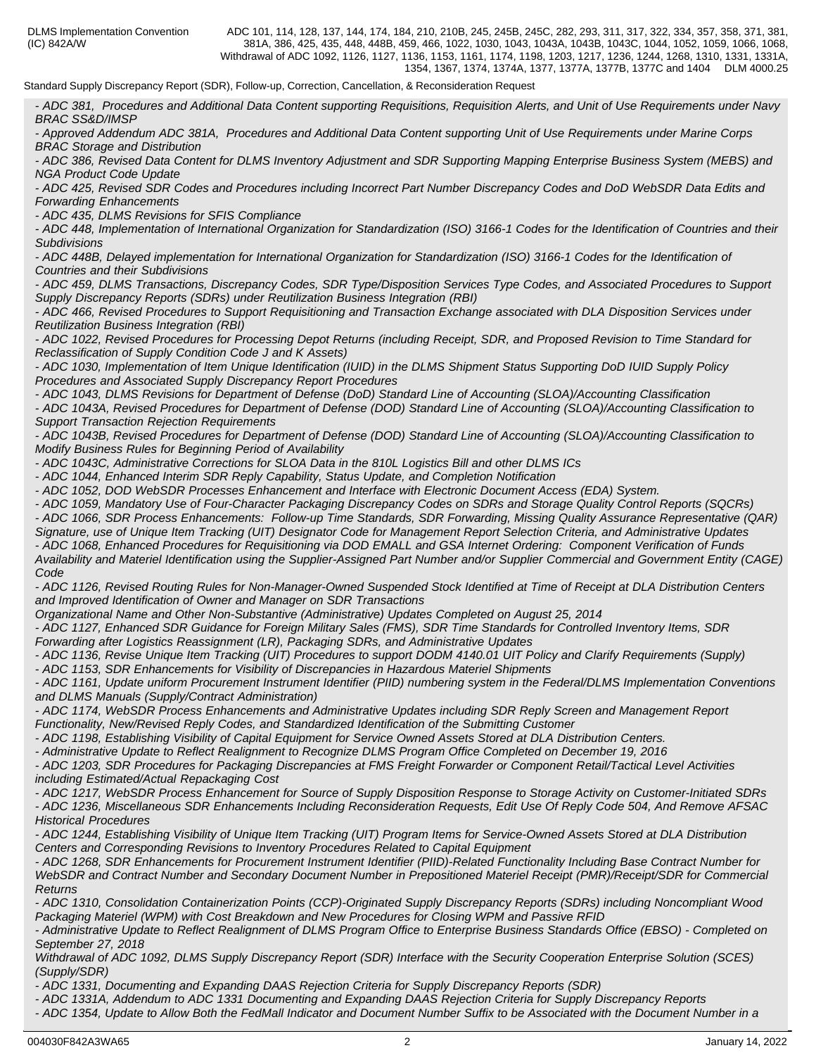Standard Supply Discrepancy Report (SDR), Follow-up, Correction, Cancellation, & Reconsideration Request

*- ADC 381, Procedures and Additional Data Content supporting Requisitions, Requisition Alerts, and Unit of Use Requirements under Navy BRAC SS&D/IMSP*

*- Approved Addendum ADC 381A, Procedures and Additional Data Content supporting Unit of Use Requirements under Marine Corps BRAC Storage and Distribution*

*- ADC 386, Revised Data Content for DLMS Inventory Adjustment and SDR Supporting Mapping Enterprise Business System (MEBS) and NGA Product Code Update*

*- ADC 425, Revised SDR Codes and Procedures including Incorrect Part Number Discrepancy Codes and DoD WebSDR Data Edits and Forwarding Enhancements*

*- ADC 435, DLMS Revisions for SFIS Compliance*

*- ADC 448, Implementation of International Organization for Standardization (ISO) 3166-1 Codes for the Identification of Countries and their Subdivisions*

*- ADC 448B, Delayed implementation for International Organization for Standardization (ISO) 3166-1 Codes for the Identification of Countries and their Subdivisions*

*- ADC 459, DLMS Transactions, Discrepancy Codes, SDR Type/Disposition Services Type Codes, and Associated Procedures to Support Supply Discrepancy Reports (SDRs) under Reutilization Business Integration (RBI)*

*- ADC 466, Revised Procedures to Support Requisitioning and Transaction Exchange associated with DLA Disposition Services under Reutilization Business Integration (RBI)*

*- ADC 1022, Revised Procedures for Processing Depot Returns (including Receipt, SDR, and Proposed Revision to Time Standard for Reclassification of Supply Condition Code J and K Assets)*

*- ADC 1030, Implementation of Item Unique Identification (IUID) in the DLMS Shipment Status Supporting DoD IUID Supply Policy Procedures and Associated Supply Discrepancy Report Procedures*

*- ADC 1043, DLMS Revisions for Department of Defense (DoD) Standard Line of Accounting (SLOA)/Accounting Classification*

*- ADC 1043A, Revised Procedures for Department of Defense (DOD) Standard Line of Accounting (SLOA)/Accounting Classification to Support Transaction Rejection Requirements*

*- ADC 1043B, Revised Procedures for Department of Defense (DOD) Standard Line of Accounting (SLOA)/Accounting Classification to Modify Business Rules for Beginning Period of Availability*

*- ADC 1043C, Administrative Corrections for SLOA Data in the 810L Logistics Bill and other DLMS ICs*

*- ADC 1044, Enhanced Interim SDR Reply Capability, Status Update, and Completion Notification*

*- ADC 1052, DOD WebSDR Processes Enhancement and Interface with Electronic Document Access (EDA) System.* 

*- ADC 1059, Mandatory Use of Four-Character Packaging Discrepancy Codes on SDRs and Storage Quality Control Reports (SQCRs)*

*- ADC 1066, SDR Process Enhancements: Follow-up Time Standards, SDR Forwarding, Missing Quality Assurance Representative (QAR)*

*Signature, use of Unique Item Tracking (UIT) Designator Code for Management Report Selection Criteria, and Administrative Updates - ADC 1068, Enhanced Procedures for Requisitioning via DOD EMALL and GSA Internet Ordering: Component Verification of Funds Availability and Materiel Identification using the Supplier-Assigned Part Number and/or Supplier Commercial and Government Entity (CAGE)*

*Code*

*- ADC 1126, Revised Routing Rules for Non-Manager-Owned Suspended Stock Identified at Time of Receipt at DLA Distribution Centers and Improved Identification of Owner and Manager on SDR Transactions*

*Organizational Name and Other Non-Substantive (Administrative) Updates Completed on August 25, 2014*

*- ADC 1127, Enhanced SDR Guidance for Foreign Military Sales (FMS), SDR Time Standards for Controlled Inventory Items, SDR Forwarding after Logistics Reassignment (LR), Packaging SDRs, and Administrative Updates*

*- ADC 1136, Revise Unique Item Tracking (UIT) Procedures to support DODM 4140.01 UIT Policy and Clarify Requirements (Supply) - ADC 1153, SDR Enhancements for Visibility of Discrepancies in Hazardous Materiel Shipments*

*- ADC 1161, Update uniform Procurement Instrument Identifier (PIID) numbering system in the Federal/DLMS Implementation Conventions*

*and DLMS Manuals (Supply/Contract Administration) - ADC 1174, WebSDR Process Enhancements and Administrative Updates including SDR Reply Screen and Management Report*

*Functionality, New/Revised Reply Codes, and Standardized Identification of the Submitting Customer*

*- ADC 1198, Establishing Visibility of Capital Equipment for Service Owned Assets Stored at DLA Distribution Centers.*

*- Administrative Update to Reflect Realignment to Recognize DLMS Program Office Completed on December 19, 2016*

*- ADC 1203, SDR Procedures for Packaging Discrepancies at FMS Freight Forwarder or Component Retail/Tactical Level Activities including Estimated/Actual Repackaging Cost*

*- ADC 1217, WebSDR Process Enhancement for Source of Supply Disposition Response to Storage Activity on Customer-Initiated SDRs*

*- ADC 1236, Miscellaneous SDR Enhancements Including Reconsideration Requests, Edit Use Of Reply Code 504, And Remove AFSAC Historical Procedures*

*- ADC 1244, Establishing Visibility of Unique Item Tracking (UIT) Program Items for Service-Owned Assets Stored at DLA Distribution Centers and Corresponding Revisions to Inventory Procedures Related to Capital Equipment*

*- ADC 1268, SDR Enhancements for Procurement Instrument Identifier (PIID)-Related Functionality Including Base Contract Number for WebSDR and Contract Number and Secondary Document Number in Prepositioned Materiel Receipt (PMR)/Receipt/SDR for Commercial Returns*

*- ADC 1310, Consolidation Containerization Points (CCP)-Originated Supply Discrepancy Reports (SDRs) including Noncompliant Wood Packaging Materiel (WPM) with Cost Breakdown and New Procedures for Closing WPM and Passive RFID*

*- Administrative Update to Reflect Realignment of DLMS Program Office to Enterprise Business Standards Office (EBSO) - Completed on September 27, 2018*

*Withdrawal of ADC 1092, DLMS Supply Discrepancy Report (SDR) Interface with the Security Cooperation Enterprise Solution (SCES) (Supply/SDR)*

*- ADC 1331, Documenting and Expanding DAAS Rejection Criteria for Supply Discrepancy Reports (SDR)*

*- ADC 1331A, Addendum to ADC 1331 Documenting and Expanding DAAS Rejection Criteria for Supply Discrepancy Reports* 

*- ADC 1354, Update to Allow Both the FedMall Indicator and Document Number Suffix to be Associated with the Document Number in a*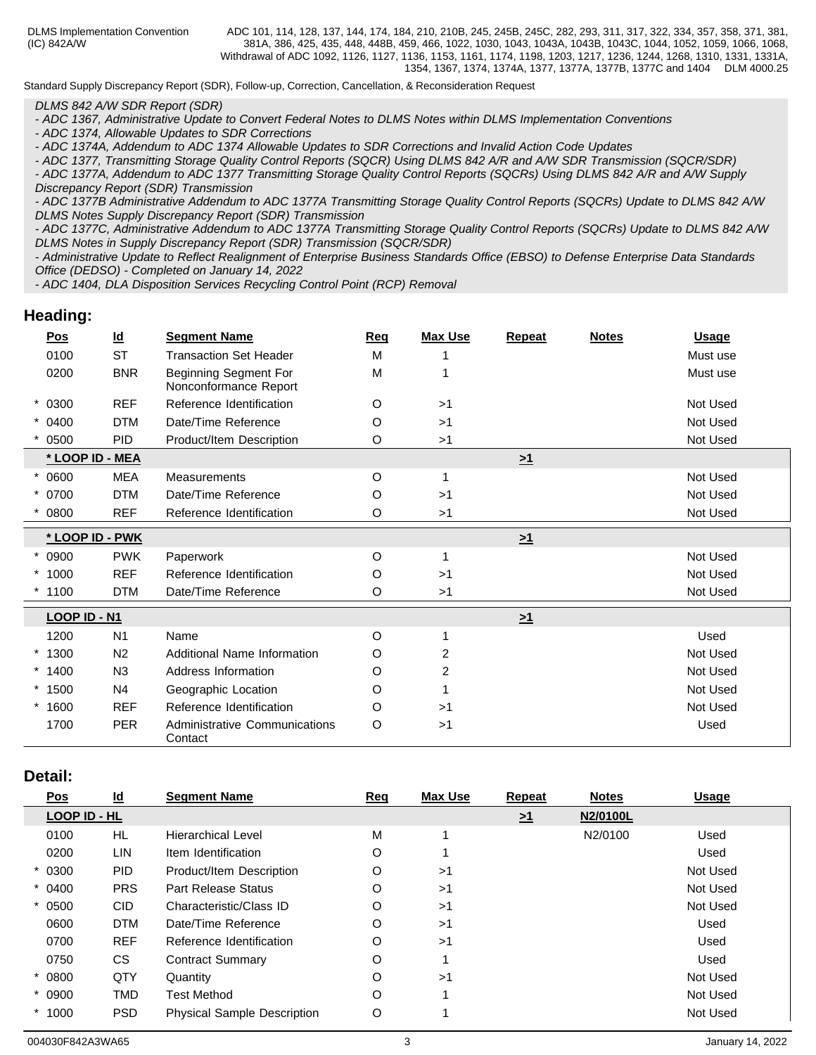Standard Supply Discrepancy Report (SDR), Follow-up, Correction, Cancellation, & Reconsideration Request

*DLMS 842 A/W SDR Report (SDR)*

*- ADC 1367, Administrative Update to Convert Federal Notes to DLMS Notes within DLMS Implementation Conventions* 

*- ADC 1374, Allowable Updates to SDR Corrections*

*- ADC 1374A, Addendum to ADC 1374 Allowable Updates to SDR Corrections and Invalid Action Code Updates*

*- ADC 1377, Transmitting Storage Quality Control Reports (SQCR) Using DLMS 842 A/R and A/W SDR Transmission (SQCR/SDR)*

*- ADC 1377A, Addendum to ADC 1377 Transmitting Storage Quality Control Reports (SQCRs) Using DLMS 842 A/R and A/W Supply Discrepancy Report (SDR) Transmission*

*- ADC 1377B Administrative Addendum to ADC 1377A Transmitting Storage Quality Control Reports (SQCRs) Update to DLMS 842 A/W DLMS Notes Supply Discrepancy Report (SDR) Transmission*

*- ADC 1377C, Administrative Addendum to ADC 1377A Transmitting Storage Quality Control Reports (SQCRs) Update to DLMS 842 A/W DLMS Notes in Supply Discrepancy Report (SDR) Transmission (SQCR/SDR)*

*- Administrative Update to Reflect Realignment of Enterprise Business Standards Office (EBSO) to Defense Enterprise Data Standards Office (DEDSO) - Completed on January 14, 2022*

*- ADC 1404, DLA Disposition Services Recycling Control Point (RCP) Removal*

### **Heading:**

| <u>Pos</u>   | $\underline{\mathsf{Id}}$ | <b>Segment Name</b>                                   | Req | <b>Max Use</b> | Repeat   | <b>Notes</b> | <b>Usage</b> |
|--------------|---------------------------|-------------------------------------------------------|-----|----------------|----------|--------------|--------------|
| 0100         | <b>ST</b>                 | <b>Transaction Set Header</b>                         | М   |                |          |              | Must use     |
| 0200         | <b>BNR</b>                | <b>Beginning Segment For</b><br>Nonconformance Report | Μ   |                |          |              | Must use     |
| $* 0300$     | <b>REF</b>                | Reference Identification                              | O   | >1             |          |              | Not Used     |
| $* 0400$     | <b>DTM</b>                | Date/Time Reference                                   | O   | >1             |          |              | Not Used     |
| 0500         | <b>PID</b>                | Product/Item Description                              | O   | >1             |          |              | Not Used     |
|              | * LOOP ID - MEA           |                                                       |     |                | $\geq 1$ |              |              |
| $* 0600$     | <b>MEA</b>                | Measurements                                          | O   |                |          |              | Not Used     |
| * 0700       | <b>DTM</b>                | Date/Time Reference                                   | O   | >1             |          |              | Not Used     |
| 0800         | <b>REF</b>                | Reference Identification                              | O   | >1             |          |              | Not Used     |
|              | * LOOP ID - PWK           |                                                       |     |                | $\geq 1$ |              |              |
| * 0900       | <b>PWK</b>                | Paperwork                                             | O   |                |          |              | Not Used     |
| $*1000$      | <b>REF</b>                | Reference Identification                              | O   | >1             |          |              | Not Used     |
| 1100         | <b>DTM</b>                | Date/Time Reference                                   | O   | >1             |          |              | Not Used     |
| LOOP ID - N1 |                           |                                                       |     |                | $\geq 1$ |              |              |
| 1200         | N <sub>1</sub>            | Name                                                  | O   |                |          |              | Used         |
| $*1300$      | N <sub>2</sub>            | <b>Additional Name Information</b>                    | O   | 2              |          |              | Not Used     |
| $*1400$      | N3                        | Address Information                                   | O   | $\overline{c}$ |          |              | Not Used     |
| $*1500$      | N <sub>4</sub>            | Geographic Location                                   | O   |                |          |              | Not Used     |
| $*1600$      | <b>REF</b>                | Reference Identification                              | O   | >1             |          |              | Not Used     |
| 1700         | <b>PER</b>                | Administrative Communications<br>Contact              | O   | >1             |          |              | Used         |

### **Detail:**

| $\underline{\mathsf{Pos}}$ | $\underline{\mathsf{Id}}$ | <b>Segment Name</b>                | <b>Req</b> | <b>Max Use</b> | <b>Repeat</b> | <b>Notes</b> | <b>Usage</b> |
|----------------------------|---------------------------|------------------------------------|------------|----------------|---------------|--------------|--------------|
| LOOP ID - HL               |                           |                                    |            |                | $\geq 1$      | N2/0100L     |              |
| 0100                       | <b>HL</b>                 | <b>Hierarchical Level</b>          | M          |                |               | N2/0100      | Used         |
| 0200                       | LIN                       | Item Identification                | O          |                |               |              | Used         |
| $* 0300$                   | <b>PID</b>                | Product/Item Description           | O          | >1             |               |              | Not Used     |
| $* 0400$                   | <b>PRS</b>                | <b>Part Release Status</b>         | O          | >1             |               |              | Not Used     |
| $* 0500$                   | <b>CID</b>                | Characteristic/Class ID            | O          | >1             |               |              | Not Used     |
| 0600                       | <b>DTM</b>                | Date/Time Reference                | O          | >1             |               |              | Used         |
| 0700                       | <b>REF</b>                | Reference Identification           | O          | >1             |               |              | Used         |
| 0750                       | <b>CS</b>                 | <b>Contract Summary</b>            | O          |                |               |              | Used         |
| $* 0800$                   | QTY                       | Quantity                           | O          | >1             |               |              | Not Used     |
| $* 0900$                   | <b>TMD</b>                | <b>Test Method</b>                 | O          |                |               |              | Not Used     |
| $*1000$                    | <b>PSD</b>                | <b>Physical Sample Description</b> | O          |                |               |              | Not Used     |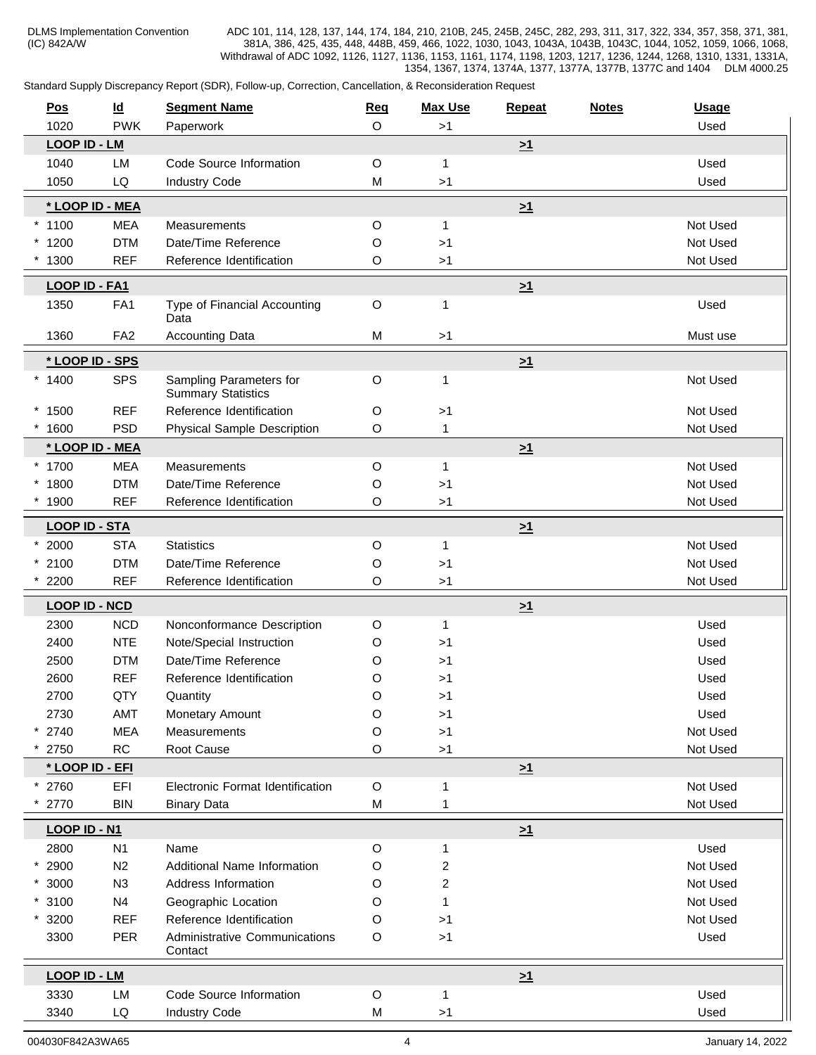Standard Supply Discrepancy Report (SDR), Follow-up, Correction, Cancellation, & Reconsideration Request

| <u>Pos</u>           | $\underline{\mathsf{Id}}$ | <b>Segment Name</b>                                  | <b>Req</b>       | <b>Max Use</b> | <b>Repeat</b> | <b>Notes</b> | <b>Usage</b>     |
|----------------------|---------------------------|------------------------------------------------------|------------------|----------------|---------------|--------------|------------------|
| 1020                 | <b>PWK</b>                | Paperwork                                            | $\circ$          | $>1$           |               |              | Used             |
| <b>LOOP ID - LM</b>  |                           |                                                      |                  |                | $\geq 1$      |              |                  |
| 1040                 | LM                        | Code Source Information                              | O                | 1              |               |              | Used             |
| 1050                 | LQ                        | <b>Industry Code</b>                                 | M                | $>1$           |               |              | Used             |
| * LOOP ID - MEA      |                           |                                                      |                  |                | $\geq 1$      |              |                  |
| $*1100$              | <b>MEA</b>                | Measurements                                         | O                | $\mathbf{1}$   |               |              | Not Used         |
| $*1200$              | <b>DTM</b>                | Date/Time Reference                                  | O                | >1             |               |              | Not Used         |
| $*1300$              | <b>REF</b>                | Reference Identification                             | O                | >1             |               |              | Not Used         |
|                      |                           |                                                      |                  |                |               |              |                  |
| LOOP ID - FA1        |                           |                                                      |                  |                | $\geq 1$      |              |                  |
| 1350                 | FA <sub>1</sub>           | Type of Financial Accounting<br>Data                 | $\mathsf O$      | 1              |               |              | Used             |
| 1360                 | FA <sub>2</sub>           | <b>Accounting Data</b>                               | M                | >1             |               |              | Must use         |
|                      |                           |                                                      |                  |                |               |              |                  |
| * LOOP ID - SPS      |                           |                                                      |                  |                | $\geq 1$      |              |                  |
| $*1400$              | <b>SPS</b>                | Sampling Parameters for<br><b>Summary Statistics</b> | O                | 1              |               |              | Not Used         |
| $*1500$              | <b>REF</b>                | Reference Identification                             | O                | >1             |               |              | Not Used         |
| $*1600$              | <b>PSD</b>                | <b>Physical Sample Description</b>                   | O                | 1              |               |              | Not Used         |
| * LOOP ID - MEA      |                           |                                                      |                  |                | $\geq 1$      |              |                  |
| $*1700$              | <b>MEA</b>                | Measurements                                         | O                | 1              |               |              | Not Used         |
| $*1800$              | <b>DTM</b>                | Date/Time Reference                                  | O                | >1             |               |              | Not Used         |
| $*1900$              | <b>REF</b>                | Reference Identification                             | O                | >1             |               |              | Not Used         |
|                      |                           |                                                      |                  |                |               |              |                  |
| <b>LOOP ID - STA</b> |                           |                                                      |                  |                | $\geq 1$      |              | Not Used         |
| $*2000$<br>$*2100$   | <b>STA</b><br><b>DTM</b>  | <b>Statistics</b><br>Date/Time Reference             | O                | 1              |               |              | Not Used         |
| 2200                 | <b>REF</b>                | Reference Identification                             | O<br>O           | >1<br>$>1$     |               |              | Not Used         |
|                      |                           |                                                      |                  |                |               |              |                  |
| <b>LOOP ID - NCD</b> |                           |                                                      |                  |                | $\geq 1$      |              |                  |
| 2300                 | <b>NCD</b>                | Nonconformance Description                           | O                | 1              |               |              | Used             |
| 2400                 | <b>NTE</b>                | Note/Special Instruction                             | O                | >1             |               |              | Used             |
| 2500                 | <b>DTM</b>                | Date/Time Reference                                  | O                | >1             |               |              | Used             |
| 2600                 | <b>REF</b>                | Reference Identification                             | O                | >1             |               |              | Used             |
| 2700                 | QTY                       | Quantity                                             | O                | >1             |               |              | Used             |
| 2730                 | AMT                       | Monetary Amount                                      | O                | >1             |               |              | Used<br>Not Used |
| $* 2740$<br>2750     | <b>MEA</b><br>RC          | Measurements<br>Root Cause                           | O                | >1<br>$>1$     |               |              | Not Used         |
| * LOOP ID - EFI      |                           |                                                      | O                |                |               |              |                  |
| $* 2760$             |                           | Electronic Format Identification                     |                  |                | $\geq 1$      |              | Not Used         |
| 2770                 | EFI<br><b>BIN</b>         | <b>Binary Data</b>                                   | $\mathsf O$<br>M | 1<br>1         |               |              | Not Used         |
|                      |                           |                                                      |                  |                |               |              |                  |
| LOOP ID - N1         |                           |                                                      |                  |                | $\geq 1$      |              |                  |
| 2800                 | N1                        | Name                                                 | O                | 1              |               |              | Used             |
| $*2900$              | N <sub>2</sub>            | Additional Name Information                          | O                | 2              |               |              | Not Used         |
| $*3000$              | N3                        | Address Information                                  | O                | 2              |               |              | Not Used         |
| $*3100$              | N <sub>4</sub>            | Geographic Location                                  | O                |                |               |              | Not Used         |
| 3200                 | <b>REF</b>                | Reference Identification                             | O                | >1             |               |              | Not Used         |
| 3300                 | PER                       | Administrative Communications<br>Contact             | O                | $>1$           |               |              | Used             |
| <b>LOOP ID - LM</b>  |                           |                                                      |                  |                | $\geq 1$      |              |                  |
| 3330                 | LM                        | Code Source Information                              | O                | 1              |               |              | Used             |
| 3340                 | LQ                        | <b>Industry Code</b>                                 | М                | >1             |               |              | Used             |
|                      |                           |                                                      |                  |                |               |              |                  |

004030F842A3WA65 4 January 14, 2022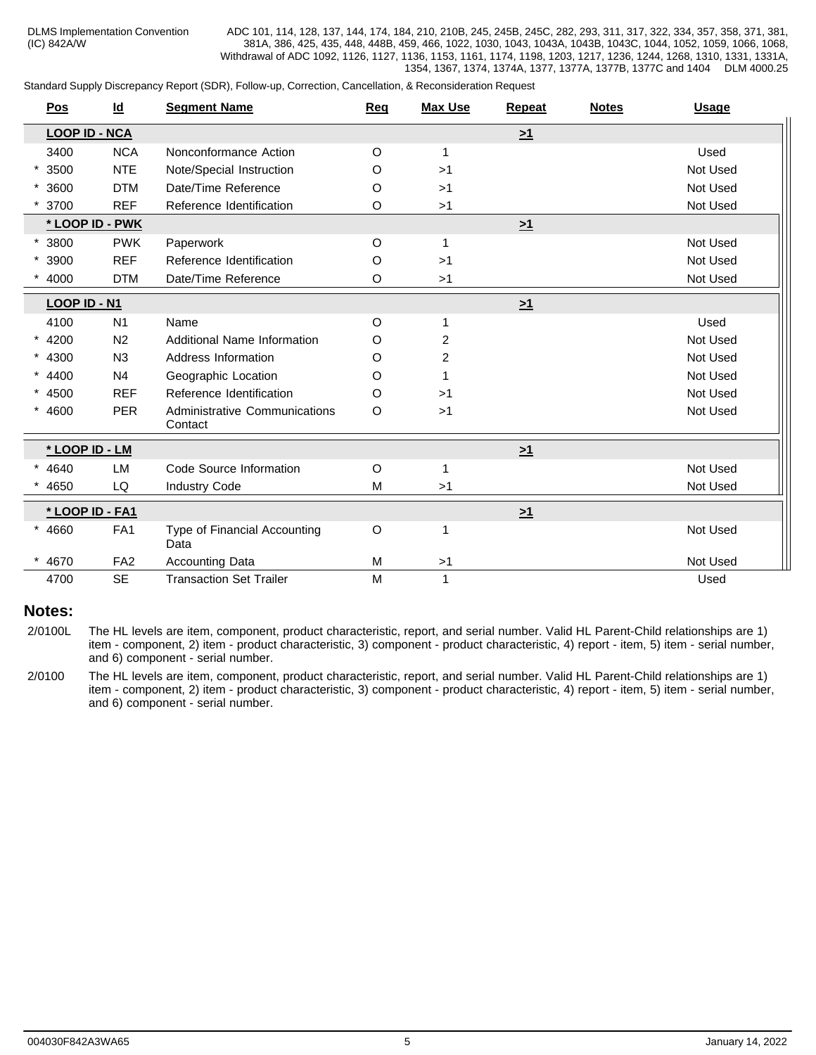### Standard Supply Discrepancy Report (SDR), Follow-up, Correction, Cancellation, & Reconsideration Request

|          | <b>Pos</b>           | $\underline{\mathsf{Id}}$ | <b>Segment Name</b>                             | Req         | <b>Max Use</b>          | Repeat   | <b>Notes</b> | <b>Usage</b> |
|----------|----------------------|---------------------------|-------------------------------------------------|-------------|-------------------------|----------|--------------|--------------|
|          | <b>LOOP ID - NCA</b> |                           |                                                 |             |                         | $\geq 1$ |              |              |
|          | 3400                 | <b>NCA</b>                | Nonconformance Action                           | O           | 1                       |          |              | Used         |
|          | 3500                 | <b>NTE</b>                | Note/Special Instruction                        | O           | >1                      |          |              | Not Used     |
| $*3600$  |                      | <b>DTM</b>                | Date/Time Reference                             | O           | >1                      |          |              | Not Used     |
|          | 3700                 | <b>REF</b>                | Reference Identification                        | O           | >1                      |          |              | Not Used     |
|          |                      | * LOOP ID - PWK           |                                                 |             |                         | $\geq 1$ |              |              |
|          | 3800                 | <b>PWK</b>                | Paperwork                                       | $\circ$     | $\mathbf{1}$            |          |              | Not Used     |
|          | 3900                 | <b>REF</b>                | Reference Identification                        | O           | >1                      |          |              | Not Used     |
|          | 4000                 | <b>DTM</b>                | Date/Time Reference                             | O           | >1                      |          |              | Not Used     |
|          | LOOP ID - N1         |                           |                                                 |             |                         | $\geq 1$ |              |              |
|          | 4100                 | N <sub>1</sub>            | Name                                            | O           | 1                       |          |              | Used         |
| $* 4200$ |                      | N <sub>2</sub>            | Additional Name Information                     | O           | $\overline{c}$          |          |              | Not Used     |
| $* 4300$ |                      | N3                        | Address Information                             | O           | $\overline{\mathbf{c}}$ |          |              | Not Used     |
| $* 4400$ |                      | N <sub>4</sub>            | Geographic Location                             | O           |                         |          |              | Not Used     |
| $* 4500$ |                      | <b>REF</b>                | Reference Identification                        | O           | >1                      |          |              | Not Used     |
| $* 4600$ |                      | <b>PER</b>                | <b>Administrative Communications</b><br>Contact | O           | >1                      |          |              | Not Used     |
|          | * LOOP ID - LM       |                           |                                                 |             |                         | $\geq 1$ |              |              |
|          | 4640                 | LM                        | Code Source Information                         | $\mathsf O$ | 1                       |          |              | Not Used     |
|          | 4650                 | LQ                        | <b>Industry Code</b>                            | M           | >1                      |          |              | Not Used     |
|          |                      | *LOOP ID - FA1            |                                                 |             |                         | $\geq 1$ |              |              |
|          | 4660                 | FA <sub>1</sub>           | Type of Financial Accounting<br>Data            | $\mathsf O$ | 1                       |          |              | Not Used     |
|          | 4670                 | FA <sub>2</sub>           | <b>Accounting Data</b>                          | M           | >1                      |          |              | Not Used     |
|          | 4700                 | <b>SE</b>                 | <b>Transaction Set Trailer</b>                  | M           | $\mathbf{1}$            |          |              | Used         |

### **Notes:**

2/0100L The HL levels are item, component, product characteristic, report, and serial number. Valid HL Parent-Child relationships are 1) item - component, 2) item - product characteristic, 3) component - product characteristic, 4) report - item, 5) item - serial number, and 6) component - serial number.

2/0100 The HL levels are item, component, product characteristic, report, and serial number. Valid HL Parent-Child relationships are 1) item - component, 2) item - product characteristic, 3) component - product characteristic, 4) report - item, 5) item - serial number, and 6) component - serial number.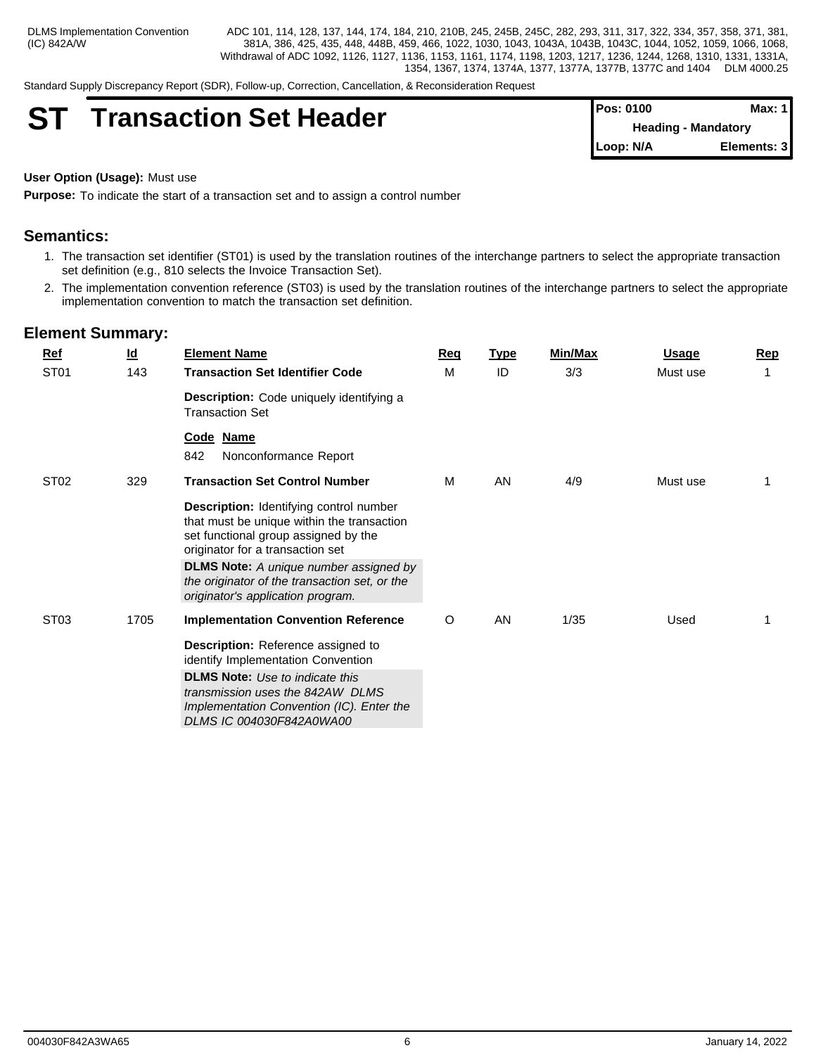Standard Supply Discrepancy Report (SDR), Follow-up, Correction, Cancellation, & Reconsideration Request

# **ST Transaction Set Header**

| <b>IPos: 0100</b>          | Max: 1      |  |
|----------------------------|-------------|--|
| <b>Heading - Mandatory</b> |             |  |
| $\blacksquare$ Loop: N/A   | Elements: 3 |  |

### **User Option (Usage):** Must use

**Purpose:** To indicate the start of a transaction set and to assign a control number

# **Semantics:**

- 1. The transaction set identifier (ST01) is used by the translation routines of the interchange partners to select the appropriate transaction set definition (e.g., 810 selects the Invoice Transaction Set).
- 2. The implementation convention reference (ST03) is used by the translation routines of the interchange partners to select the appropriate implementation convention to match the transaction set definition.

| <b>Ref</b>       | $\underline{\mathsf{Id}}$ | <b>Element Name</b>                                                                                                                                                                                                                                                                                      | Req     | <u>Type</u> | <b>Min/Max</b> | <u>Usage</u> | Rep |
|------------------|---------------------------|----------------------------------------------------------------------------------------------------------------------------------------------------------------------------------------------------------------------------------------------------------------------------------------------------------|---------|-------------|----------------|--------------|-----|
| ST <sub>01</sub> | 143                       | <b>Transaction Set Identifier Code</b>                                                                                                                                                                                                                                                                   | м       | ID          | 3/3            | Must use     |     |
|                  |                           | Description: Code uniquely identifying a<br><b>Transaction Set</b>                                                                                                                                                                                                                                       |         |             |                |              |     |
|                  |                           | Code Name<br>842<br>Nonconformance Report                                                                                                                                                                                                                                                                |         |             |                |              |     |
| ST <sub>02</sub> | 329                       | <b>Transaction Set Control Number</b>                                                                                                                                                                                                                                                                    | M       | AN          | 4/9            | Must use     |     |
|                  |                           | Description: Identifying control number<br>that must be unique within the transaction<br>set functional group assigned by the<br>originator for a transaction set<br><b>DLMS Note:</b> A unique number assigned by<br>the originator of the transaction set, or the<br>originator's application program. |         |             |                |              |     |
| ST <sub>03</sub> | 1705                      | <b>Implementation Convention Reference</b>                                                                                                                                                                                                                                                               | $\circ$ | AN          | 1/35           | Used         |     |
|                  |                           | <b>Description:</b> Reference assigned to<br>identify Implementation Convention                                                                                                                                                                                                                          |         |             |                |              |     |
|                  |                           | <b>DLMS Note:</b> Use to indicate this<br>transmission uses the 842AW DLMS<br>Implementation Convention (IC). Enter the<br>DLMS IC 004030F842A0WA00                                                                                                                                                      |         |             |                |              |     |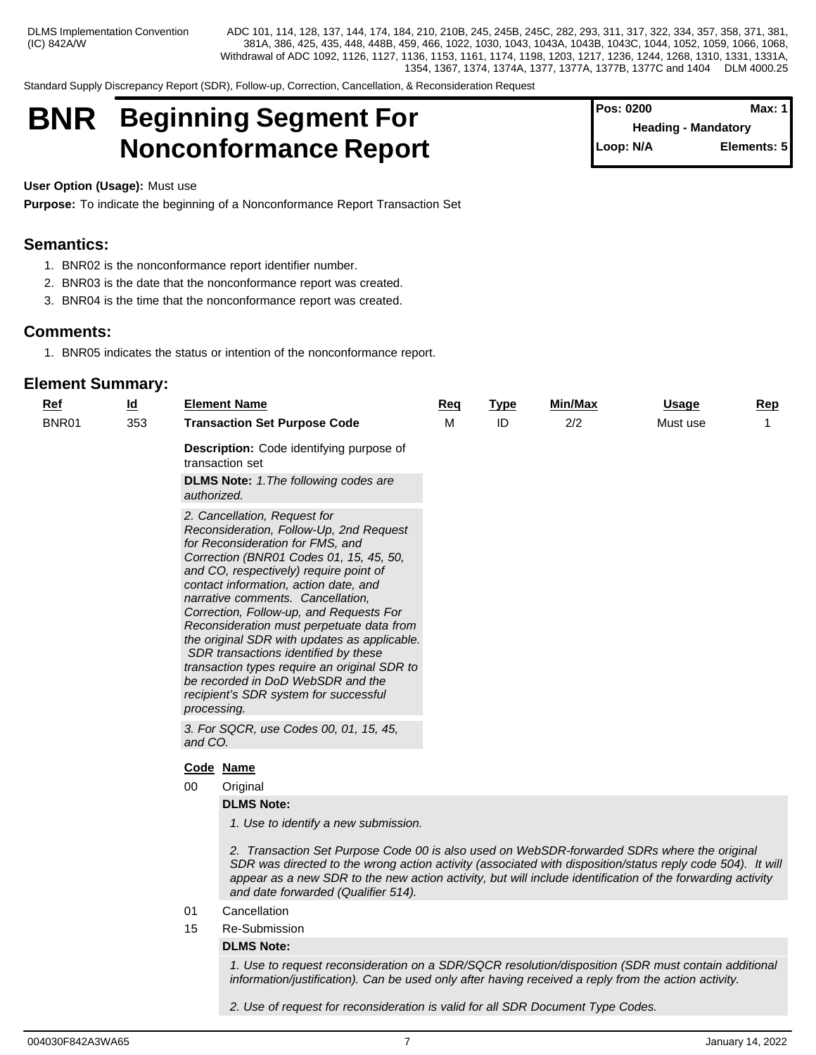(IC) 842A/W 381A, 386, 425, 435, 448, 448B, 459, 466, 1022, 1030, 1043, 1043A, 1043B, 1043C, 1044, 1052, 1059, 1066, 1068, ADC 101, 114, 128, 137, 144, 174, 184, 210, 210B, 245, 245B, 245C, 282, 293, 311, 317, 322, 334, 357, 358, 371, 381, Withdrawal of ADC 1092, 1126, 1127, 1136, 1153, 1161, 1174, 1198, 1203, 1217, 1236, 1244, 1268, 1310, 1331, 1331A, 1354, 1367, 1374, 1374A, 1377, 1377A, 1377B, 1377C and 1404 DLM 4000.25

**Pos: 0200 Max: 1**

**Heading - Mandatory**

**Elements: 5** 

Standard Supply Discrepancy Report (SDR), Follow-up, Correction, Cancellation, & Reconsideration Request

# **BNR** Beginning Segment For **Pos: 0200** Max: 1 **Nonconformance Report**  $\begin{bmatrix} \text{Loop: N/A} \\ \end{bmatrix}$

**User Option (Usage):** Must use

**Purpose:** To indicate the beginning of a Nonconformance Report Transaction Set

### **Semantics:**

- 1. BNR02 is the nonconformance report identifier number.
- 2. BNR03 is the date that the nonconformance report was created.
- 3. BNR04 is the time that the nonconformance report was created.

### **Comments:**

1. BNR05 indicates the status or intention of the nonconformance report.

# **Element Summary:**

| $Ref$ | $\underline{\mathsf{Id}}$ | <b>Element Name</b>                                                                                                                                                                                                                                                                                                                                                                                                                                                                                                                                                                                         | <u>Req</u> | <b>Type</b> | <b>Min/Max</b> | <u>Usage</u> | Rep |
|-------|---------------------------|-------------------------------------------------------------------------------------------------------------------------------------------------------------------------------------------------------------------------------------------------------------------------------------------------------------------------------------------------------------------------------------------------------------------------------------------------------------------------------------------------------------------------------------------------------------------------------------------------------------|------------|-------------|----------------|--------------|-----|
| BNR01 | 353                       | <b>Transaction Set Purpose Code</b>                                                                                                                                                                                                                                                                                                                                                                                                                                                                                                                                                                         | М          | ID          | 2/2            | Must use     |     |
|       |                           | <b>Description:</b> Code identifying purpose of<br>transaction set                                                                                                                                                                                                                                                                                                                                                                                                                                                                                                                                          |            |             |                |              |     |
|       |                           | <b>DLMS Note:</b> 1. The following codes are<br>authorized.                                                                                                                                                                                                                                                                                                                                                                                                                                                                                                                                                 |            |             |                |              |     |
|       |                           | 2. Cancellation, Request for<br>Reconsideration, Follow-Up, 2nd Request<br>for Reconsideration for FMS, and<br>Correction (BNR01 Codes 01, 15, 45, 50,<br>and CO, respectively) require point of<br>contact information, action date, and<br>narrative comments. Cancellation,<br>Correction, Follow-up, and Requests For<br>Reconsideration must perpetuate data from<br>the original SDR with updates as applicable.<br>SDR transactions identified by these<br>transaction types require an original SDR to<br>be recorded in DoD WebSDR and the<br>recipient's SDR system for successful<br>processing. |            |             |                |              |     |
|       |                           | 3. For SQCR, use Codes 00, 01, 15, 45,<br>and CO.                                                                                                                                                                                                                                                                                                                                                                                                                                                                                                                                                           |            |             |                |              |     |

### **Code Name**

00 Original

### **DLMS Note:**

*1. Use to identify a new submission.*

*2. Transaction Set Purpose Code 00 is also used on WebSDR-forwarded SDRs where the original* SDR was directed to the wrong action activity (associated with disposition/status reply code 504). It will *appear as a new SDR to the new action activity, but will include identification of the forwarding activity and date forwarded (Qualifier 514).*

- 01 Cancellation
- 15 Re-Submission

### **DLMS Note:**

*1. Use to request reconsideration on a SDR/SQCR resolution/disposition (SDR must contain additional information/justification). Can be used only after having received a reply from the action activity.*

*2. Use of request for reconsideration is valid for all SDR Document Type Codes.*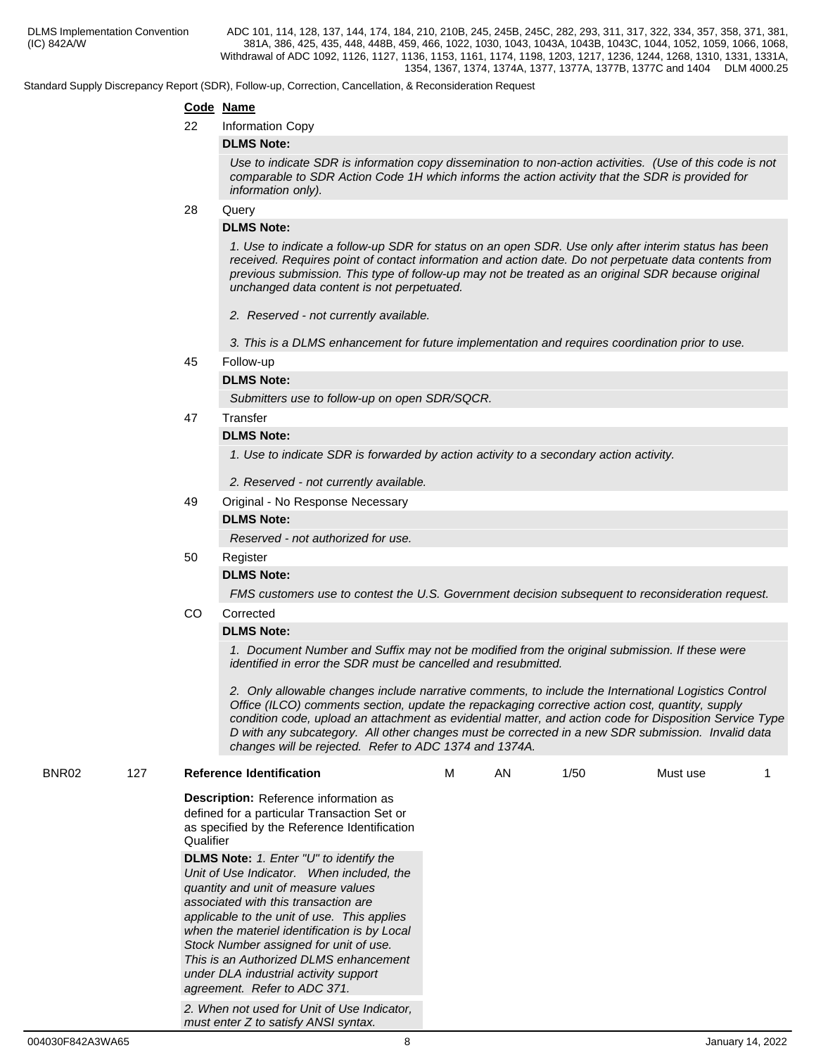Standard Supply Discrepancy Report (SDR), Follow-up, Correction, Cancellation, & Reconsideration Request

### **Code Name**

22 Information Copy

### **DLMS Note:**

*Use to indicate SDR is information copy dissemination to non-action activities. (Use of this code is not comparable to SDR Action Code 1H which informs the action activity that the SDR is provided for information only).*

### 28 Query

### **DLMS Note:**

*1. Use to indicate a follow-up SDR for status on an open SDR. Use only after interim status has been received. Requires point of contact information and action date. Do not perpetuate data contents from previous submission. This type of follow-up may not be treated as an original SDR because original unchanged data content is not perpetuated.*

*2. Reserved - not currently available.*

*3. This is a DLMS enhancement for future implementation and requires coordination prior to use.*

### 45 Follow-up

### **DLMS Note:**

*Submitters use to follow-up on open SDR/SQCR.*

### 47 Transfer

### **DLMS Note:**

*1. Use to indicate SDR is forwarded by action activity to a secondary action activity.* 

- *2. Reserved not currently available.*
- 49 Original No Response Necessary

### **DLMS Note:**

*Reserved - not authorized for use.*

### 50 Register

### **DLMS Note:**

*FMS customers use to contest the U.S. Government decision subsequent to reconsideration request.*

### CO Corrected

### **DLMS Note:**

*1. Document Number and Suffix may not be modified from the original submission. If these were identified in error the SDR must be cancelled and resubmitted.*

*2. Only allowable changes include narrative comments, to include the International Logistics Control Office (ILCO) comments section, update the repackaging corrective action cost, quantity, supply condition code, upload an attachment as evidential matter, and action code for Disposition Service Type D with any subcategory. All other changes must be corrected in a new SDR submission. Invalid data changes will be rejected. Refer to ADC 1374 and 1374A.*

# BNR02 127 **Reference Identification**

M AN 1/50 Must use 1

*applicable to the unit of use. This applies when the materiel identification is by Local Stock Number assigned for unit of use. This is an Authorized DLMS enhancement under DLA industrial activity support agreement. Refer to ADC 371.* 

*2. When not used for Unit of Use Indicator, must enter Z to satisfy ANSI syntax.*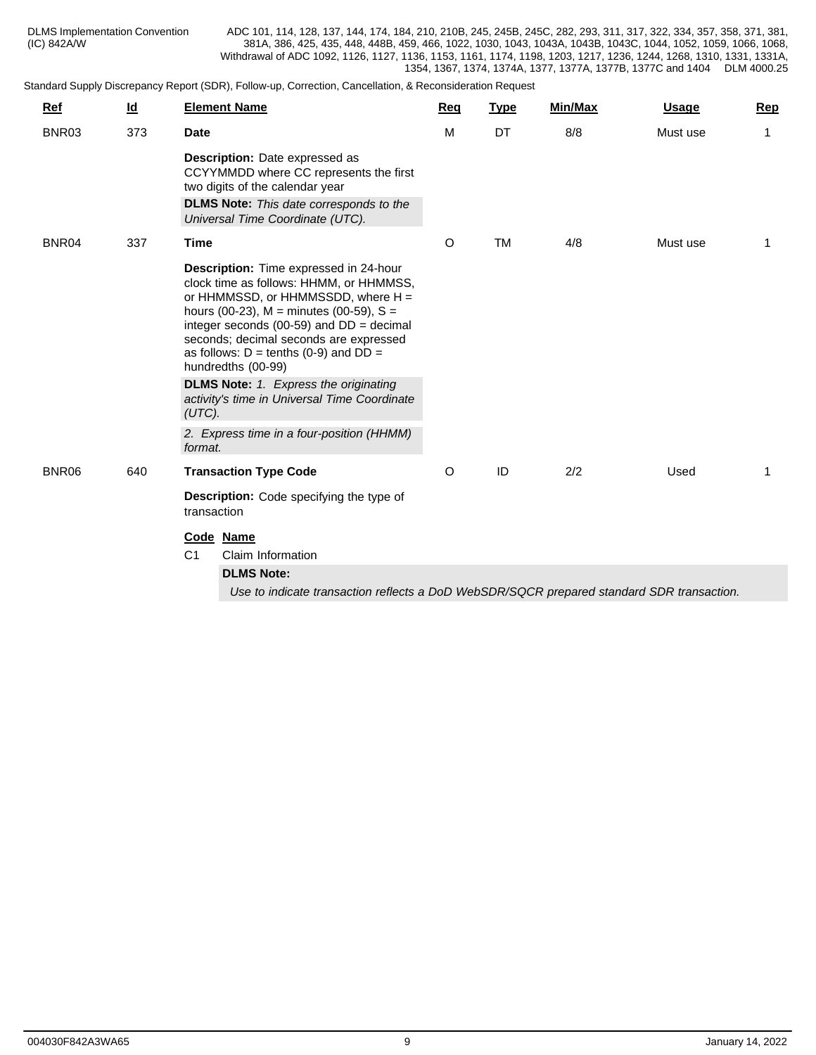| 8/8<br>BNR03<br>373<br>M<br><b>DT</b><br>1<br><b>Date</b><br>Must use<br><b>Description:</b> Date expressed as<br>CCYYMMDD where CC represents the first<br>two digits of the calendar year<br><b>DLMS Note:</b> This date corresponds to the<br>Universal Time Coordinate (UTC).<br>4/8<br>337<br>O<br>BNR04<br>TM<br>Must use<br>Time<br>1<br><b>Description:</b> Time expressed in 24-hour<br>clock time as follows: HHMM, or HHMMSS,<br>or HHMMSSD, or HHMMSSDD, where $H =$<br>hours (00-23), $M =$ minutes (00-59), $S =$<br>integer seconds (00-59) and $DD = decimal$<br>seconds; decimal seconds are expressed<br>as follows: $D = \text{tenths}$ (0-9) and $DD =$<br>hundredths (00-99)<br><b>DLMS Note:</b> 1. Express the originating<br>activity's time in Universal Time Coordinate<br>(UTC).<br>2. Express time in a four-position (HHMM)<br>format.<br>O<br>ID<br>2/2<br>BNR06<br>640<br><b>Transaction Type Code</b><br>Used<br>Description: Code specifying the type of<br>transaction<br>Code Name<br>C <sub>1</sub><br>Claim Information<br><b>DLMS Note:</b> | <b>Ref</b> | $\underline{\mathsf{Id}}$ | <b>Element Name</b> | Req | <b>Type</b> | Min/Max | <b>Usage</b> | <b>Rep</b> |
|-----------------------------------------------------------------------------------------------------------------------------------------------------------------------------------------------------------------------------------------------------------------------------------------------------------------------------------------------------------------------------------------------------------------------------------------------------------------------------------------------------------------------------------------------------------------------------------------------------------------------------------------------------------------------------------------------------------------------------------------------------------------------------------------------------------------------------------------------------------------------------------------------------------------------------------------------------------------------------------------------------------------------------------------------------------------------------------|------------|---------------------------|---------------------|-----|-------------|---------|--------------|------------|
|                                                                                                                                                                                                                                                                                                                                                                                                                                                                                                                                                                                                                                                                                                                                                                                                                                                                                                                                                                                                                                                                                   |            |                           |                     |     |             |         |              |            |
|                                                                                                                                                                                                                                                                                                                                                                                                                                                                                                                                                                                                                                                                                                                                                                                                                                                                                                                                                                                                                                                                                   |            |                           |                     |     |             |         |              |            |
|                                                                                                                                                                                                                                                                                                                                                                                                                                                                                                                                                                                                                                                                                                                                                                                                                                                                                                                                                                                                                                                                                   |            |                           |                     |     |             |         |              |            |
|                                                                                                                                                                                                                                                                                                                                                                                                                                                                                                                                                                                                                                                                                                                                                                                                                                                                                                                                                                                                                                                                                   |            |                           |                     |     |             |         |              |            |
|                                                                                                                                                                                                                                                                                                                                                                                                                                                                                                                                                                                                                                                                                                                                                                                                                                                                                                                                                                                                                                                                                   |            |                           |                     |     |             |         |              |            |
|                                                                                                                                                                                                                                                                                                                                                                                                                                                                                                                                                                                                                                                                                                                                                                                                                                                                                                                                                                                                                                                                                   |            |                           |                     |     |             |         |              |            |
|                                                                                                                                                                                                                                                                                                                                                                                                                                                                                                                                                                                                                                                                                                                                                                                                                                                                                                                                                                                                                                                                                   |            |                           |                     |     |             |         |              |            |
|                                                                                                                                                                                                                                                                                                                                                                                                                                                                                                                                                                                                                                                                                                                                                                                                                                                                                                                                                                                                                                                                                   |            |                           |                     |     |             |         |              |            |
|                                                                                                                                                                                                                                                                                                                                                                                                                                                                                                                                                                                                                                                                                                                                                                                                                                                                                                                                                                                                                                                                                   |            |                           |                     |     |             |         |              |            |
| Use to indicate transaction reflects a DoD WebSDR/SQCR prepared standard SDR transaction.                                                                                                                                                                                                                                                                                                                                                                                                                                                                                                                                                                                                                                                                                                                                                                                                                                                                                                                                                                                         |            |                           |                     |     |             |         |              |            |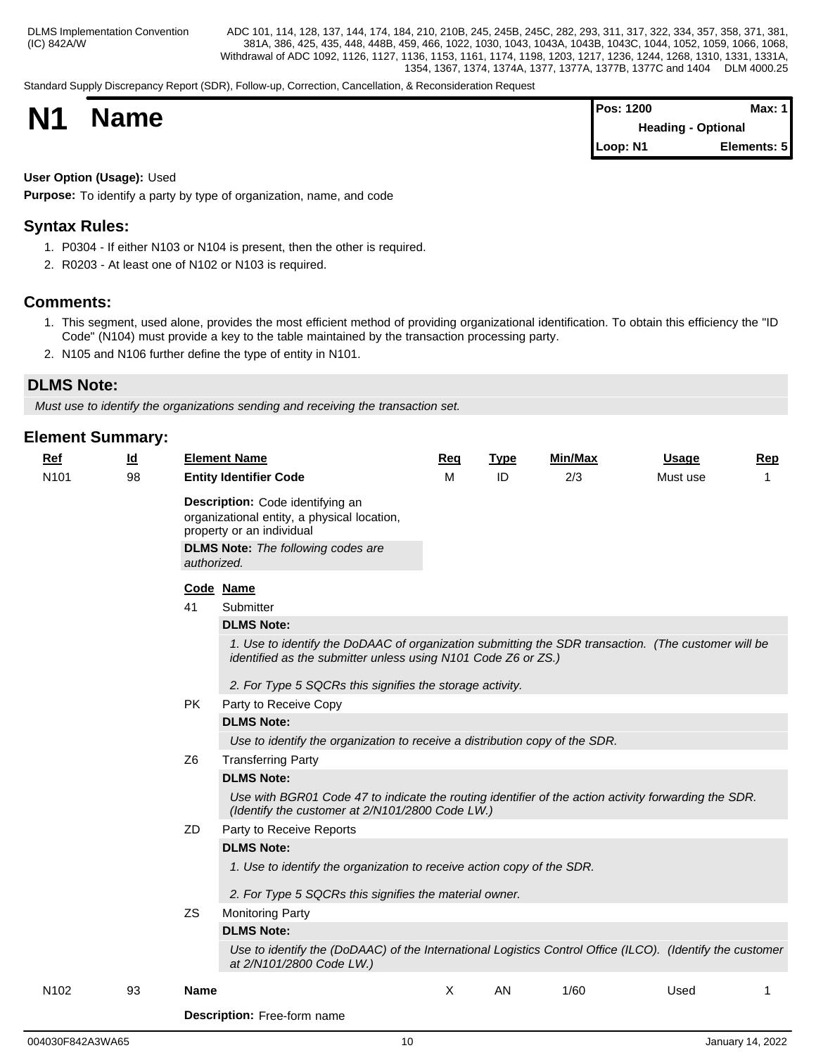Standard Supply Discrepancy Report (SDR), Follow-up, Correction, Cancellation, & Reconsideration Request

| <b>N1</b> | <b>Name</b> | <b>Pos: 1200</b>          | Max: $1$    |  |
|-----------|-------------|---------------------------|-------------|--|
|           |             | <b>Heading - Optional</b> |             |  |
|           |             | Loop: N1                  | Elements: 5 |  |

# **User Option (Usage):** Used

**Purpose:** To identify a party by type of organization, name, and code

# **Syntax Rules:**

- 1. P0304 If either N103 or N104 is present, then the other is required.
- 2. R0203 At least one of N102 or N103 is required.

# **Comments:**

- 1. This segment, used alone, provides the most efficient method of providing organizational identification. To obtain this efficiency the "ID Code" (N104) must provide a key to the table maintained by the transaction processing party.
- 2. N105 and N106 further define the type of entity in N101.

# **DLMS Note:**

*Must use to identify the organizations sending and receiving the transaction set.*

# **Element Summary: Ref Id Element Name Req Type Min/Max Usage Rep** N101 98 **Entity Identifier Code Description:** Code identifying an organizational entity, a physical location, property or an individual **DLMS Note:** *The following codes are authorized.*  M ID 2/3 Must use 1 **Code Name** 41 Submitter **DLMS Note:** *1. Use to identify the DoDAAC of organization submitting the SDR transaction. (The customer will be identified as the submitter unless using N101 Code Z6 or ZS.) 2. For Type 5 SQCRs this signifies the storage activity.* PK Party to Receive Copy **DLMS Note:** *Use to identify the organization to receive a distribution copy of the SDR.* Z6 Transferring Party **DLMS Note:** *Use with BGR01 Code 47 to indicate the routing identifier of the action activity forwarding the SDR. (Identify the customer at 2/N101/2800 Code LW.)* ZD Party to Receive Reports **DLMS Note:** *1. Use to identify the organization to receive action copy of the SDR. 2. For Type 5 SQCRs this signifies the material owner.*  ZS Monitoring Party **DLMS Note:** *Use to identify the (DoDAAC) of the International Logistics Control Office (ILCO). (Identify the customer at 2/N101/2800 Code LW.)* N102 93 **Name Description:** Free-form name X AN 1/60 Used 1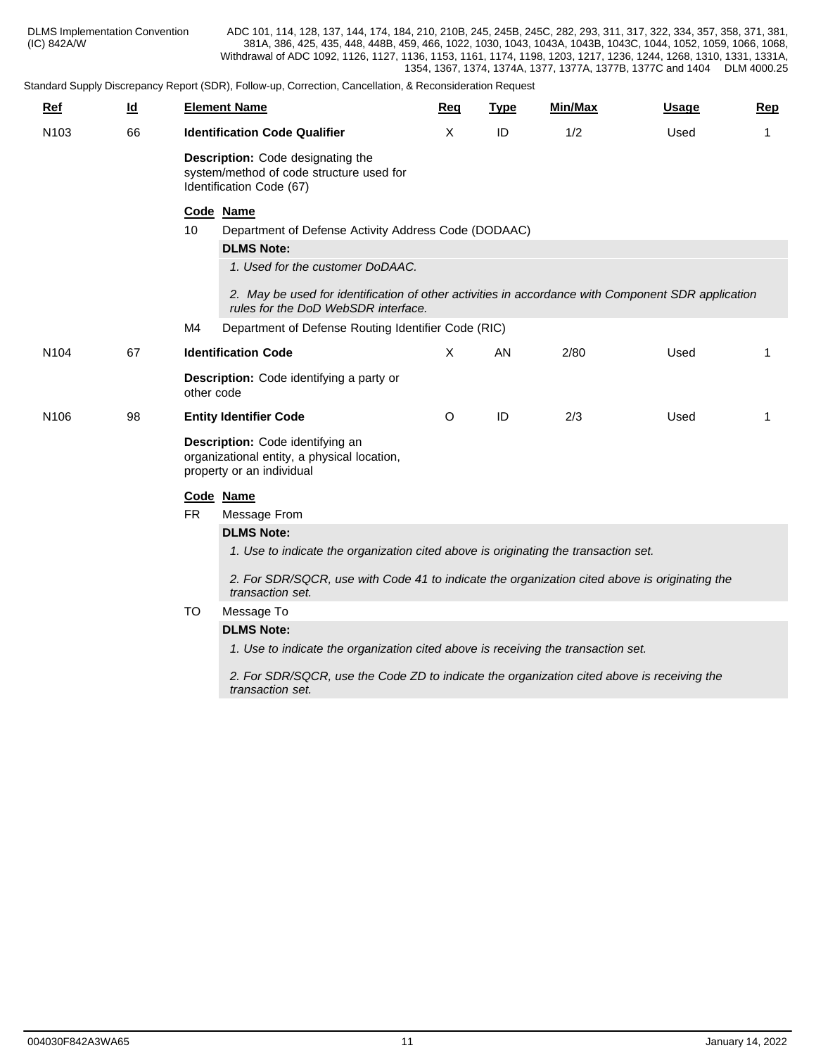| $Ref$            | $\overline{\mathsf{q}}$ | <b>Element Name</b>                                                                                                                       | Req     | <b>Type</b> | <b>Min/Max</b> | <b>Usage</b> | <b>Rep</b>   |
|------------------|-------------------------|-------------------------------------------------------------------------------------------------------------------------------------------|---------|-------------|----------------|--------------|--------------|
| N <sub>103</sub> | 66                      | <b>Identification Code Qualifier</b>                                                                                                      | X       | ID          | 1/2            | Used         | $\mathbf{1}$ |
|                  |                         | Description: Code designating the<br>system/method of code structure used for<br>Identification Code (67)                                 |         |             |                |              |              |
|                  |                         | Code Name                                                                                                                                 |         |             |                |              |              |
|                  |                         | 10<br>Department of Defense Activity Address Code (DODAAC)                                                                                |         |             |                |              |              |
|                  |                         | <b>DLMS Note:</b>                                                                                                                         |         |             |                |              |              |
|                  |                         | 1. Used for the customer DoDAAC.                                                                                                          |         |             |                |              |              |
|                  |                         | 2. May be used for identification of other activities in accordance with Component SDR application<br>rules for the DoD WebSDR interface. |         |             |                |              |              |
|                  |                         | M4<br>Department of Defense Routing Identifier Code (RIC)                                                                                 |         |             |                |              |              |
| N <sub>104</sub> | 67                      | <b>Identification Code</b>                                                                                                                | X       | AN          | 2/80           | Used         |              |
|                  |                         | <b>Description:</b> Code identifying a party or<br>other code                                                                             |         |             |                |              |              |
| N <sub>106</sub> | 98                      | <b>Entity Identifier Code</b>                                                                                                             | $\circ$ | ID          | 2/3            | Used         | 1            |
|                  |                         | Description: Code identifying an<br>organizational entity, a physical location,<br>property or an individual                              |         |             |                |              |              |
|                  |                         | Code Name                                                                                                                                 |         |             |                |              |              |
|                  |                         | <b>FR</b><br>Message From                                                                                                                 |         |             |                |              |              |
|                  |                         | <b>DLMS Note:</b>                                                                                                                         |         |             |                |              |              |
|                  |                         | 1. Use to indicate the organization cited above is originating the transaction set.                                                       |         |             |                |              |              |
|                  |                         | 2. For SDR/SQCR, use with Code 41 to indicate the organization cited above is originating the<br>transaction set.                         |         |             |                |              |              |
|                  |                         | TO<br>Message To                                                                                                                          |         |             |                |              |              |
|                  |                         | <b>DLMS Note:</b>                                                                                                                         |         |             |                |              |              |
|                  |                         | 1. Use to indicate the organization cited above is receiving the transaction set.                                                         |         |             |                |              |              |
|                  |                         | 2. For SDR/SQCR, use the Code ZD to indicate the organization cited above is receiving the<br>transaction set.                            |         |             |                |              |              |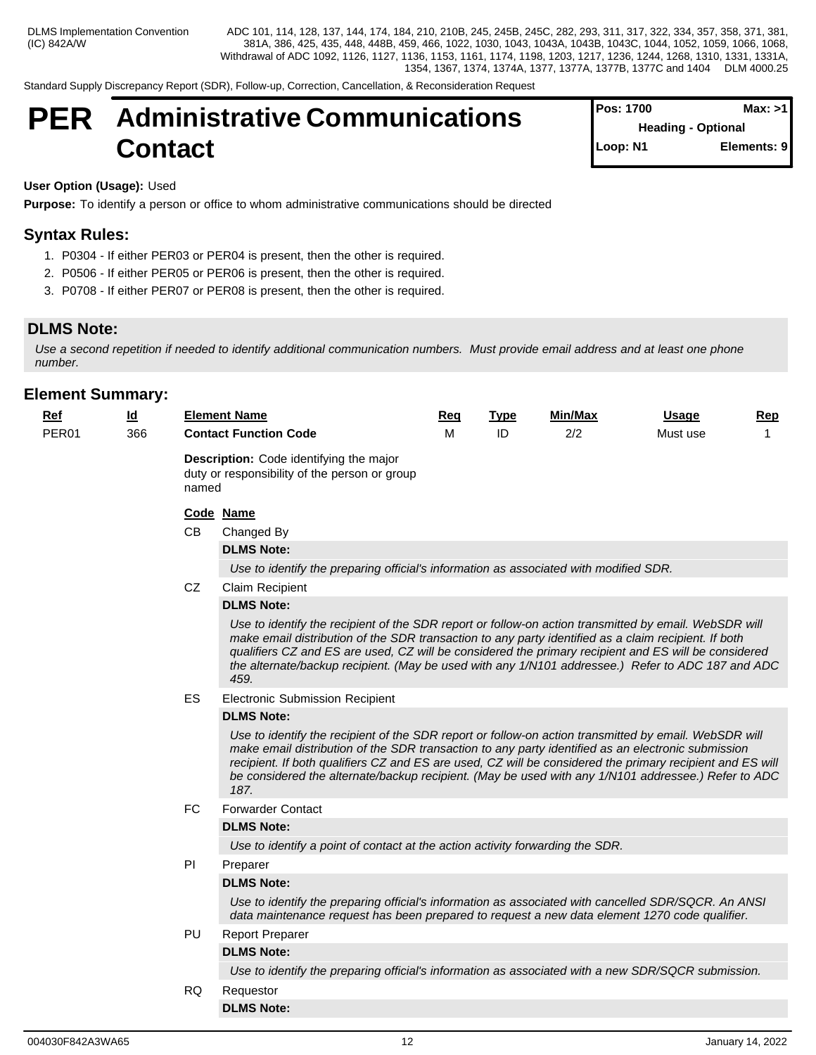Standard Supply Discrepancy Report (SDR), Follow-up, Correction, Cancellation, & Reconsideration Request

# **PER Administrative Communications Contact**

| <b>Pos: 1700</b>          | Max: >1     |
|---------------------------|-------------|
| <b>Heading - Optional</b> |             |
| Loop: N1                  | Elements: 9 |

### **User Option (Usage):** Used

**Purpose:** To identify a person or office to whom administrative communications should be directed

# **Syntax Rules:**

- 1. P0304 If either PER03 or PER04 is present, then the other is required.
- 2. P0506 If either PER05 or PER06 is present, then the other is required.
- 3. P0708 If either PER07 or PER08 is present, then the other is required.

### **DLMS Note:**

*Use a second repetition if needed to identify additional communication numbers. Must provide email address and at least one phone number.*

| $Ref$ | <u>ld</u> |           | <b>Element Name</b>                                                                                                                                                                                                                                                                                                                                                                                                                     | <u>Req</u> | <b>Type</b> | Min/Max | <b>Usage</b> | <b>Rep</b> |  |  |  |  |
|-------|-----------|-----------|-----------------------------------------------------------------------------------------------------------------------------------------------------------------------------------------------------------------------------------------------------------------------------------------------------------------------------------------------------------------------------------------------------------------------------------------|------------|-------------|---------|--------------|------------|--|--|--|--|
| PER01 | 366       |           | <b>Contact Function Code</b>                                                                                                                                                                                                                                                                                                                                                                                                            |            | ID          | 2/2     | Must use     |            |  |  |  |  |
|       |           | named     | Description: Code identifying the major<br>duty or responsibility of the person or group                                                                                                                                                                                                                                                                                                                                                |            |             |         |              |            |  |  |  |  |
|       |           |           | Code Name                                                                                                                                                                                                                                                                                                                                                                                                                               |            |             |         |              |            |  |  |  |  |
|       |           | CB        | Changed By                                                                                                                                                                                                                                                                                                                                                                                                                              |            |             |         |              |            |  |  |  |  |
|       |           |           | <b>DLMS Note:</b>                                                                                                                                                                                                                                                                                                                                                                                                                       |            |             |         |              |            |  |  |  |  |
|       |           |           | Use to identify the preparing official's information as associated with modified SDR.                                                                                                                                                                                                                                                                                                                                                   |            |             |         |              |            |  |  |  |  |
|       |           | CZ        | <b>Claim Recipient</b>                                                                                                                                                                                                                                                                                                                                                                                                                  |            |             |         |              |            |  |  |  |  |
|       |           |           | <b>DLMS Note:</b>                                                                                                                                                                                                                                                                                                                                                                                                                       |            |             |         |              |            |  |  |  |  |
|       |           |           | Use to identify the recipient of the SDR report or follow-on action transmitted by email. WebSDR will<br>make email distribution of the SDR transaction to any party identified as a claim recipient. If both<br>qualifiers CZ and ES are used, CZ will be considered the primary recipient and ES will be considered<br>the alternate/backup recipient. (May be used with any 1/N101 addressee.) Refer to ADC 187 and ADC<br>459.      |            |             |         |              |            |  |  |  |  |
|       |           | <b>ES</b> | <b>Electronic Submission Recipient</b>                                                                                                                                                                                                                                                                                                                                                                                                  |            |             |         |              |            |  |  |  |  |
|       |           |           | <b>DLMS Note:</b>                                                                                                                                                                                                                                                                                                                                                                                                                       |            |             |         |              |            |  |  |  |  |
|       |           |           | Use to identify the recipient of the SDR report or follow-on action transmitted by email. WebSDR will<br>make email distribution of the SDR transaction to any party identified as an electronic submission<br>recipient. If both qualifiers CZ and ES are used, CZ will be considered the primary recipient and ES will<br>be considered the alternate/backup recipient. (May be used with any 1/N101 addressee.) Refer to ADC<br>187. |            |             |         |              |            |  |  |  |  |
|       |           | FC.       | <b>Forwarder Contact</b>                                                                                                                                                                                                                                                                                                                                                                                                                |            |             |         |              |            |  |  |  |  |
|       |           |           | <b>DLMS Note:</b>                                                                                                                                                                                                                                                                                                                                                                                                                       |            |             |         |              |            |  |  |  |  |
|       |           |           | Use to identify a point of contact at the action activity forwarding the SDR.                                                                                                                                                                                                                                                                                                                                                           |            |             |         |              |            |  |  |  |  |
|       |           | PI        | Preparer                                                                                                                                                                                                                                                                                                                                                                                                                                |            |             |         |              |            |  |  |  |  |
|       |           |           | <b>DLMS Note:</b>                                                                                                                                                                                                                                                                                                                                                                                                                       |            |             |         |              |            |  |  |  |  |
|       |           |           | Use to identify the preparing official's information as associated with cancelled SDR/SQCR. An ANSI<br>data maintenance request has been prepared to request a new data element 1270 code qualifier.                                                                                                                                                                                                                                    |            |             |         |              |            |  |  |  |  |
|       |           | PU        | <b>Report Preparer</b>                                                                                                                                                                                                                                                                                                                                                                                                                  |            |             |         |              |            |  |  |  |  |
|       |           |           | <b>DLMS Note:</b>                                                                                                                                                                                                                                                                                                                                                                                                                       |            |             |         |              |            |  |  |  |  |
|       |           |           | Use to identify the preparing official's information as associated with a new SDR/SQCR submission.                                                                                                                                                                                                                                                                                                                                      |            |             |         |              |            |  |  |  |  |
|       |           | RQ        | Requestor                                                                                                                                                                                                                                                                                                                                                                                                                               |            |             |         |              |            |  |  |  |  |
|       |           |           | <b>DLMS Note:</b>                                                                                                                                                                                                                                                                                                                                                                                                                       |            |             |         |              |            |  |  |  |  |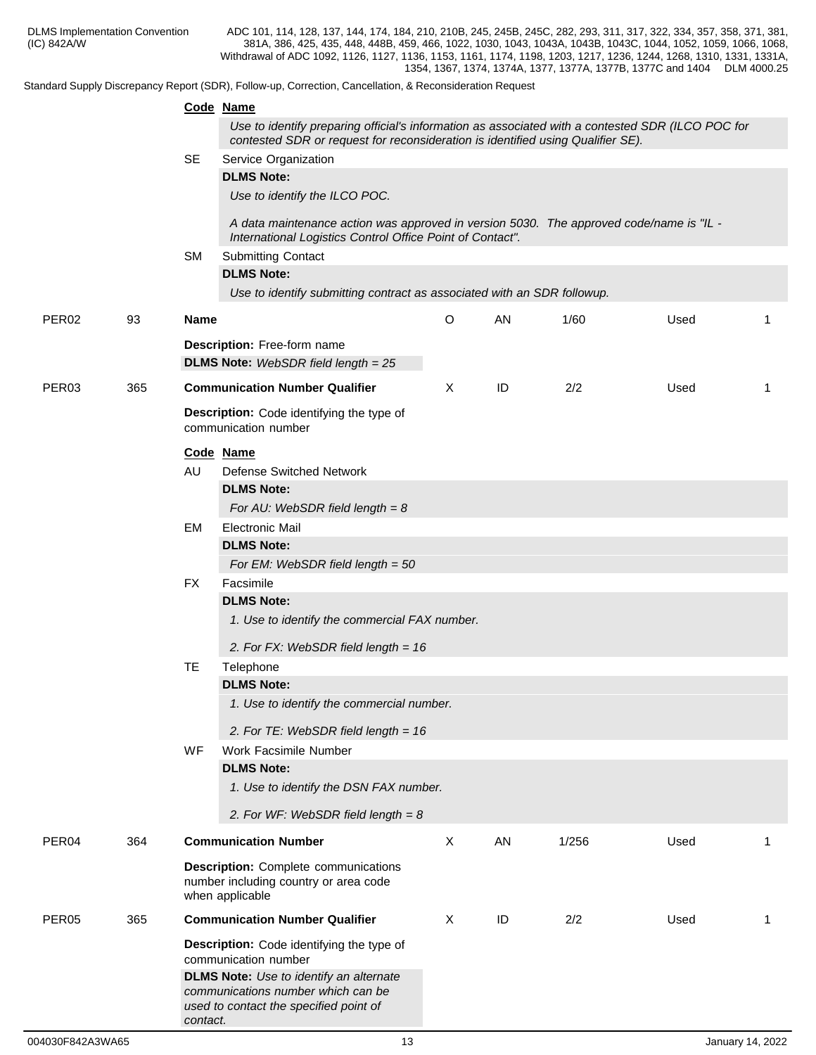|                   |     |             | Code Name                                                                                                                                                                            |              |    |       |      |    |
|-------------------|-----|-------------|--------------------------------------------------------------------------------------------------------------------------------------------------------------------------------------|--------------|----|-------|------|----|
|                   |     |             | Use to identify preparing official's information as associated with a contested SDR (ILCO POC for<br>contested SDR or request for reconsideration is identified using Qualifier SE). |              |    |       |      |    |
|                   |     | <b>SE</b>   | Service Organization                                                                                                                                                                 |              |    |       |      |    |
|                   |     |             | <b>DLMS Note:</b>                                                                                                                                                                    |              |    |       |      |    |
|                   |     |             | Use to identify the ILCO POC.                                                                                                                                                        |              |    |       |      |    |
|                   |     |             | A data maintenance action was approved in version 5030. The approved code/name is "IL -<br>International Logistics Control Office Point of Contact".                                 |              |    |       |      |    |
|                   |     | <b>SM</b>   | <b>Submitting Contact</b>                                                                                                                                                            |              |    |       |      |    |
|                   |     |             | <b>DLMS Note:</b>                                                                                                                                                                    |              |    |       |      |    |
|                   |     |             | Use to identify submitting contract as associated with an SDR followup.                                                                                                              |              |    |       |      |    |
| PER <sub>02</sub> | 93  | <b>Name</b> |                                                                                                                                                                                      | $\circ$      | AN | 1/60  | Used |    |
|                   |     |             | Description: Free-form name                                                                                                                                                          |              |    |       |      |    |
|                   |     |             | <b>DLMS Note:</b> WebSDR field length $= 25$                                                                                                                                         |              |    |       |      |    |
| PER03             | 365 |             | <b>Communication Number Qualifier</b>                                                                                                                                                | $\mathsf{X}$ | ID | 2/2   | Used | -1 |
|                   |     |             | Description: Code identifying the type of<br>communication number                                                                                                                    |              |    |       |      |    |
|                   |     |             | Code Name                                                                                                                                                                            |              |    |       |      |    |
|                   |     | AU          | <b>Defense Switched Network</b>                                                                                                                                                      |              |    |       |      |    |
|                   |     |             | <b>DLMS Note:</b>                                                                                                                                                                    |              |    |       |      |    |
|                   |     | EM          | For AU: WebSDR field length = $8$<br><b>Electronic Mail</b>                                                                                                                          |              |    |       |      |    |
|                   |     |             | <b>DLMS Note:</b>                                                                                                                                                                    |              |    |       |      |    |
|                   |     |             | For EM: WebSDR field length = $50$                                                                                                                                                   |              |    |       |      |    |
|                   |     | <b>FX</b>   | Facsimile                                                                                                                                                                            |              |    |       |      |    |
|                   |     |             | <b>DLMS Note:</b>                                                                                                                                                                    |              |    |       |      |    |
|                   |     |             | 1. Use to identify the commercial FAX number.                                                                                                                                        |              |    |       |      |    |
|                   |     |             | 2. For FX: WebSDR field length = 16                                                                                                                                                  |              |    |       |      |    |
|                   |     | TE          | Telephone                                                                                                                                                                            |              |    |       |      |    |
|                   |     |             | <b>DLMS Note:</b>                                                                                                                                                                    |              |    |       |      |    |
|                   |     |             | 1. Use to identify the commercial number.                                                                                                                                            |              |    |       |      |    |
|                   |     |             | 2. For TE: WebSDR field length = 16                                                                                                                                                  |              |    |       |      |    |
|                   |     | WF          | Work Facsimile Number                                                                                                                                                                |              |    |       |      |    |
|                   |     |             | <b>DLMS Note:</b>                                                                                                                                                                    |              |    |       |      |    |
|                   |     |             | 1. Use to identify the DSN FAX number.                                                                                                                                               |              |    |       |      |    |
|                   |     |             | 2. For WF: WebSDR field length = $8$                                                                                                                                                 |              |    |       |      |    |
| PER <sub>04</sub> | 364 |             | <b>Communication Number</b>                                                                                                                                                          | X            | AN | 1/256 | Used |    |
|                   |     |             | <b>Description:</b> Complete communications<br>number including country or area code<br>when applicable                                                                              |              |    |       |      |    |
| PER05             | 365 |             | <b>Communication Number Qualifier</b>                                                                                                                                                | X            | ID | 2/2   | Used | -1 |
|                   |     |             | Description: Code identifying the type of<br>communication number                                                                                                                    |              |    |       |      |    |
|                   |     | contact.    | <b>DLMS Note:</b> Use to identify an alternate<br>communications number which can be<br>used to contact the specified point of                                                       |              |    |       |      |    |
|                   |     |             |                                                                                                                                                                                      |              |    |       |      |    |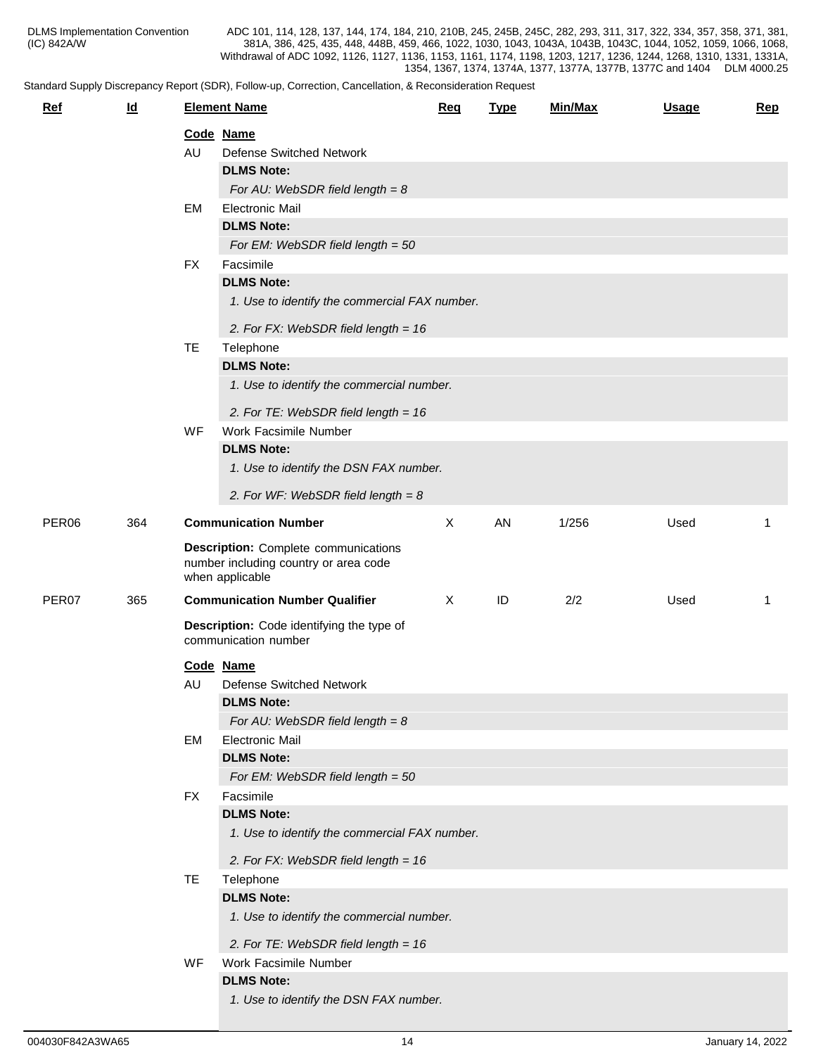| <b>Ref</b> | $\underline{\mathsf{Id}}$ |           | <b>Element Name</b>                                                                                                    | Req     | <b>Type</b> | Min/Max | <b>Usage</b> | <b>Rep</b>  |
|------------|---------------------------|-----------|------------------------------------------------------------------------------------------------------------------------|---------|-------------|---------|--------------|-------------|
|            |                           | AU        | Code Name<br><b>Defense Switched Network</b><br><b>DLMS Note:</b><br>For AU: WebSDR field length = $8$                 |         |             |         |              |             |
|            |                           | EM        | <b>Electronic Mail</b><br><b>DLMS Note:</b>                                                                            |         |             |         |              |             |
|            |                           | FX        | For EM: WebSDR field length = $50$<br>Facsimile<br><b>DLMS Note:</b>                                                   |         |             |         |              |             |
|            |                           |           | 1. Use to identify the commercial FAX number.<br>2. For FX: WebSDR field length = 16                                   |         |             |         |              |             |
|            |                           | TE        | Telephone<br><b>DLMS Note:</b><br>1. Use to identify the commercial number.                                            |         |             |         |              |             |
|            |                           | WF        | 2. For TE: WebSDR field length = 16<br>Work Facsimile Number                                                           |         |             |         |              |             |
|            |                           |           | <b>DLMS Note:</b><br>1. Use to identify the DSN FAX number.                                                            |         |             |         |              |             |
| PER06      | 364                       |           | 2. For WF: WebSDR field length = $8$<br><b>Communication Number</b>                                                    | $\sf X$ | AN          | 1/256   | Used         |             |
|            |                           |           | <b>Description:</b> Complete communications<br>number including country or area code<br>when applicable                |         |             |         |              |             |
| PER07      | 365                       |           | <b>Communication Number Qualifier</b>                                                                                  | $\sf X$ | ID          | 2/2     | Used         | $\mathbf 1$ |
|            |                           |           | Description: Code identifying the type of<br>communication number                                                      |         |             |         |              |             |
|            |                           | AU        | Code Name<br><b>Defense Switched Network</b><br><b>DLMS Note:</b>                                                      |         |             |         |              |             |
|            |                           | EM        | For AU: WebSDR field length = $8$<br><b>Electronic Mail</b><br><b>DLMS Note:</b><br>For EM: WebSDR field length = $50$ |         |             |         |              |             |
|            |                           | <b>FX</b> | Facsimile<br><b>DLMS Note:</b><br>1. Use to identify the commercial FAX number.                                        |         |             |         |              |             |
|            |                           | TE        | 2. For FX: WebSDR field length = 16<br>Telephone                                                                       |         |             |         |              |             |
|            |                           |           | <b>DLMS Note:</b><br>1. Use to identify the commercial number.<br>2. For TE: WebSDR field length = 16                  |         |             |         |              |             |
|            |                           | WF        | Work Facsimile Number<br><b>DLMS Note:</b><br>1. Use to identify the DSN FAX number.                                   |         |             |         |              |             |
|            |                           |           |                                                                                                                        |         |             |         |              |             |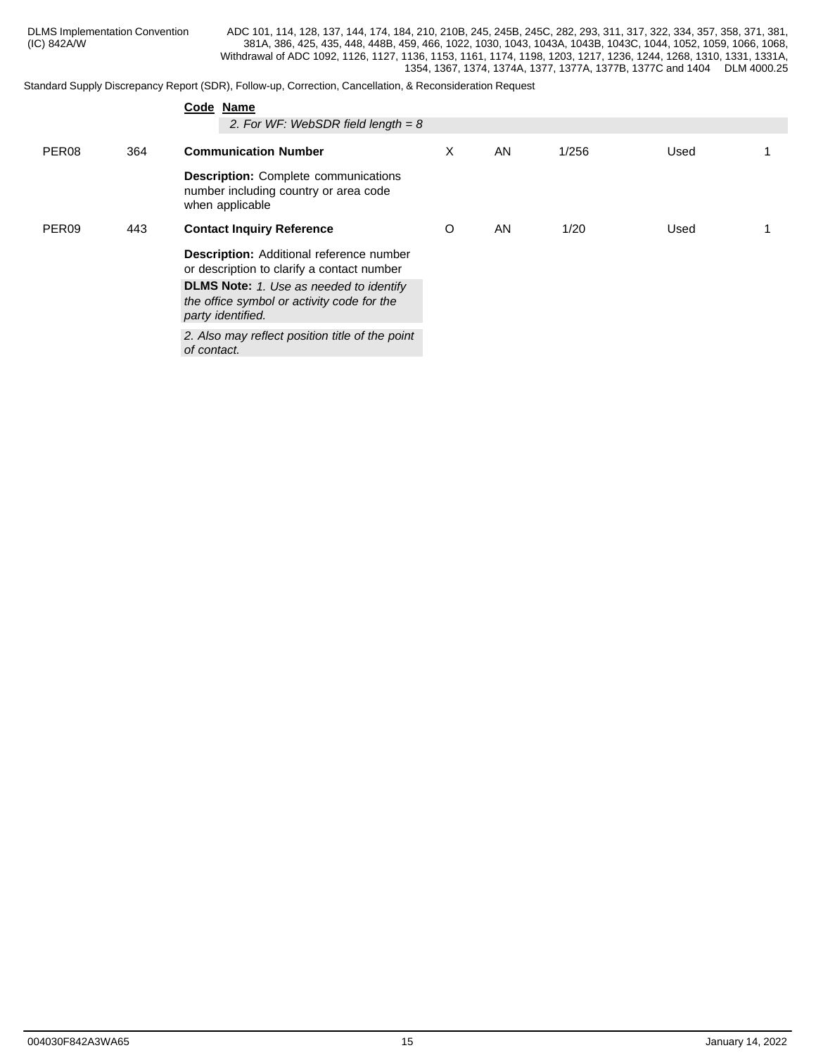| <b>DLMS Implementation Convention</b> | ADC 101, 114, 128, 137, 144, 174, 184, 210, 210B, 245, 245B, 245C, 282, 293, 311, 317, 322, 334, 357, 358, 371, 381, |
|---------------------------------------|----------------------------------------------------------------------------------------------------------------------|
| (IC) 842A/W                           | 381A, 386, 425, 435, 448, 448B, 459, 466, 1022, 1030, 1043, 1043A, 1043B, 1043C, 1044, 1052, 1059, 1066, 1068,       |
|                                       | Withdrawal of ADC 1092, 1126, 1127, 1136, 1153, 1161, 1174, 1198, 1203, 1217, 1236, 1244, 1268, 1310, 1331, 1331A,   |
|                                       | 1354, 1367, 1374, 1374A, 1377, 1377A, 1377B, 1377C and 1404<br>DLM 4000.25                                           |

|                   |     | Code Name<br>2. For WF: WebSDR field length = $8$                                                                 |   |    |       |      |  |
|-------------------|-----|-------------------------------------------------------------------------------------------------------------------|---|----|-------|------|--|
| PER <sub>08</sub> | 364 | <b>Communication Number</b>                                                                                       | X | AN | 1/256 | Used |  |
|                   |     | <b>Description:</b> Complete communications<br>number including country or area code<br>when applicable           |   |    |       |      |  |
| PER <sub>09</sub> | 443 | <b>Contact Inquiry Reference</b>                                                                                  | O | AN | 1/20  | Used |  |
|                   |     | <b>Description:</b> Additional reference number<br>or description to clarify a contact number                     |   |    |       |      |  |
|                   |     | <b>DLMS Note:</b> 1. Use as needed to identify<br>the office symbol or activity code for the<br>party identified. |   |    |       |      |  |
|                   |     | 2. Also may reflect position title of the point<br>of contact.                                                    |   |    |       |      |  |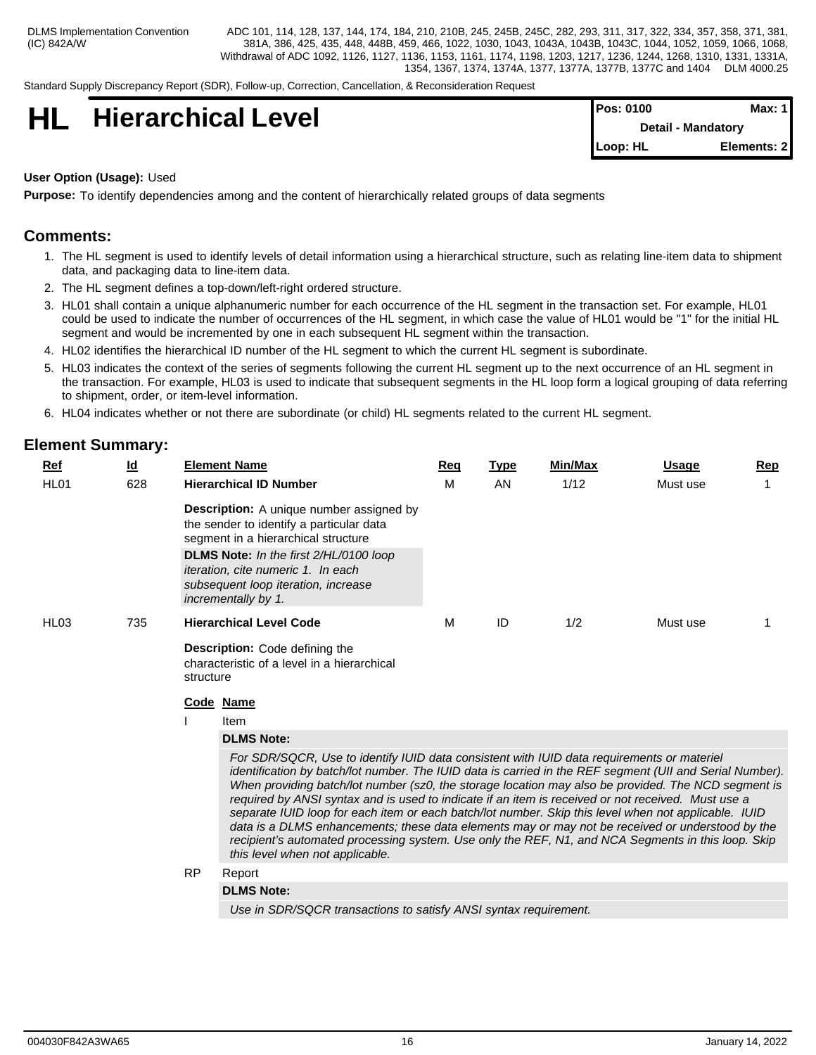Standard Supply Discrepancy Report (SDR), Follow-up, Correction, Cancellation, & Reconsideration Request

# **HI Hierarchical Level**

| <b>Pos: 0100</b>   | Max: 1      |  |
|--------------------|-------------|--|
| Detail - Mandatory |             |  |
| Loop: HL           | Elements: 2 |  |

### **User Option (Usage):** Used

**Purpose:** To identify dependencies among and the content of hierarchically related groups of data segments

### **Comments:**

- 1. The HL segment is used to identify levels of detail information using a hierarchical structure, such as relating line-item data to shipment data, and packaging data to line-item data.
- 2. The HL segment defines a top-down/left-right ordered structure.
- 3. HL01 shall contain a unique alphanumeric number for each occurrence of the HL segment in the transaction set. For example, HL01 could be used to indicate the number of occurrences of the HL segment, in which case the value of HL01 would be "1" for the initial HL segment and would be incremented by one in each subsequent HL segment within the transaction.
- 4. HL02 identifies the hierarchical ID number of the HL segment to which the current HL segment is subordinate.
- 5. HL03 indicates the context of the series of segments following the current HL segment up to the next occurrence of an HL segment in the transaction. For example, HL03 is used to indicate that subsequent segments in the HL loop form a logical grouping of data referring to shipment, order, or item-level information.
- 6. HL04 indicates whether or not there are subordinate (or child) HL segments related to the current HL segment.

### **Element Summary:**

| <b>Ref</b>       | $\underline{\mathsf{Id}}$ | <b>Element Name</b>                                                                                                                                                                                                                                                              | <u>Req</u> | <u>Type</u> | Min/Max | Usage    | <b>Rep</b> |
|------------------|---------------------------|----------------------------------------------------------------------------------------------------------------------------------------------------------------------------------------------------------------------------------------------------------------------------------|------------|-------------|---------|----------|------------|
| HL01             | 628                       | <b>Hierarchical ID Number</b>                                                                                                                                                                                                                                                    | м          | AN          | 1/12    | Must use |            |
|                  |                           | <b>Description:</b> A unique number assigned by<br>the sender to identify a particular data<br>segment in a hierarchical structure<br>DLMS Note: In the first 2/HL/0100 loop<br>iteration, cite numeric 1. In each<br>subsequent loop iteration, increase<br>incrementally by 1. |            |             |         |          |            |
| HL <sub>03</sub> | 735                       | <b>Hierarchical Level Code</b>                                                                                                                                                                                                                                                   | м          | ID          | 1/2     | Must use |            |
|                  |                           | <b>Description:</b> Code defining the<br>characteristic of a level in a hierarchical<br>structure                                                                                                                                                                                |            |             |         |          |            |
|                  |                           | Code Name                                                                                                                                                                                                                                                                        |            |             |         |          |            |

I item the state of the state of the state of the state of the state of the state of the state of the state of the state of the state of the state of the state of the state of the state of the state of the state of the sta

### **DLMS Note:**

*For SDR/SQCR, Use to identify IUID data consistent with IUID data requirements or materiel identification by batch/lot number. The IUID data is carried in the REF segment (UII and Serial Number). When providing batch/lot number (sz0, the storage location may also be provided. The NCD segment is required by ANSI syntax and is used to indicate if an item is received or not received. Must use a separate IUID loop for each item or each batch/lot number. Skip this level when not applicable. IUID data is a DLMS enhancements; these data elements may or may not be received or understood by the recipient's automated processing system. Use only the REF, N1, and NCA Segments in this loop. Skip this level when not applicable.*

RP Report

### **DLMS Note:**

*Use in SDR/SQCR transactions to satisfy ANSI syntax requirement.*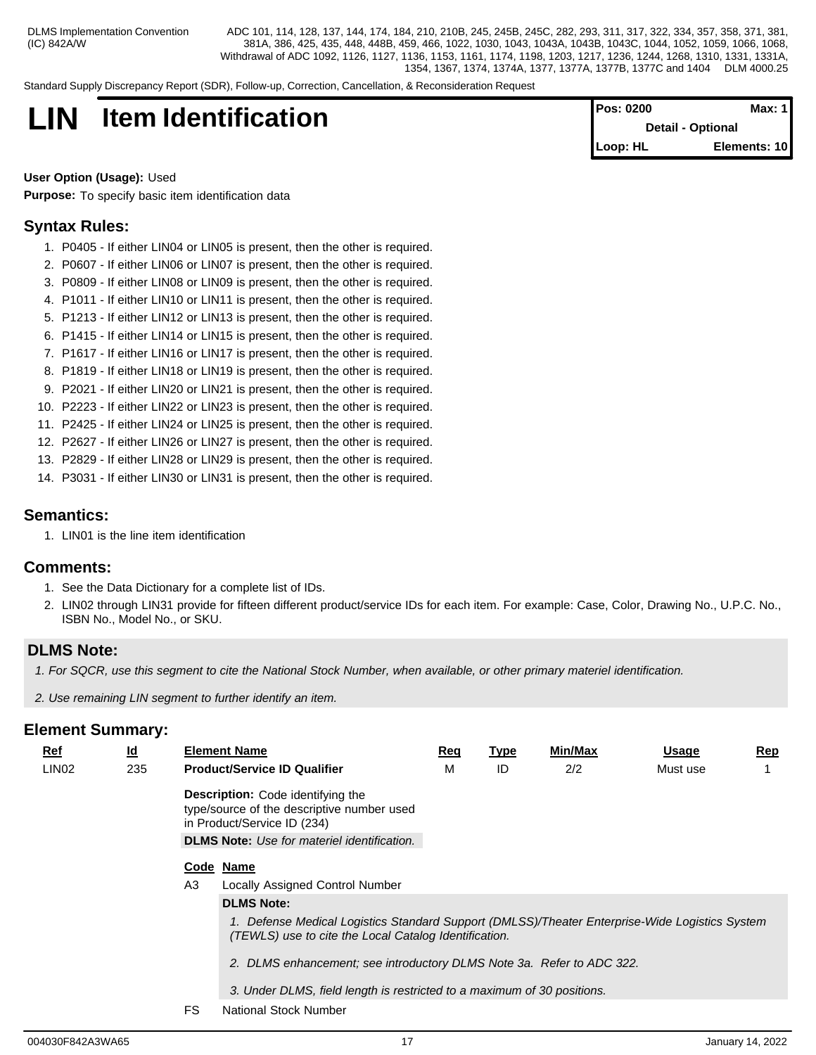Standard Supply Discrepancy Report (SDR), Follow-up, Correction, Cancellation, & Reconsideration Request

# **LIN Item Identification**

| <b>Pos: 0200</b> | Max: 1                   |
|------------------|--------------------------|
|                  | <b>Detail - Optional</b> |
| Loop: HL         | Elements: 10             |

**User Option (Usage):** Used **Purpose:** To specify basic item identification data

# **Syntax Rules:**

- 1. P0405 If either LIN04 or LIN05 is present, then the other is required.
- 2. P0607 If either LIN06 or LIN07 is present, then the other is required.
- 3. P0809 If either LIN08 or LIN09 is present, then the other is required.
- 4. P1011 If either LIN10 or LIN11 is present, then the other is required.
- 5. P1213 If either LIN12 or LIN13 is present, then the other is required.
- 6. P1415 If either LIN14 or LIN15 is present, then the other is required.
- 7. P1617 If either LIN16 or LIN17 is present, then the other is required.
- 8. P1819 If either LIN18 or LIN19 is present, then the other is required.
- 9. P2021 If either LIN20 or LIN21 is present, then the other is required.
- 10. P2223 If either LIN22 or LIN23 is present, then the other is required.
- 11. P2425 If either LIN24 or LIN25 is present, then the other is required.
- 12. P2627 If either LIN26 or LIN27 is present, then the other is required.
- 13. P2829 If either LIN28 or LIN29 is present, then the other is required.
- 14. P3031 If either LIN30 or LIN31 is present, then the other is required.

# **Semantics:**

1. LIN01 is the line item identification

### **Comments:**

- 1. See the Data Dictionary for a complete list of IDs.
- 2. LIN02 through LIN31 provide for fifteen different product/service IDs for each item. For example: Case, Color, Drawing No., U.P.C. No., ISBN No., Model No., or SKU.

# **DLMS Note:**

- *1. For SQCR, use this segment to cite the National Stock Number, when available, or other primary materiel identification.*
- *2. Use remaining LIN segment to further identify an item.*

| <u>Ref</u>        | $\underline{\mathsf{Id}}$ |                | <b>Element Name</b>                                                                                                                                                         | Req | <b>Type</b> | <u>Min/Max</u> | <u>Usage</u> | <u>Rep</u> |  |  |  |
|-------------------|---------------------------|----------------|-----------------------------------------------------------------------------------------------------------------------------------------------------------------------------|-----|-------------|----------------|--------------|------------|--|--|--|
| LIN <sub>02</sub> | 235                       |                | <b>Product/Service ID Qualifier</b>                                                                                                                                         | м   | ID          | 2/2            | Must use     |            |  |  |  |
|                   |                           |                | <b>Description:</b> Code identifying the<br>type/source of the descriptive number used<br>in Product/Service ID (234)<br><b>DLMS Note:</b> Use for materiel identification. |     |             |                |              |            |  |  |  |
|                   |                           |                | Code Name                                                                                                                                                                   |     |             |                |              |            |  |  |  |
|                   |                           | A <sub>3</sub> | <b>Locally Assigned Control Number</b>                                                                                                                                      |     |             |                |              |            |  |  |  |
|                   |                           |                | <b>DLMS Note:</b>                                                                                                                                                           |     |             |                |              |            |  |  |  |
|                   |                           |                | 1. Defense Medical Logistics Standard Support (DMLSS)/Theater Enterprise-Wide Logistics System<br>(TEWLS) use to cite the Local Catalog Identification.                     |     |             |                |              |            |  |  |  |
|                   |                           |                | 2. DLMS enhancement; see introductory DLMS Note 3a. Refer to ADC 322.                                                                                                       |     |             |                |              |            |  |  |  |
|                   |                           |                | 3. Under DLMS, field length is restricted to a maximum of 30 positions.                                                                                                     |     |             |                |              |            |  |  |  |
|                   |                           | FS.            | <b>National Stock Number</b>                                                                                                                                                |     |             |                |              |            |  |  |  |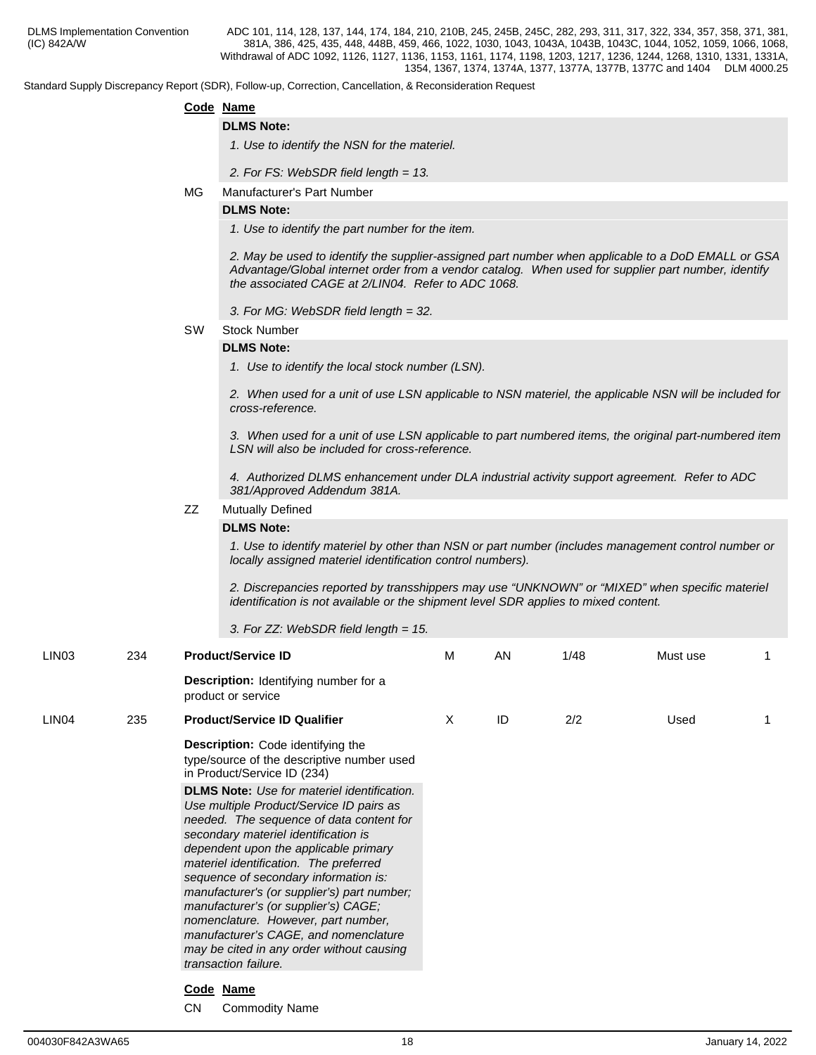Standard Supply Discrepancy Report (SDR), Follow-up, Correction, Cancellation, & Reconsideration Request

### **Code Name**

### **DLMS Note:**

*1. Use to identify the NSN for the materiel.*

- *2. For FS: WebSDR field length = 13.*
- MG Manufacturer's Part Number

### **DLMS Note:**

*1. Use to identify the part number for the item.*

*2. May be used to identify the supplier-assigned part number when applicable to a DoD EMALL or GSA Advantage/Global internet order from a vendor catalog. When used for supplier part number, identify the associated CAGE at 2/LIN04. Refer to ADC 1068.*

*3. For MG: WebSDR field length = 32.*

### SW Stock Number

### **DLMS Note:**

*1. Use to identify the local stock number (LSN).*

*2. When used for a unit of use LSN applicable to NSN materiel, the applicable NSN will be included for cross-reference.*

*3. When used for a unit of use LSN applicable to part numbered items, the original part-numbered item LSN will also be included for cross-reference.*

*4. Authorized DLMS enhancement under DLA industrial activity support agreement. Refer to ADC 381/Approved Addendum 381A.*

### ZZ Mutually Defined

### **DLMS Note:**

*1. Use to identify materiel by other than NSN or part number (includes management control number or locally assigned materiel identification control numbers).*

*2. Discrepancies reported by transshippers may use "UNKNOWN" or "MIXED" when specific materiel identification is not available or the shipment level SDR applies to mixed content.*

*3. For ZZ: WebSDR field length = 15.*

| <b>Description:</b> Identifying number for a<br>product or service<br>X<br>ID<br>2/2<br>LIN <sub>04</sub><br>235<br><b>Product/Service ID Qualifier</b><br>Used<br><b>Description:</b> Code identifying the<br>type/source of the descriptive number used<br>in Product/Service ID (234)<br><b>DLMS Note:</b> Use for materiel identification.<br>Use multiple Product/Service ID pairs as<br>needed. The sequence of data content for<br>secondary materiel identification is<br>dependent upon the applicable primary<br>materiel identification. The preferred<br>sequence of secondary information is:<br>manufacturer's (or supplier's) part number;<br>manufacturer's (or supplier's) CAGE;<br>nomenclature. However, part number,<br>manufacturer's CAGE, and nomenclature<br>may be cited in any order without causing<br>transaction failure.<br>Code Name | LIN <sub>03</sub> | 234 | <b>Product/Service ID</b>          | M | <b>AN</b> | 1/48 | Must use |  |
|---------------------------------------------------------------------------------------------------------------------------------------------------------------------------------------------------------------------------------------------------------------------------------------------------------------------------------------------------------------------------------------------------------------------------------------------------------------------------------------------------------------------------------------------------------------------------------------------------------------------------------------------------------------------------------------------------------------------------------------------------------------------------------------------------------------------------------------------------------------------|-------------------|-----|------------------------------------|---|-----------|------|----------|--|
|                                                                                                                                                                                                                                                                                                                                                                                                                                                                                                                                                                                                                                                                                                                                                                                                                                                                     |                   |     |                                    |   |           |      |          |  |
|                                                                                                                                                                                                                                                                                                                                                                                                                                                                                                                                                                                                                                                                                                                                                                                                                                                                     |                   |     |                                    |   |           |      |          |  |
|                                                                                                                                                                                                                                                                                                                                                                                                                                                                                                                                                                                                                                                                                                                                                                                                                                                                     |                   |     |                                    |   |           |      |          |  |
|                                                                                                                                                                                                                                                                                                                                                                                                                                                                                                                                                                                                                                                                                                                                                                                                                                                                     |                   |     |                                    |   |           |      |          |  |
|                                                                                                                                                                                                                                                                                                                                                                                                                                                                                                                                                                                                                                                                                                                                                                                                                                                                     |                   |     | <b>CN</b><br><b>Commodity Name</b> |   |           |      |          |  |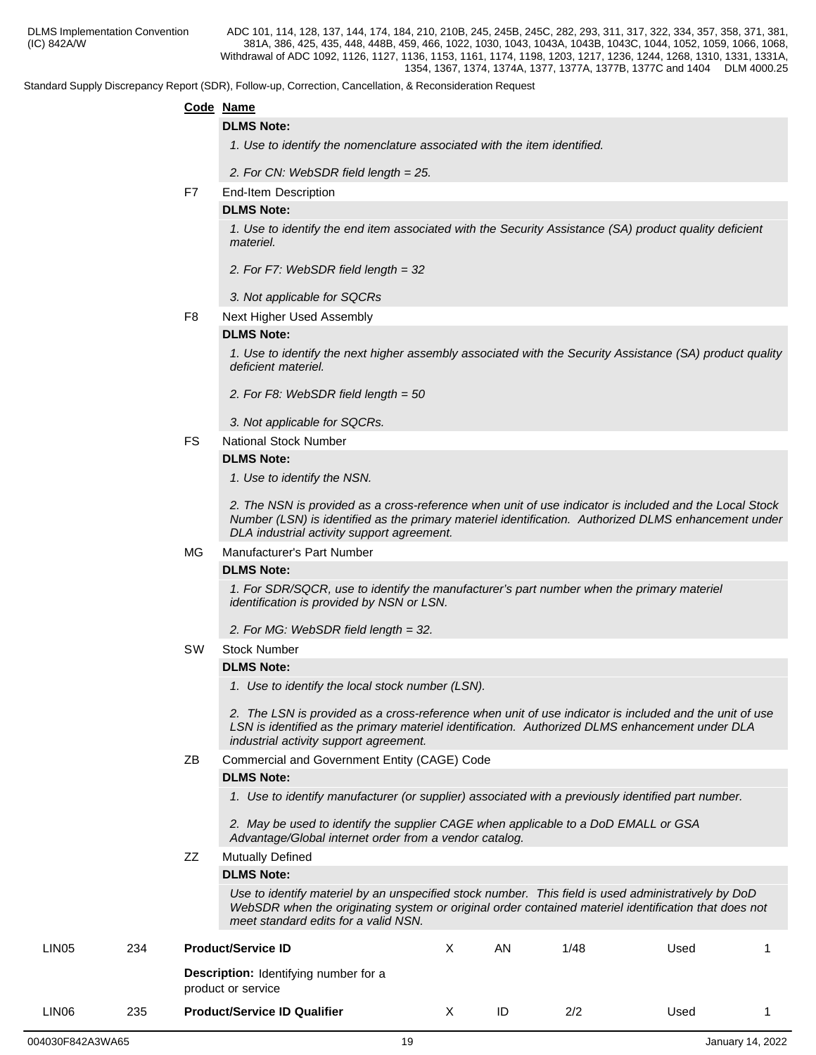Standard Supply Discrepancy Report (SDR), Follow-up, Correction, Cancellation, & Reconsideration Request

### **Code Name**

### **DLMS Note:**

*1. Use to identify the nomenclature associated with the item identified.*

- *2. For CN: WebSDR field length = 25.*
- F7 End-Item Description

### **DLMS Note:**

*1. Use to identify the end item associated with the Security Assistance (SA) product quality deficient materiel.* 

- *2. For F7: WebSDR field length = 32*
- *3. Not applicable for SQCRs*
- F8 Next Higher Used Assembly

### **DLMS Note:**

*1. Use to identify the next higher assembly associated with the Security Assistance (SA) product quality deficient materiel.*

- *2. For F8: WebSDR field length = 50*
- *3. Not applicable for SQCRs.*
- FS National Stock Number

### **DLMS Note:**

*1. Use to identify the NSN.* 

*2. The NSN is provided as a cross-reference when unit of use indicator is included and the Local Stock Number (LSN) is identified as the primary materiel identification. Authorized DLMS enhancement under DLA industrial activity support agreement.* 

MG Manufacturer's Part Number

### **DLMS Note:**

*1. For SDR/SQCR, use to identify the manufacturer's part number when the primary materiel identification is provided by NSN or LSN.*

*2. For MG: WebSDR field length = 32.*

SW Stock Number

### **DLMS Note:**

*1. Use to identify the local stock number (LSN).*

*2. The LSN is provided as a cross-reference when unit of use indicator is included and the unit of use LSN is identified as the primary materiel identification. Authorized DLMS enhancement under DLA industrial activity support agreement.*

ZB Commercial and Government Entity (CAGE) Code

### **DLMS Note:**

*1. Use to identify manufacturer (or supplier) associated with a previously identified part number.*

*2. May be used to identify the supplier CAGE when applicable to a DoD EMALL or GSA Advantage/Global internet order from a vendor catalog.* 

ZZ Mutually Defined

### **DLMS Note:**

*Use to identify materiel by an unspecified stock number. This field is used administratively by DoD WebSDR when the originating system or original order contained materiel identification that does not meet standard edits for a valid NSN.*

| LIN05 | 234 | <b>Product/Service ID</b>                                          | ΑN | 1/48 | Used |  |
|-------|-----|--------------------------------------------------------------------|----|------|------|--|
|       |     | <b>Description:</b> Identifying number for a<br>product or service |    |      |      |  |
| LIN06 | 235 | <b>Product/Service ID Qualifier</b>                                | ID | 2/2  | Used |  |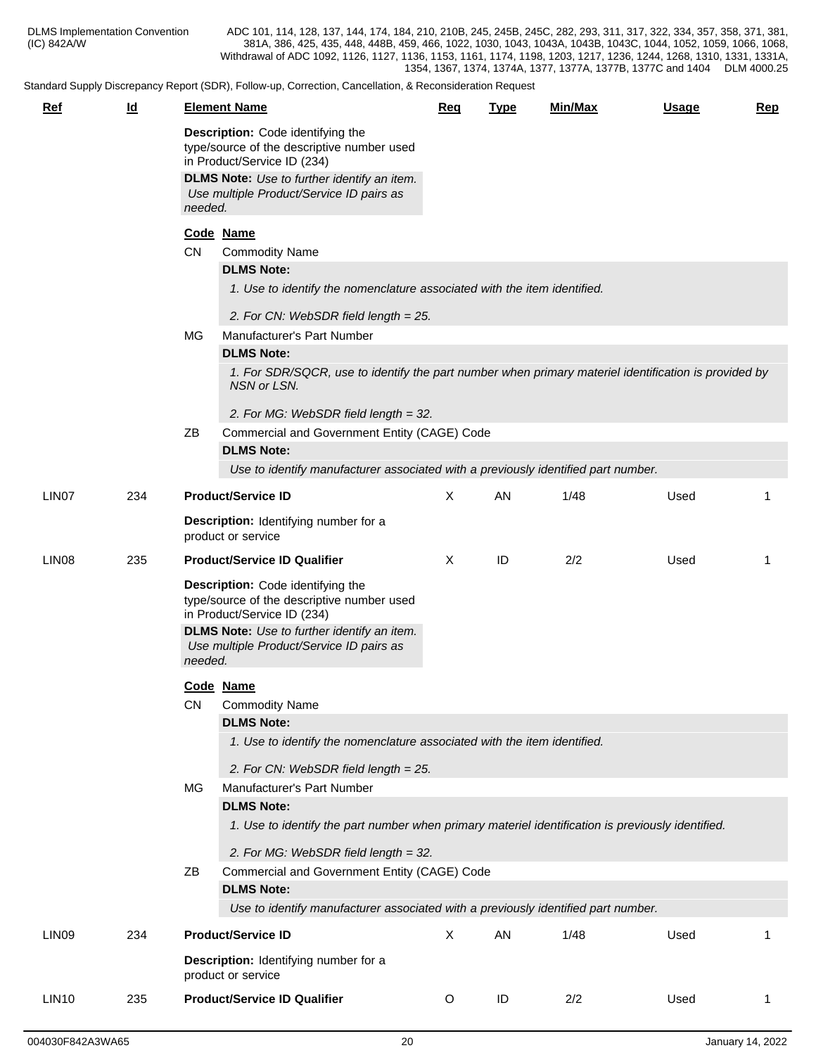| <b>Ref</b>        | $\underline{\mathsf{Id}}$ |           | <b>Element Name</b>                                                                                                                                                                                                         | Req                       | <b>Type</b> | Min/Max | <b>Usage</b> | Rep          |
|-------------------|---------------------------|-----------|-----------------------------------------------------------------------------------------------------------------------------------------------------------------------------------------------------------------------------|---------------------------|-------------|---------|--------------|--------------|
|                   |                           |           | Description: Code identifying the<br>type/source of the descriptive number used<br>in Product/Service ID (234)<br><b>DLMS Note:</b> Use to further identify an item.<br>Use multiple Product/Service ID pairs as<br>needed. |                           |             |         |              |              |
|                   |                           |           | Code Name                                                                                                                                                                                                                   |                           |             |         |              |              |
|                   |                           | <b>CN</b> | <b>Commodity Name</b>                                                                                                                                                                                                       |                           |             |         |              |              |
|                   |                           |           | <b>DLMS Note:</b>                                                                                                                                                                                                           |                           |             |         |              |              |
|                   |                           |           | 1. Use to identify the nomenclature associated with the item identified.                                                                                                                                                    |                           |             |         |              |              |
|                   |                           |           | 2. For CN: WebSDR field length = 25.                                                                                                                                                                                        |                           |             |         |              |              |
|                   |                           | МG        | Manufacturer's Part Number                                                                                                                                                                                                  |                           |             |         |              |              |
|                   |                           |           | <b>DLMS Note:</b>                                                                                                                                                                                                           |                           |             |         |              |              |
|                   |                           |           | 1. For SDR/SQCR, use to identify the part number when primary materiel identification is provided by<br>NSN or LSN.                                                                                                         |                           |             |         |              |              |
|                   |                           |           | 2. For MG: WebSDR field length = 32.                                                                                                                                                                                        |                           |             |         |              |              |
|                   |                           | ΖB        | Commercial and Government Entity (CAGE) Code                                                                                                                                                                                |                           |             |         |              |              |
|                   |                           |           | <b>DLMS Note:</b>                                                                                                                                                                                                           |                           |             |         |              |              |
|                   |                           |           | Use to identify manufacturer associated with a previously identified part number.                                                                                                                                           |                           |             |         |              |              |
| LIN07             | 234                       |           | <b>Product/Service ID</b>                                                                                                                                                                                                   | $\mathsf{X}$              | AN          | 1/48    | Used         | 1            |
|                   |                           |           | Description: Identifying number for a<br>product or service                                                                                                                                                                 |                           |             |         |              |              |
| LIN <sub>08</sub> | 235                       |           | <b>Product/Service ID Qualifier</b>                                                                                                                                                                                         | $\boldsymbol{\mathsf{X}}$ | ID          | 2/2     | Used         | $\mathbf{1}$ |
|                   |                           |           | Description: Code identifying the<br>type/source of the descriptive number used<br>in Product/Service ID (234)                                                                                                              |                           |             |         |              |              |
|                   |                           | needed.   | <b>DLMS Note:</b> Use to further identify an item.<br>Use multiple Product/Service ID pairs as                                                                                                                              |                           |             |         |              |              |
|                   |                           |           | Code Name                                                                                                                                                                                                                   |                           |             |         |              |              |
|                   |                           | <b>CN</b> | <b>Commodity Name</b>                                                                                                                                                                                                       |                           |             |         |              |              |
|                   |                           |           | <b>DLMS Note:</b>                                                                                                                                                                                                           |                           |             |         |              |              |
|                   |                           |           | 1. Use to identify the nomenclature associated with the item identified.                                                                                                                                                    |                           |             |         |              |              |
|                   |                           |           | 2. For CN: WebSDR field length = 25.                                                                                                                                                                                        |                           |             |         |              |              |
|                   |                           | MG        | Manufacturer's Part Number                                                                                                                                                                                                  |                           |             |         |              |              |
|                   |                           |           | <b>DLMS Note:</b>                                                                                                                                                                                                           |                           |             |         |              |              |
|                   |                           |           | 1. Use to identify the part number when primary materiel identification is previously identified.                                                                                                                           |                           |             |         |              |              |
|                   |                           |           | 2. For MG: WebSDR field length = 32.                                                                                                                                                                                        |                           |             |         |              |              |
|                   |                           | ΖB        | Commercial and Government Entity (CAGE) Code                                                                                                                                                                                |                           |             |         |              |              |
|                   |                           |           | <b>DLMS Note:</b>                                                                                                                                                                                                           |                           |             |         |              |              |
|                   |                           |           | Use to identify manufacturer associated with a previously identified part number.                                                                                                                                           |                           |             |         |              |              |
| LIN09             | 234                       |           | <b>Product/Service ID</b>                                                                                                                                                                                                   | $\mathsf{X}$              | AN          | 1/48    | Used         |              |
|                   |                           |           | Description: Identifying number for a<br>product or service                                                                                                                                                                 |                           |             |         |              |              |
| <b>LIN10</b>      | 235                       |           | <b>Product/Service ID Qualifier</b>                                                                                                                                                                                         | $\circ$                   | ID          | 2/2     | Used         | 1            |
|                   |                           |           |                                                                                                                                                                                                                             |                           |             |         |              |              |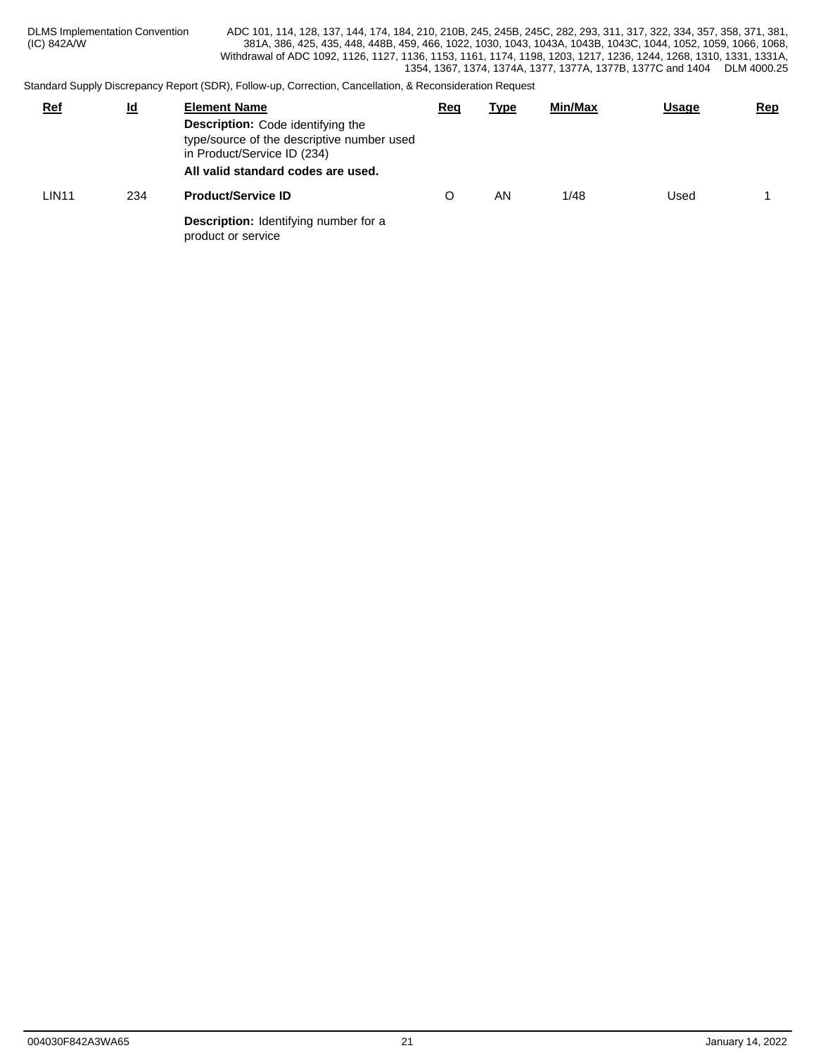| <b>DLMS Implementation Convention</b> | ADC 101, 114, 128, 137, 144, 174, 184, 210, 210B, 245, 245B, 245C, 282, 293, 311, 317, 322, 334, 357, 358, 371, 381, |
|---------------------------------------|----------------------------------------------------------------------------------------------------------------------|
| (IC) 842A/W                           | 381A, 386, 425, 435, 448, 448B, 459, 466, 1022, 1030, 1043, 1043A, 1043B, 1043C, 1044, 1052, 1059, 1066, 1068,       |
|                                       | Withdrawal of ADC 1092, 1126, 1127, 1136, 1153, 1161, 1174, 1198, 1203, 1217, 1236, 1244, 1268, 1310, 1331, 1331A,   |
|                                       | 1354, 1367, 1374, 1374A, 1377, 1377A, 1377B, 1377C and 1404<br>DLM 4000.25                                           |

| <u>Ref</u>   | $\underline{\mathsf{Id}}$ | <b>Element Name</b>                                                                                                                                         | <u>Req</u> | <u>Type</u> | <b>Min/Max</b> | <b>Usage</b> | <b>Rep</b> |
|--------------|---------------------------|-------------------------------------------------------------------------------------------------------------------------------------------------------------|------------|-------------|----------------|--------------|------------|
|              |                           | <b>Description:</b> Code identifying the<br>type/source of the descriptive number used<br>in Product/Service ID (234)<br>All valid standard codes are used. |            |             |                |              |            |
| <b>LIN11</b> | 234                       | <b>Product/Service ID</b>                                                                                                                                   |            | AN          | 1/48           | Used         |            |
|              |                           | <b>Description:</b> Identifying number for a<br>product or service                                                                                          |            |             |                |              |            |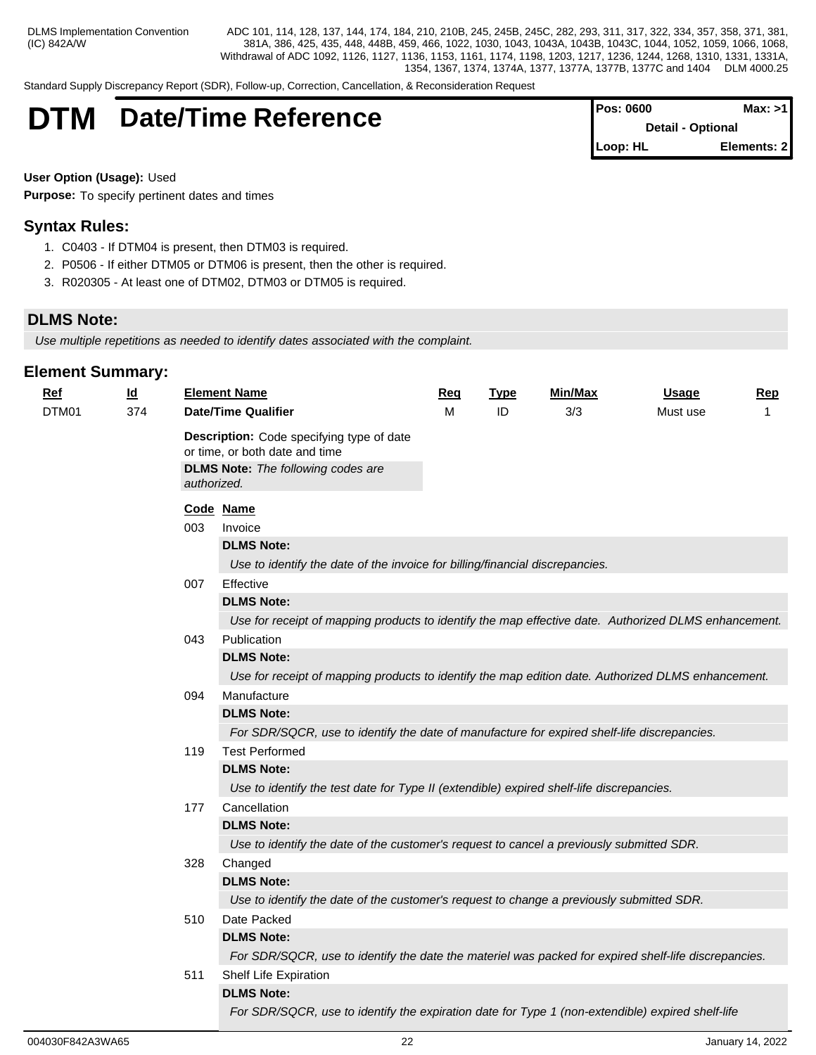Standard Supply Discrepancy Report (SDR), Follow-up, Correction, Cancellation, & Reconsideration Request

# **DTM** Date/Time Reference

| <b>IPos: 0600</b>        | Max: >11    |  |
|--------------------------|-------------|--|
| <b>Detail - Optional</b> |             |  |
| Loop: HL                 | Elements: 2 |  |

# **User Option (Usage):** Used

**Purpose:** To specify pertinent dates and times

# **Syntax Rules:**

- 1. C0403 If DTM04 is present, then DTM03 is required.
- 2. P0506 If either DTM05 or DTM06 is present, then the other is required.
- 3. R020305 At least one of DTM02, DTM03 or DTM05 is required.

# **DLMS Note:**

*Use multiple repetitions as needed to identify dates associated with the complaint.* 

| <u>Ref</u> | $\underline{\mathsf{Id}}$ |             | <b>Element Name</b>                                                                                  | Req                                                                          | <b>Type</b> | <b>Min/Max</b> | <b>Usage</b> | <b>Rep</b> |  |  |  |  |
|------------|---------------------------|-------------|------------------------------------------------------------------------------------------------------|------------------------------------------------------------------------------|-------------|----------------|--------------|------------|--|--|--|--|
| DTM01      | 374                       |             | <b>Date/Time Qualifier</b>                                                                           | M                                                                            | ID          | 3/3            | Must use     |            |  |  |  |  |
|            |                           |             | Description: Code specifying type of date                                                            |                                                                              |             |                |              |            |  |  |  |  |
|            |                           |             | or time, or both date and time                                                                       |                                                                              |             |                |              |            |  |  |  |  |
|            |                           | authorized. | <b>DLMS Note:</b> The following codes are                                                            |                                                                              |             |                |              |            |  |  |  |  |
|            |                           |             |                                                                                                      |                                                                              |             |                |              |            |  |  |  |  |
|            |                           |             | Code Name                                                                                            |                                                                              |             |                |              |            |  |  |  |  |
|            |                           | 003         | Invoice                                                                                              |                                                                              |             |                |              |            |  |  |  |  |
|            |                           |             | <b>DLMS Note:</b>                                                                                    |                                                                              |             |                |              |            |  |  |  |  |
|            |                           |             |                                                                                                      | Use to identify the date of the invoice for billing/financial discrepancies. |             |                |              |            |  |  |  |  |
|            |                           | 007         | Effective                                                                                            |                                                                              |             |                |              |            |  |  |  |  |
|            |                           |             | <b>DLMS Note:</b>                                                                                    |                                                                              |             |                |              |            |  |  |  |  |
|            |                           |             | Use for receipt of mapping products to identify the map effective date. Authorized DLMS enhancement. |                                                                              |             |                |              |            |  |  |  |  |
|            |                           | 043         | Publication                                                                                          |                                                                              |             |                |              |            |  |  |  |  |
|            |                           |             | <b>DLMS Note:</b>                                                                                    |                                                                              |             |                |              |            |  |  |  |  |
|            |                           |             | Use for receipt of mapping products to identify the map edition date. Authorized DLMS enhancement.   |                                                                              |             |                |              |            |  |  |  |  |
|            |                           | 094         | Manufacture                                                                                          |                                                                              |             |                |              |            |  |  |  |  |
|            |                           |             | <b>DLMS Note:</b>                                                                                    |                                                                              |             |                |              |            |  |  |  |  |
|            |                           |             | For SDR/SQCR, use to identify the date of manufacture for expired shelf-life discrepancies.          |                                                                              |             |                |              |            |  |  |  |  |
|            |                           | 119         | <b>Test Performed</b>                                                                                |                                                                              |             |                |              |            |  |  |  |  |
|            |                           |             | <b>DLMS Note:</b>                                                                                    |                                                                              |             |                |              |            |  |  |  |  |
|            |                           |             | Use to identify the test date for Type II (extendible) expired shelf-life discrepancies.             |                                                                              |             |                |              |            |  |  |  |  |
|            |                           | 177         | Cancellation                                                                                         |                                                                              |             |                |              |            |  |  |  |  |
|            |                           |             | <b>DLMS Note:</b>                                                                                    |                                                                              |             |                |              |            |  |  |  |  |
|            |                           |             | Use to identify the date of the customer's request to cancel a previously submitted SDR.             |                                                                              |             |                |              |            |  |  |  |  |
|            |                           | 328         | Changed                                                                                              |                                                                              |             |                |              |            |  |  |  |  |
|            |                           |             | <b>DLMS Note:</b>                                                                                    |                                                                              |             |                |              |            |  |  |  |  |
|            |                           |             | Use to identify the date of the customer's request to change a previously submitted SDR.             |                                                                              |             |                |              |            |  |  |  |  |
|            |                           | 510         | Date Packed                                                                                          |                                                                              |             |                |              |            |  |  |  |  |
|            |                           |             | <b>DLMS Note:</b>                                                                                    |                                                                              |             |                |              |            |  |  |  |  |
|            |                           |             | For SDR/SQCR, use to identify the date the materiel was packed for expired shelf-life discrepancies. |                                                                              |             |                |              |            |  |  |  |  |
|            |                           | 511         | Shelf Life Expiration                                                                                |                                                                              |             |                |              |            |  |  |  |  |
|            |                           |             | <b>DLMS Note:</b>                                                                                    |                                                                              |             |                |              |            |  |  |  |  |
|            |                           |             | For SDR/SQCR, use to identify the expiration date for Type 1 (non-extendible) expired shelf-life     |                                                                              |             |                |              |            |  |  |  |  |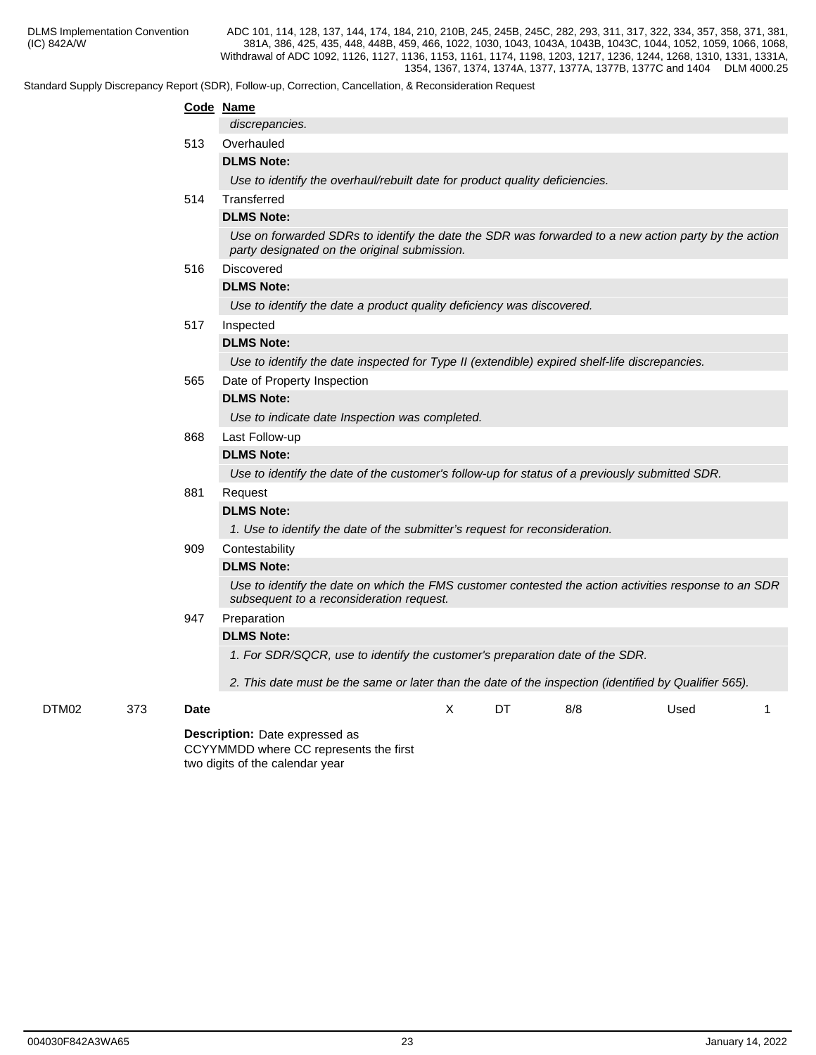Standard Supply Discrepancy Report (SDR), Follow-up, Correction, Cancellation, & Reconsideration Request

|       |     |      | Code Name                                                                                                                                            |  |  |  |  |  |  |  |  |  |  |  |
|-------|-----|------|------------------------------------------------------------------------------------------------------------------------------------------------------|--|--|--|--|--|--|--|--|--|--|--|
|       |     |      | discrepancies.                                                                                                                                       |  |  |  |  |  |  |  |  |  |  |  |
|       |     | 513  | Overhauled                                                                                                                                           |  |  |  |  |  |  |  |  |  |  |  |
|       |     |      | <b>DLMS Note:</b>                                                                                                                                    |  |  |  |  |  |  |  |  |  |  |  |
|       |     |      | Use to identify the overhaul/rebuilt date for product quality deficiencies.                                                                          |  |  |  |  |  |  |  |  |  |  |  |
|       |     | 514  | Transferred                                                                                                                                          |  |  |  |  |  |  |  |  |  |  |  |
|       |     |      | <b>DLMS Note:</b>                                                                                                                                    |  |  |  |  |  |  |  |  |  |  |  |
|       |     |      | Use on forwarded SDRs to identify the date the SDR was forwarded to a new action party by the action<br>party designated on the original submission. |  |  |  |  |  |  |  |  |  |  |  |
|       |     | 516  | Discovered                                                                                                                                           |  |  |  |  |  |  |  |  |  |  |  |
|       |     |      | <b>DLMS Note:</b>                                                                                                                                    |  |  |  |  |  |  |  |  |  |  |  |
|       |     |      | Use to identify the date a product quality deficiency was discovered.<br>Inspected<br><b>DLMS Note:</b>                                              |  |  |  |  |  |  |  |  |  |  |  |
|       |     | 517  |                                                                                                                                                      |  |  |  |  |  |  |  |  |  |  |  |
|       |     |      |                                                                                                                                                      |  |  |  |  |  |  |  |  |  |  |  |
|       |     |      | Use to identify the date inspected for Type II (extendible) expired shelf-life discrepancies.                                                        |  |  |  |  |  |  |  |  |  |  |  |
|       |     | 565  | Date of Property Inspection                                                                                                                          |  |  |  |  |  |  |  |  |  |  |  |
|       |     |      | <b>DLMS Note:</b>                                                                                                                                    |  |  |  |  |  |  |  |  |  |  |  |
|       |     |      | Use to indicate date Inspection was completed.                                                                                                       |  |  |  |  |  |  |  |  |  |  |  |
|       |     | 868  | Last Follow-up                                                                                                                                       |  |  |  |  |  |  |  |  |  |  |  |
|       |     |      | <b>DLMS Note:</b>                                                                                                                                    |  |  |  |  |  |  |  |  |  |  |  |
|       |     |      | Use to identify the date of the customer's follow-up for status of a previously submitted SDR.                                                       |  |  |  |  |  |  |  |  |  |  |  |
|       |     | 881  | Request                                                                                                                                              |  |  |  |  |  |  |  |  |  |  |  |
|       |     |      | <b>DLMS Note:</b>                                                                                                                                    |  |  |  |  |  |  |  |  |  |  |  |
|       |     |      | 1. Use to identify the date of the submitter's request for reconsideration.                                                                          |  |  |  |  |  |  |  |  |  |  |  |
|       |     | 909  | Contestability                                                                                                                                       |  |  |  |  |  |  |  |  |  |  |  |
|       |     |      | <b>DLMS Note:</b>                                                                                                                                    |  |  |  |  |  |  |  |  |  |  |  |
|       |     |      | Use to identify the date on which the FMS customer contested the action activities response to an SDR<br>subsequent to a reconsideration request.    |  |  |  |  |  |  |  |  |  |  |  |
|       |     | 947  | Preparation                                                                                                                                          |  |  |  |  |  |  |  |  |  |  |  |
|       |     |      | <b>DLMS Note:</b>                                                                                                                                    |  |  |  |  |  |  |  |  |  |  |  |
|       |     |      | 1. For SDR/SQCR, use to identify the customer's preparation date of the SDR.                                                                         |  |  |  |  |  |  |  |  |  |  |  |
|       |     |      | 2. This date must be the same or later than the date of the inspection (identified by Qualifier 565).                                                |  |  |  |  |  |  |  |  |  |  |  |
| DTM02 | 373 | Date | X<br>DT<br>8/8<br>Used<br>-1                                                                                                                         |  |  |  |  |  |  |  |  |  |  |  |
|       |     |      | <b>Description:</b> Date expressed as<br>CCYYMMDD where CC represents the first                                                                      |  |  |  |  |  |  |  |  |  |  |  |

two digits of the calendar year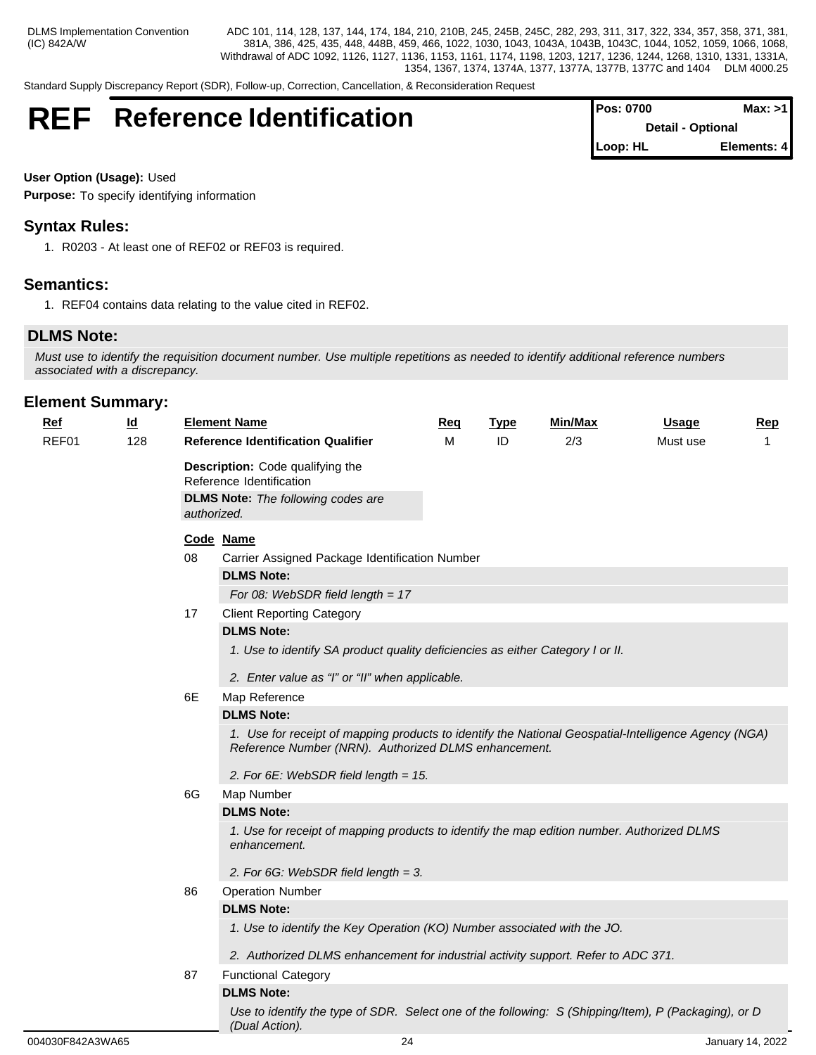Standard Supply Discrepancy Report (SDR), Follow-up, Correction, Cancellation, & Reconsideration Request

# **REF** Reference Identification

| <b>Pos: 0700</b>         | Max: >11    |
|--------------------------|-------------|
| <b>Detail - Optional</b> |             |
| Loop: HL                 | Elements: 4 |

### **User Option (Usage):** Used

**Purpose:** To specify identifying information

# **Syntax Rules:**

1. R0203 - At least one of REF02 or REF03 is required.

# **Semantics:**

1. REF04 contains data relating to the value cited in REF02.

# **DLMS Note:**

*Must use to identify the requisition document number. Use multiple repetitions as needed to identify additional reference numbers associated with a discrepancy.*

| $Ref$ | $\underline{\mathsf{Id}}$ |             | <b>Element Name</b>                                                                                                                                                                                                       | <b>Req</b> | <b>Type</b> | Min/Max | <b>Usage</b> | Rep |
|-------|---------------------------|-------------|---------------------------------------------------------------------------------------------------------------------------------------------------------------------------------------------------------------------------|------------|-------------|---------|--------------|-----|
| REF01 | 128                       |             | <b>Reference Identification Qualifier</b>                                                                                                                                                                                 | M          | ID          | 2/3     | Must use     |     |
|       |                           |             | Description: Code qualifying the<br>Reference Identification                                                                                                                                                              |            |             |         |              |     |
|       |                           | authorized. | <b>DLMS Note:</b> The following codes are                                                                                                                                                                                 |            |             |         |              |     |
|       |                           |             | Code Name                                                                                                                                                                                                                 |            |             |         |              |     |
|       |                           | 08          | Carrier Assigned Package Identification Number                                                                                                                                                                            |            |             |         |              |     |
|       |                           |             | <b>DLMS Note:</b>                                                                                                                                                                                                         |            |             |         |              |     |
|       |                           |             | For 08: WebSDR field length = $17$                                                                                                                                                                                        |            |             |         |              |     |
|       |                           | 17          | <b>Client Reporting Category</b>                                                                                                                                                                                          |            |             |         |              |     |
|       |                           |             | <b>DLMS Note:</b>                                                                                                                                                                                                         |            |             |         |              |     |
|       |                           |             | 1. Use to identify SA product quality deficiencies as either Category I or II.                                                                                                                                            |            |             |         |              |     |
|       |                           |             | 2. Enter value as "I" or "II" when applicable.                                                                                                                                                                            |            |             |         |              |     |
|       |                           | 6E          | Map Reference                                                                                                                                                                                                             |            |             |         |              |     |
|       |                           |             | <b>DLMS Note:</b><br>1. Use for receipt of mapping products to identify the National Geospatial-Intelligence Agency (NGA)<br>Reference Number (NRN). Authorized DLMS enhancement.<br>2. For 6E: WebSDR field length = 15. |            |             |         |              |     |
|       |                           | 6G          | Map Number                                                                                                                                                                                                                |            |             |         |              |     |
|       |                           |             | <b>DLMS Note:</b>                                                                                                                                                                                                         |            |             |         |              |     |
|       |                           |             | 1. Use for receipt of mapping products to identify the map edition number. Authorized DLMS<br>enhancement.                                                                                                                |            |             |         |              |     |
|       |                           |             | 2. For 6G: WebSDR field length = 3.                                                                                                                                                                                       |            |             |         |              |     |
|       |                           | 86          | <b>Operation Number</b>                                                                                                                                                                                                   |            |             |         |              |     |
|       |                           |             | <b>DLMS Note:</b>                                                                                                                                                                                                         |            |             |         |              |     |
|       |                           |             | 1. Use to identify the Key Operation (KO) Number associated with the JO.                                                                                                                                                  |            |             |         |              |     |
|       |                           |             | 2. Authorized DLMS enhancement for industrial activity support. Refer to ADC 371.                                                                                                                                         |            |             |         |              |     |
|       |                           | 87          | <b>Functional Category</b>                                                                                                                                                                                                |            |             |         |              |     |
|       |                           |             | <b>DLMS Note:</b>                                                                                                                                                                                                         |            |             |         |              |     |
|       |                           |             | Use to identify the type of SDR. Select one of the following: S (Shipping/Item), P (Packaging), or D<br>(Dual Action).                                                                                                    |            |             |         |              |     |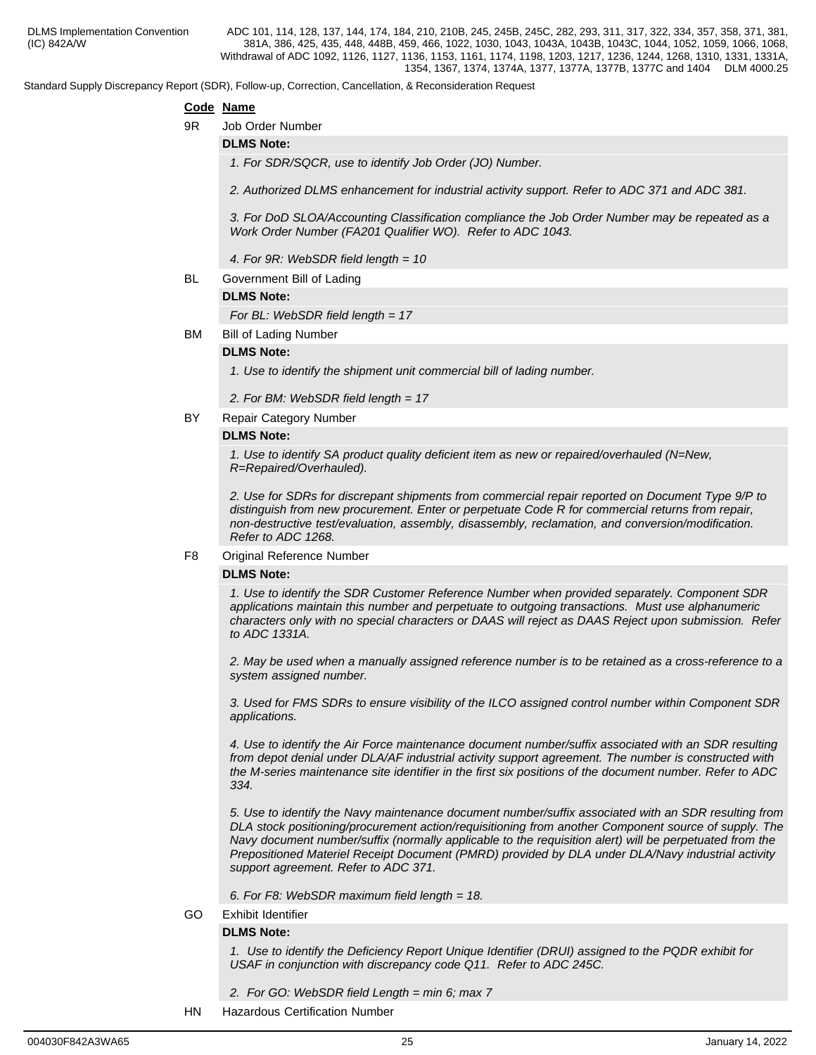Standard Supply Discrepancy Report (SDR), Follow-up, Correction, Cancellation, & Reconsideration Request

### **Code Name**

9R Job Order Number

### **DLMS Note:**

*1. For SDR/SQCR, use to identify Job Order (JO) Number.*

*2. Authorized DLMS enhancement for industrial activity support. Refer to ADC 371 and ADC 381.*

*3. For DoD SLOA/Accounting Classification compliance the Job Order Number may be repeated as a Work Order Number (FA201 Qualifier WO). Refer to ADC 1043.*

*4. For 9R: WebSDR field length = 10*

BL Government Bill of Lading

### **DLMS Note:**

*For BL: WebSDR field length = 17*

BM Bill of Lading Number

### **DLMS Note:**

*1. Use to identify the shipment unit commercial bill of lading number.*

*2. For BM: WebSDR field length = 17*

BY Repair Category Number

### **DLMS Note:**

*1. Use to identify SA product quality deficient item as new or repaired/overhauled (N=New, R=Repaired/Overhauled).*

*2. Use for SDRs for discrepant shipments from commercial repair reported on Document Type 9/P to distinguish from new procurement. Enter or perpetuate Code R for commercial returns from repair, non-destructive test/evaluation, assembly, disassembly, reclamation, and conversion/modification. Refer to ADC 1268.*

### F8 Original Reference Number

### **DLMS Note:**

*1. Use to identify the SDR Customer Reference Number when provided separately. Component SDR applications maintain this number and perpetuate to outgoing transactions. Must use alphanumeric characters only with no special characters or DAAS will reject as DAAS Reject upon submission. Refer to ADC 1331A.*

*2. May be used when a manually assigned reference number is to be retained as a cross-reference to a system assigned number.*

*3. Used for FMS SDRs to ensure visibility of the ILCO assigned control number within Component SDR applications.*

*4. Use to identify the Air Force maintenance document number/suffix associated with an SDR resulting from depot denial under DLA/AF industrial activity support agreement. The number is constructed with the M-series maintenance site identifier in the first six positions of the document number. Refer to ADC 334.*

*5. Use to identify the Navy maintenance document number/suffix associated with an SDR resulting from DLA stock positioning/procurement action/requisitioning from another Component source of supply. The Navy document number/suffix (normally applicable to the requisition alert) will be perpetuated from the Prepositioned Materiel Receipt Document (PMRD) provided by DLA under DLA/Navy industrial activity support agreement. Refer to ADC 371.*

*6. For F8: WebSDR maximum field length = 18.*

GO Exhibit Identifier

### **DLMS Note:**

*1. Use to identify the Deficiency Report Unique Identifier (DRUI) assigned to the PQDR exhibit for USAF in conjunction with discrepancy code Q11. Refer to ADC 245C.*

*2. For GO: WebSDR field Length = min 6; max 7*

HN Hazardous Certification Number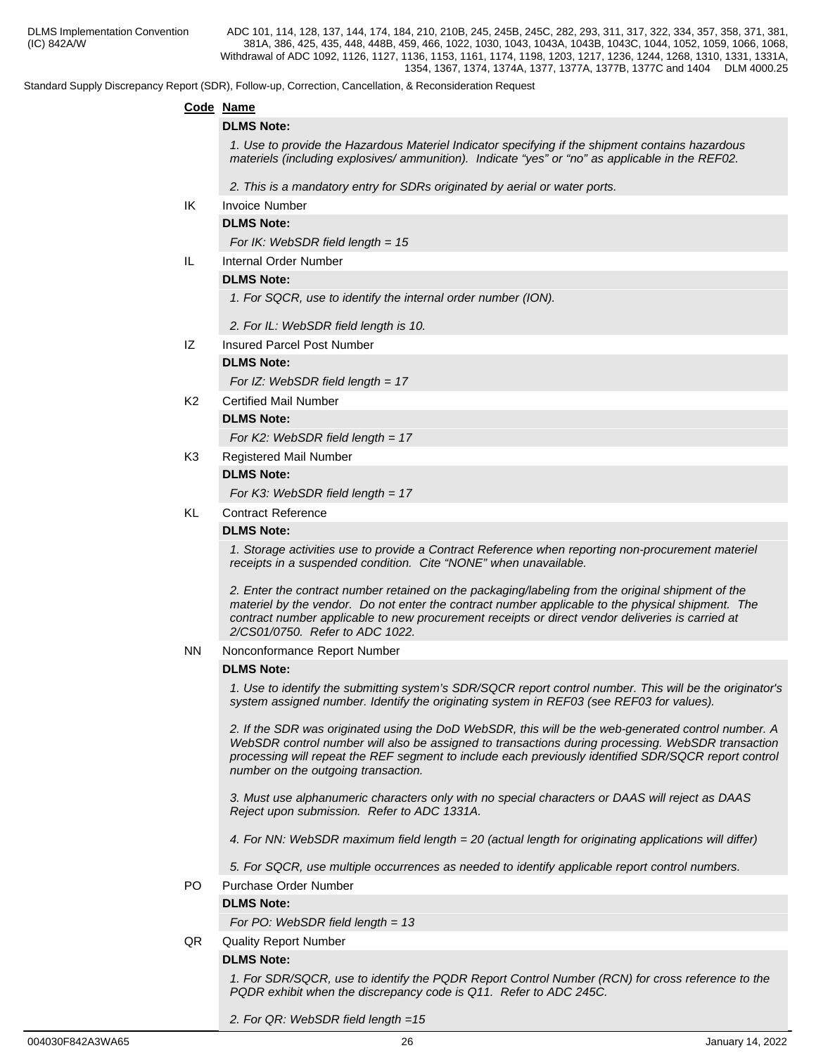Standard Supply Discrepancy Report (SDR), Follow-up, Correction, Cancellation, & Reconsideration Request

|           | Code Name                                                                                                                                                                                                                                                                                                                                               |
|-----------|---------------------------------------------------------------------------------------------------------------------------------------------------------------------------------------------------------------------------------------------------------------------------------------------------------------------------------------------------------|
|           | <b>DLMS Note:</b>                                                                                                                                                                                                                                                                                                                                       |
|           | 1. Use to provide the Hazardous Materiel Indicator specifying if the shipment contains hazardous<br>materiels (including explosives/ ammunition). Indicate "yes" or "no" as applicable in the REF02.                                                                                                                                                    |
|           | 2. This is a mandatory entry for SDRs originated by aerial or water ports.                                                                                                                                                                                                                                                                              |
| IK        | <b>Invoice Number</b>                                                                                                                                                                                                                                                                                                                                   |
|           | <b>DLMS Note:</b>                                                                                                                                                                                                                                                                                                                                       |
|           | For IK: WebSDR field length = $15$                                                                                                                                                                                                                                                                                                                      |
| IL.       | Internal Order Number                                                                                                                                                                                                                                                                                                                                   |
|           | <b>DLMS Note:</b>                                                                                                                                                                                                                                                                                                                                       |
|           | 1. For SQCR, use to identify the internal order number (ION).                                                                                                                                                                                                                                                                                           |
|           | 2. For IL: WebSDR field length is 10.                                                                                                                                                                                                                                                                                                                   |
| IZ.       | <b>Insured Parcel Post Number</b>                                                                                                                                                                                                                                                                                                                       |
|           | <b>DLMS Note:</b>                                                                                                                                                                                                                                                                                                                                       |
|           | For $IZ$ : WebSDR field length = 17                                                                                                                                                                                                                                                                                                                     |
| K2.       | <b>Certified Mail Number</b>                                                                                                                                                                                                                                                                                                                            |
|           | <b>DLMS Note:</b>                                                                                                                                                                                                                                                                                                                                       |
|           | For K2: WebSDR field length = $17$                                                                                                                                                                                                                                                                                                                      |
| K3        | Registered Mail Number                                                                                                                                                                                                                                                                                                                                  |
|           | <b>DLMS Note:</b>                                                                                                                                                                                                                                                                                                                                       |
|           | For K3: WebSDR field length $= 17$                                                                                                                                                                                                                                                                                                                      |
| KL.       | <b>Contract Reference</b>                                                                                                                                                                                                                                                                                                                               |
|           | <b>DLMS Note:</b>                                                                                                                                                                                                                                                                                                                                       |
|           | 1. Storage activities use to provide a Contract Reference when reporting non-procurement materiel<br>receipts in a suspended condition. Cite "NONE" when unavailable.                                                                                                                                                                                   |
|           | 2. Enter the contract number retained on the packaging/labeling from the original shipment of the<br>materiel by the vendor. Do not enter the contract number applicable to the physical shipment. The<br>contract number applicable to new procurement receipts or direct vendor deliveries is carried at<br>2/CS01/0750. Refer to ADC 1022.           |
| <b>NN</b> | Nonconformance Report Number                                                                                                                                                                                                                                                                                                                            |
|           | <b>DLMS Note:</b>                                                                                                                                                                                                                                                                                                                                       |
|           | 1. Use to identify the submitting system's SDR/SQCR report control number. This will be the originator's<br>system assigned number. Identify the originating system in REF03 (see REF03 for values).                                                                                                                                                    |
|           | 2. If the SDR was originated using the DoD WebSDR, this will be the web-generated control number. A<br>WebSDR control number will also be assigned to transactions during processing. WebSDR transaction<br>processing will repeat the REF segment to include each previously identified SDR/SQCR report control<br>number on the outgoing transaction. |
|           | 3. Must use alphanumeric characters only with no special characters or DAAS will reject as DAAS<br>Reject upon submission. Refer to ADC 1331A.                                                                                                                                                                                                          |
|           | 4. For NN: WebSDR maximum field length = 20 (actual length for originating applications will differ)                                                                                                                                                                                                                                                    |
|           | 5. For SQCR, use multiple occurrences as needed to identify applicable report control numbers.                                                                                                                                                                                                                                                          |
| PO.       | Purchase Order Number                                                                                                                                                                                                                                                                                                                                   |
|           | <b>DLMS Note:</b>                                                                                                                                                                                                                                                                                                                                       |
|           | For PO: WebSDR field length = $13$                                                                                                                                                                                                                                                                                                                      |
| QR        | <b>Quality Report Number</b>                                                                                                                                                                                                                                                                                                                            |
|           | <b>DLMS Note:</b>                                                                                                                                                                                                                                                                                                                                       |
|           | 1. For SDR/SQCR, use to identify the PQDR Report Control Number (RCN) for cross reference to the<br>PQDR exhibit when the discrepancy code is Q11. Refer to ADC 245C.                                                                                                                                                                                   |

*2. For QR: WebSDR field length =15*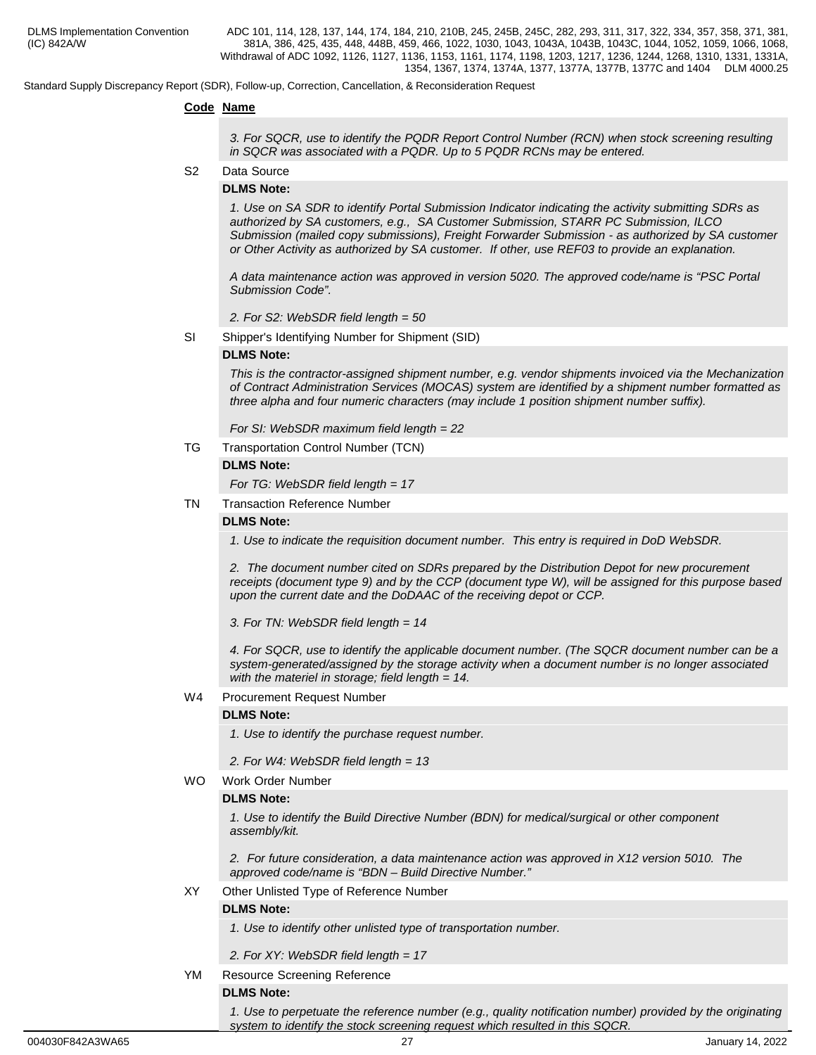Standard Supply Discrepancy Report (SDR), Follow-up, Correction, Cancellation, & Reconsideration Request

### **Code Name**

*3. For SQCR, use to identify the PQDR Report Control Number (RCN) when stock screening resulting in SQCR was associated with a PQDR. Up to 5 PQDR RCNs may be entered.*

S2 Data Source

### **DLMS Note:**

*1. Use on SA SDR to identify Portal Submission Indicator indicating the activity submitting SDRs as authorized by SA customers, e.g., SA Customer Submission, STARR PC Submission, ILCO Submission (mailed copy submissions), Freight Forwarder Submission - as authorized by SA customer or Other Activity as authorized by SA customer. If other, use REF03 to provide an explanation.*

*A data maintenance action was approved in version 5020. The approved code/name is "PSC Portal Submission Code".*

*2. For S2: WebSDR field length = 50*

SI Shipper's Identifying Number for Shipment (SID)

### **DLMS Note:**

*This is the contractor-assigned shipment number, e.g. vendor shipments invoiced via the Mechanization of Contract Administration Services (MOCAS) system are identified by a shipment number formatted as three alpha and four numeric characters (may include 1 position shipment number suffix).*

*For SI: WebSDR maximum field length = 22*

TG Transportation Control Number (TCN)

### **DLMS Note:**

*For TG: WebSDR field length = 17*

TN Transaction Reference Number

#### **DLMS Note:**

*1. Use to indicate the requisition document number. This entry is required in DoD WebSDR.*

*2. The document number cited on SDRs prepared by the Distribution Depot for new procurement receipts (document type 9) and by the CCP (document type W), will be assigned for this purpose based upon the current date and the DoDAAC of the receiving depot or CCP.*

*3. For TN: WebSDR field length = 14*

*4. For SQCR, use to identify the applicable document number. (The SQCR document number can be a system-generated/assigned by the storage activity when a document number is no longer associated with the materiel in storage; field length = 14.*

### W4 Procurement Request Number

#### **DLMS Note:**

*1. Use to identify the purchase request number.*

*2. For W4: WebSDR field length = 13*

WO Work Order Number

### **DLMS Note:**

*1. Use to identify the Build Directive Number (BDN) for medical/surgical or other component assembly/kit.* 

*2. For future consideration, a data maintenance action was approved in X12 version 5010. The approved code/name is "BDN – Build Directive Number."*

### XY Other Unlisted Type of Reference Number

### **DLMS Note:**

*1. Use to identify other unlisted type of transportation number.*

- *2. For XY: WebSDR field length = 17*
- YM Resource Screening Reference

### **DLMS Note:**

*1. Use to perpetuate the reference number (e.g., quality notification number) provided by the originating system to identify the stock screening request which resulted in this SQCR.*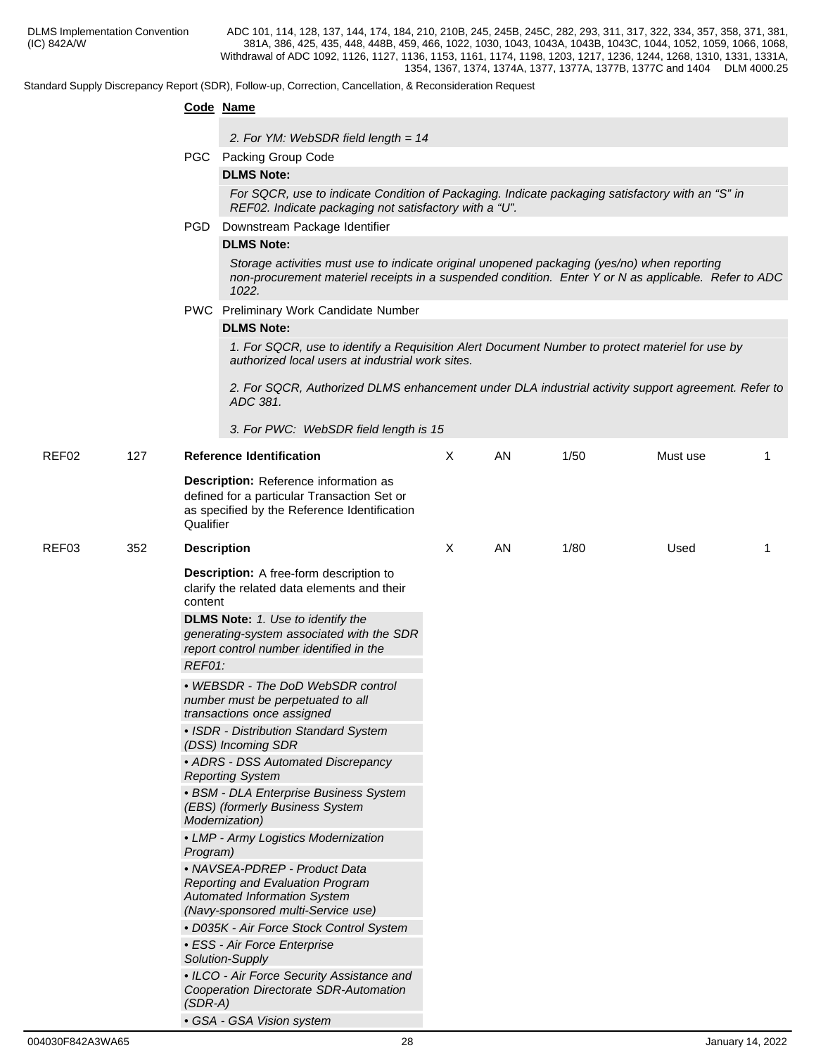|       |     | uard Oupply Discrepancy Report (ODR), Follow-up, Obrication, Oancellation, & Reconsideration Request                                                                                                                                                   |   |    |      |          |    |  |  |  |  |  |  |
|-------|-----|--------------------------------------------------------------------------------------------------------------------------------------------------------------------------------------------------------------------------------------------------------|---|----|------|----------|----|--|--|--|--|--|--|
|       |     | Code Name                                                                                                                                                                                                                                              |   |    |      |          |    |  |  |  |  |  |  |
|       |     | 2. For YM: WebSDR field length = 14                                                                                                                                                                                                                    |   |    |      |          |    |  |  |  |  |  |  |
|       |     | PGC Packing Group Code                                                                                                                                                                                                                                 |   |    |      |          |    |  |  |  |  |  |  |
|       |     | <b>DLMS Note:</b>                                                                                                                                                                                                                                      |   |    |      |          |    |  |  |  |  |  |  |
|       |     | For SQCR, use to indicate Condition of Packaging. Indicate packaging satisfactory with an "S" in<br>REF02. Indicate packaging not satisfactory with a "U".                                                                                             |   |    |      |          |    |  |  |  |  |  |  |
|       |     | PGD<br>Downstream Package Identifier                                                                                                                                                                                                                   |   |    |      |          |    |  |  |  |  |  |  |
|       |     | <b>DLMS Note:</b>                                                                                                                                                                                                                                      |   |    |      |          |    |  |  |  |  |  |  |
|       |     | Storage activities must use to indicate original unopened packaging (yes/no) when reporting<br>non-procurement materiel receipts in a suspended condition. Enter Y or N as applicable. Refer to ADC<br>1022.                                           |   |    |      |          |    |  |  |  |  |  |  |
|       |     | PWC Preliminary Work Candidate Number                                                                                                                                                                                                                  |   |    |      |          |    |  |  |  |  |  |  |
|       |     | <b>DLMS Note:</b><br>1. For SQCR, use to identify a Requisition Alert Document Number to protect materiel for use by<br>authorized local users at industrial work sites.                                                                               |   |    |      |          |    |  |  |  |  |  |  |
|       |     |                                                                                                                                                                                                                                                        |   |    |      |          |    |  |  |  |  |  |  |
|       |     | 2. For SQCR, Authorized DLMS enhancement under DLA industrial activity support agreement. Refer to<br>ADC 381.                                                                                                                                         |   |    |      |          |    |  |  |  |  |  |  |
|       |     | 3. For PWC: WebSDR field length is 15                                                                                                                                                                                                                  |   |    |      |          |    |  |  |  |  |  |  |
| REF02 | 127 | <b>Reference Identification</b>                                                                                                                                                                                                                        | Χ | AN | 1/50 | Must use | 1  |  |  |  |  |  |  |
|       |     | Description: Reference information as<br>defined for a particular Transaction Set or<br>as specified by the Reference Identification<br>Qualifier                                                                                                      |   |    |      |          |    |  |  |  |  |  |  |
| REF03 | 352 | <b>Description</b>                                                                                                                                                                                                                                     | X | AN | 1/80 | Used     | -1 |  |  |  |  |  |  |
|       |     | <b>Description:</b> A free-form description to<br>clarify the related data elements and their<br>content<br><b>DLMS Note:</b> 1. Use to identify the<br>generating-system associated with the SDR<br>report control number identified in the<br>REF01: |   |    |      |          |    |  |  |  |  |  |  |
|       |     | • WEBSDR - The DoD WebSDR control<br>number must be perpetuated to all<br>transactions once assigned                                                                                                                                                   |   |    |      |          |    |  |  |  |  |  |  |
|       |     | • ISDR - Distribution Standard System<br>(DSS) Incoming SDR                                                                                                                                                                                            |   |    |      |          |    |  |  |  |  |  |  |
|       |     | • ADRS - DSS Automated Discrepancy<br><b>Reporting System</b>                                                                                                                                                                                          |   |    |      |          |    |  |  |  |  |  |  |
|       |     | • BSM - DLA Enterprise Business System<br>(EBS) (formerly Business System<br>Modernization)                                                                                                                                                            |   |    |      |          |    |  |  |  |  |  |  |
|       |     | • LMP - Army Logistics Modernization<br>Program)                                                                                                                                                                                                       |   |    |      |          |    |  |  |  |  |  |  |
|       |     | • NAVSEA-PDREP - Product Data<br><b>Reporting and Evaluation Program</b><br>Automated Information System<br>(Navy-sponsored multi-Service use)                                                                                                         |   |    |      |          |    |  |  |  |  |  |  |
|       |     | • D035K - Air Force Stock Control System                                                                                                                                                                                                               |   |    |      |          |    |  |  |  |  |  |  |
|       |     | • ESS - Air Force Enterprise<br>Solution-Supply                                                                                                                                                                                                        |   |    |      |          |    |  |  |  |  |  |  |
|       |     | • ILCO - Air Force Security Assistance and<br>Cooperation Directorate SDR-Automation<br>$(SDR-A)$                                                                                                                                                      |   |    |      |          |    |  |  |  |  |  |  |
|       |     | · GSA - GSA Vision system                                                                                                                                                                                                                              |   |    |      |          |    |  |  |  |  |  |  |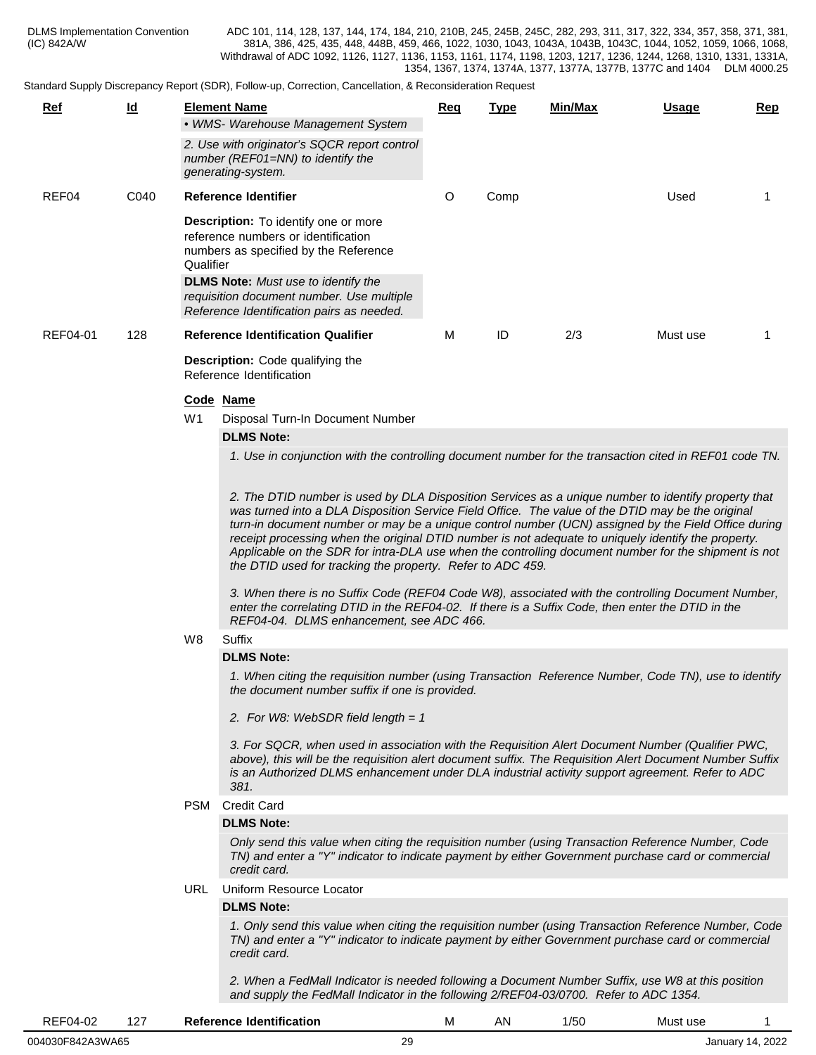Standard Supply Discrepancy Report (SDR), Follow-up, Correction, Cancellation, & Reconsideration Pe

| <u>Ref</u>      | <u>ld</u> |                 | <b>Element Name</b>                                                                                                                                                                                                                                                                                                                                                                                                                                                                                                                                                                                                                                                                                                                                                                                                                                | <u>Req</u> | <b>Type</b> | Min/Max | Usage    | $\mathbf{Rep}$ |
|-----------------|-----------|-----------------|----------------------------------------------------------------------------------------------------------------------------------------------------------------------------------------------------------------------------------------------------------------------------------------------------------------------------------------------------------------------------------------------------------------------------------------------------------------------------------------------------------------------------------------------------------------------------------------------------------------------------------------------------------------------------------------------------------------------------------------------------------------------------------------------------------------------------------------------------|------------|-------------|---------|----------|----------------|
|                 |           |                 | • WMS- Warehouse Management System                                                                                                                                                                                                                                                                                                                                                                                                                                                                                                                                                                                                                                                                                                                                                                                                                 |            |             |         |          |                |
|                 |           |                 | 2. Use with originator's SQCR report control<br>number (REF01=NN) to identify the<br>generating-system.                                                                                                                                                                                                                                                                                                                                                                                                                                                                                                                                                                                                                                                                                                                                            |            |             |         |          |                |
| REF04           | C040      |                 | Reference Identifier                                                                                                                                                                                                                                                                                                                                                                                                                                                                                                                                                                                                                                                                                                                                                                                                                               | O          | Comp        |         | Used     |                |
|                 |           | Qualifier       | Description: To identify one or more<br>reference numbers or identification<br>numbers as specified by the Reference<br><b>DLMS Note:</b> Must use to identify the<br>requisition document number. Use multiple<br>Reference Identification pairs as needed.                                                                                                                                                                                                                                                                                                                                                                                                                                                                                                                                                                                       |            |             |         |          |                |
| <b>REF04-01</b> | 128       |                 | <b>Reference Identification Qualifier</b>                                                                                                                                                                                                                                                                                                                                                                                                                                                                                                                                                                                                                                                                                                                                                                                                          | M          | ID          | 2/3     | Must use |                |
|                 |           |                 | Description: Code qualifying the<br>Reference Identification                                                                                                                                                                                                                                                                                                                                                                                                                                                                                                                                                                                                                                                                                                                                                                                       |            |             |         |          |                |
|                 |           | Code Name<br>W1 | 1. Use in conjunction with the controlling document number for the transaction cited in REF01 code TN.<br>2. The DTID number is used by DLA Disposition Services as a unique number to identify property that<br>was turned into a DLA Disposition Service Field Office. The value of the DTID may be the original<br>turn-in document number or may be a unique control number (UCN) assigned by the Field Office during<br>receipt processing when the original DTID number is not adequate to uniquely identify the property.<br>Applicable on the SDR for intra-DLA use when the controlling document number for the shipment is not<br>3. When there is no Suffix Code (REF04 Code W8), associated with the controlling Document Number,<br>enter the correlating DTID in the REF04-02. If there is a Suffix Code, then enter the DTID in the |            |             |         |          |                |
|                 |           | W8              | REF04-04. DLMS enhancement. see ADC 466.<br>Suffix                                                                                                                                                                                                                                                                                                                                                                                                                                                                                                                                                                                                                                                                                                                                                                                                 |            |             |         |          |                |
|                 |           |                 | <b>DLMS Note:</b>                                                                                                                                                                                                                                                                                                                                                                                                                                                                                                                                                                                                                                                                                                                                                                                                                                  |            |             |         |          |                |
|                 |           |                 | 1. When citing the requisition number (using Transaction Reference Number, Code TN), use to identify<br>the document number suffix if one is provided.<br>2. For W8: WebSDR field length = 1<br>3. For SQCR, when used in association with the Requisition Alert Document Number (Qualifier PWC,<br>above), this will be the requisition alert document suffix. The Requisition Alert Document Number Suffix<br>is an Authorized DLMS enhancement under DLA industrial activity support agreement. Refer to ADC<br>381.                                                                                                                                                                                                                                                                                                                            |            |             |         |          |                |
|                 |           | PSM             | <b>Credit Card</b>                                                                                                                                                                                                                                                                                                                                                                                                                                                                                                                                                                                                                                                                                                                                                                                                                                 |            |             |         |          |                |
|                 |           |                 | <b>DLMS Note:</b>                                                                                                                                                                                                                                                                                                                                                                                                                                                                                                                                                                                                                                                                                                                                                                                                                                  |            |             |         |          |                |
|                 |           |                 | Only send this value when citing the requisition number (using Transaction Reference Number, Code<br>TN) and enter a "Y" indicator to indicate payment by either Government purchase card or commercial<br>credit card.                                                                                                                                                                                                                                                                                                                                                                                                                                                                                                                                                                                                                            |            |             |         |          |                |
|                 |           | URL             | Uniform Resource Locator                                                                                                                                                                                                                                                                                                                                                                                                                                                                                                                                                                                                                                                                                                                                                                                                                           |            |             |         |          |                |
|                 |           |                 | <b>DLMS Note:</b>                                                                                                                                                                                                                                                                                                                                                                                                                                                                                                                                                                                                                                                                                                                                                                                                                                  |            |             |         |          |                |
|                 |           |                 | 1. Only send this value when citing the requisition number (using Transaction Reference Number, Code                                                                                                                                                                                                                                                                                                                                                                                                                                                                                                                                                                                                                                                                                                                                               |            |             |         |          |                |

*TN) and enter a "Y" indicator to indicate payment by either Government purchase card or commercial credit card.*

*2. When a FedMall Indicator is needed following a Document Number Suffix, use W8 at this position and supply the FedMall Indicator in the following 2/REF04-03/0700. Refer to ADC 1354.*

| REF04-02         | 127 | <b>Reference Identification</b> |          | <b>IVI</b> | AN | 1/50 | Must use<br>. |                  |
|------------------|-----|---------------------------------|----------|------------|----|------|---------------|------------------|
| 004030F842A3WA65 |     |                                 | nr<br>∠ສ |            |    |      |               | January 14, 2022 |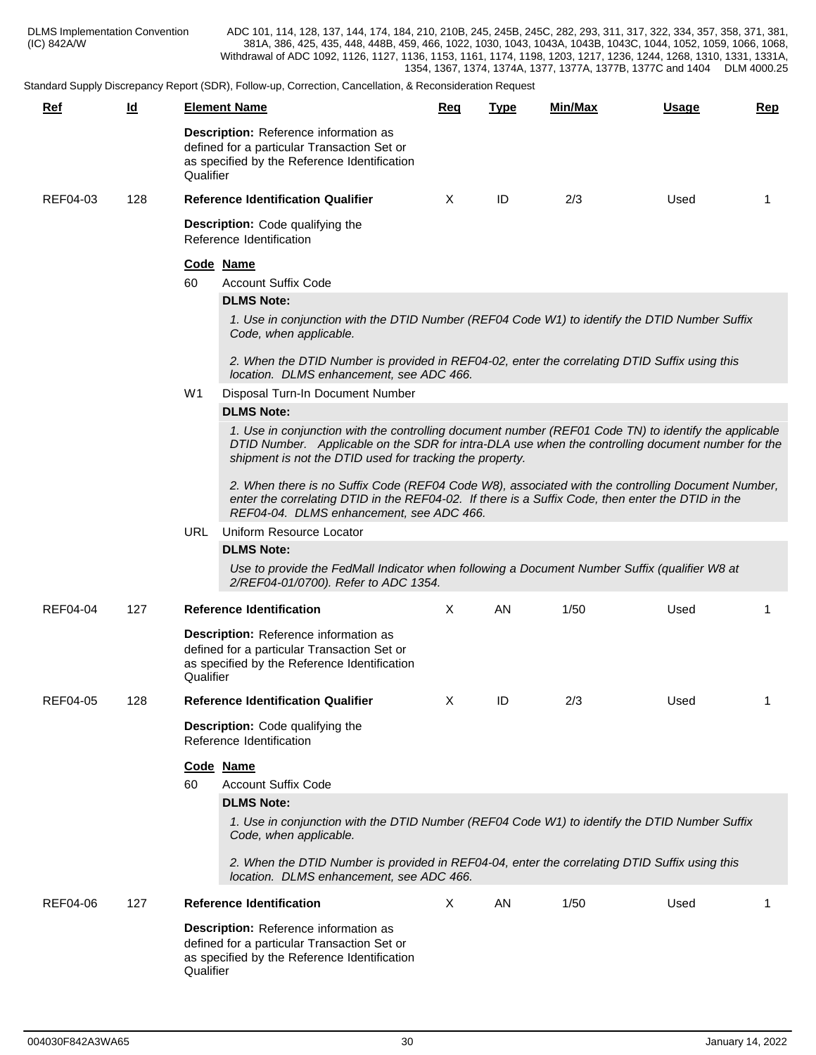| <u>Ref</u>      | $\underline{\mathsf{Id}}$ |                        | <b>Element Name</b>                                                                                                                                                                                                                                                                                                                                                                                                                                                                                                                                                                                                                                                                                                                                                                                                                                                                                                                                                            | Req | Type | Min/Max | Usage | <b>Rep</b> |
|-----------------|---------------------------|------------------------|--------------------------------------------------------------------------------------------------------------------------------------------------------------------------------------------------------------------------------------------------------------------------------------------------------------------------------------------------------------------------------------------------------------------------------------------------------------------------------------------------------------------------------------------------------------------------------------------------------------------------------------------------------------------------------------------------------------------------------------------------------------------------------------------------------------------------------------------------------------------------------------------------------------------------------------------------------------------------------|-----|------|---------|-------|------------|
|                 |                           | Qualifier              | Description: Reference information as<br>defined for a particular Transaction Set or<br>as specified by the Reference Identification                                                                                                                                                                                                                                                                                                                                                                                                                                                                                                                                                                                                                                                                                                                                                                                                                                           |     |      |         |       |            |
| REF04-03        | 128                       |                        | <b>Reference Identification Qualifier</b>                                                                                                                                                                                                                                                                                                                                                                                                                                                                                                                                                                                                                                                                                                                                                                                                                                                                                                                                      | X   | ID   | 2/3     | Used  | 1          |
|                 |                           |                        | Description: Code qualifying the<br>Reference Identification                                                                                                                                                                                                                                                                                                                                                                                                                                                                                                                                                                                                                                                                                                                                                                                                                                                                                                                   |     |      |         |       |            |
|                 |                           | 60<br>W1<br><b>URL</b> | Code Name<br><b>Account Suffix Code</b><br><b>DLMS Note:</b><br>1. Use in conjunction with the DTID Number (REF04 Code W1) to identify the DTID Number Suffix<br>Code, when applicable.<br>2. When the DTID Number is provided in REF04-02, enter the correlating DTID Suffix using this<br>location. DLMS enhancement, see ADC 466.<br>Disposal Turn-In Document Number<br><b>DLMS Note:</b><br>1. Use in conjunction with the controlling document number (REF01 Code TN) to identify the applicable<br>DTID Number. Applicable on the SDR for intra-DLA use when the controlling document number for the<br>shipment is not the DTID used for tracking the property.<br>2. When there is no Suffix Code (REF04 Code W8), associated with the controlling Document Number,<br>enter the correlating DTID in the REF04-02. If there is a Suffix Code, then enter the DTID in the<br>REF04-04. DLMS enhancement, see ADC 466.<br>Uniform Resource Locator<br><b>DLMS Note:</b> |     |      |         |       |            |
|                 |                           |                        | Use to provide the FedMall Indicator when following a Document Number Suffix (qualifier W8 at<br>2/REF04-01/0700). Refer to ADC 1354.                                                                                                                                                                                                                                                                                                                                                                                                                                                                                                                                                                                                                                                                                                                                                                                                                                          |     |      |         |       |            |
| <b>REF04-04</b> | 127                       | Qualifier              | <b>Reference Identification</b><br>Description: Reference information as<br>defined for a particular Transaction Set or<br>as specified by the Reference Identification                                                                                                                                                                                                                                                                                                                                                                                                                                                                                                                                                                                                                                                                                                                                                                                                        | X   | AN   | 1/50    | Used  |            |
| REF04-05        | 128                       |                        | <b>Reference Identification Qualifier</b><br>Description: Code qualifying the<br>Reference Identification<br>Code Name                                                                                                                                                                                                                                                                                                                                                                                                                                                                                                                                                                                                                                                                                                                                                                                                                                                         | X   | ID   | 2/3     | Used  | 1          |
|                 |                           | 60                     | <b>Account Suffix Code</b><br><b>DLMS Note:</b><br>1. Use in conjunction with the DTID Number (REF04 Code W1) to identify the DTID Number Suffix<br>Code, when applicable.<br>2. When the DTID Number is provided in REF04-04, enter the correlating DTID Suffix using this<br>location. DLMS enhancement, see ADC 466.                                                                                                                                                                                                                                                                                                                                                                                                                                                                                                                                                                                                                                                        |     |      |         |       |            |
| REF04-06        | 127                       |                        | <b>Reference Identification</b>                                                                                                                                                                                                                                                                                                                                                                                                                                                                                                                                                                                                                                                                                                                                                                                                                                                                                                                                                | Χ   | AN   | 1/50    | Used  | 1          |
|                 |                           | Qualifier              | Description: Reference information as<br>defined for a particular Transaction Set or<br>as specified by the Reference Identification                                                                                                                                                                                                                                                                                                                                                                                                                                                                                                                                                                                                                                                                                                                                                                                                                                           |     |      |         |       |            |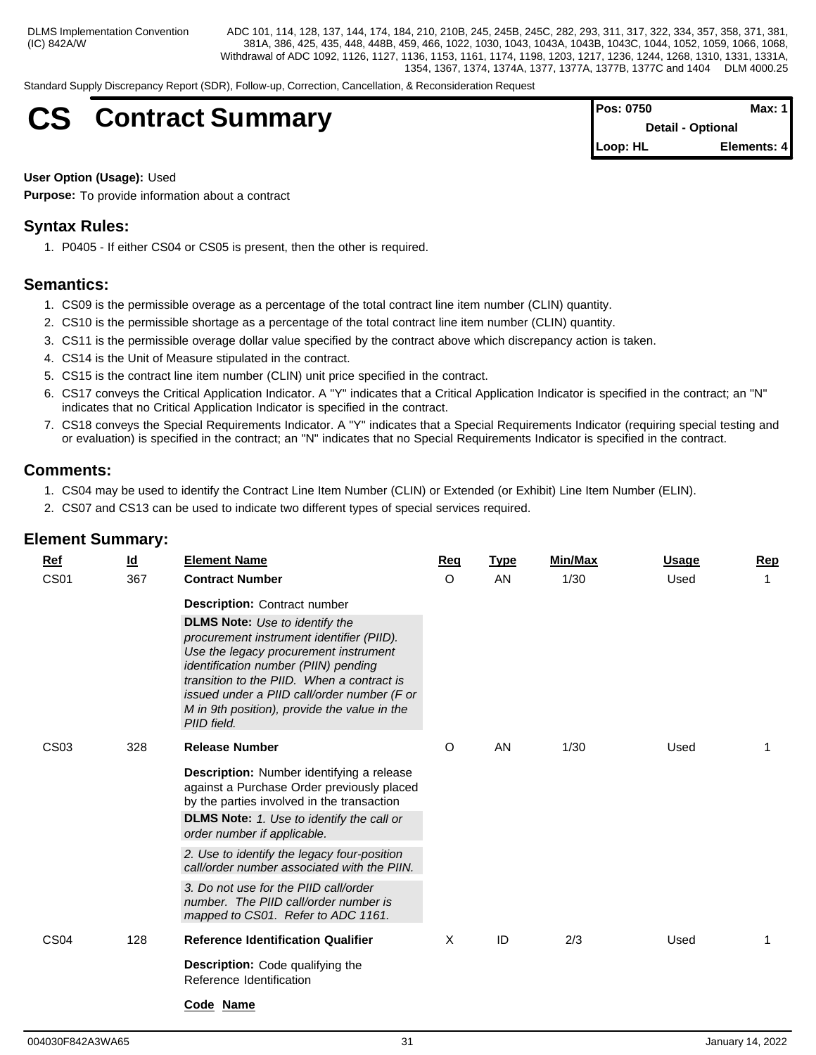Standard Supply Discrepancy Report (SDR), Follow-up, Correction, Cancellation, & Reconsideration Request

# **CS** Contract Summary

| <b>Pos: 0750</b> | Max: 1                   |
|------------------|--------------------------|
|                  | <b>Detail - Optional</b> |
| Loop: HL         | Elements: 4              |

### **User Option (Usage):** Used

**Purpose:** To provide information about a contract

# **Syntax Rules:**

1. P0405 - If either CS04 or CS05 is present, then the other is required.

# **Semantics:**

- 1. CS09 is the permissible overage as a percentage of the total contract line item number (CLIN) quantity.
- 2. CS10 is the permissible shortage as a percentage of the total contract line item number (CLIN) quantity.
- 3. CS11 is the permissible overage dollar value specified by the contract above which discrepancy action is taken.
- 4. CS14 is the Unit of Measure stipulated in the contract.
- 5. CS15 is the contract line item number (CLIN) unit price specified in the contract.
- 6. CS17 conveys the Critical Application Indicator. A "Y" indicates that a Critical Application Indicator is specified in the contract; an "N" indicates that no Critical Application Indicator is specified in the contract.
- 7. CS18 conveys the Special Requirements Indicator. A "Y" indicates that a Special Requirements Indicator (requiring special testing and or evaluation) is specified in the contract; an "N" indicates that no Special Requirements Indicator is specified in the contract.

# **Comments:**

- 1. CS04 may be used to identify the Contract Line Item Number (CLIN) or Extended (or Exhibit) Line Item Number (ELIN).
- 2. CS07 and CS13 can be used to indicate two different types of special services required.

| <b>Element Summary:</b> |  |
|-------------------------|--|
|-------------------------|--|

| Ref              | <u>ld</u> | <b>Element Name</b>                                                                                                                                                                                                                                                                                                             | Req | <b>Type</b> | <b>Min/Max</b> | <b>Usage</b> | Rep |
|------------------|-----------|---------------------------------------------------------------------------------------------------------------------------------------------------------------------------------------------------------------------------------------------------------------------------------------------------------------------------------|-----|-------------|----------------|--------------|-----|
| CS <sub>01</sub> | 367       | <b>Contract Number</b>                                                                                                                                                                                                                                                                                                          | O   | AN          | 1/30           | Used         | -1  |
|                  |           | <b>Description: Contract number</b>                                                                                                                                                                                                                                                                                             |     |             |                |              |     |
|                  |           | <b>DLMS Note:</b> Use to identify the<br>procurement instrument identifier (PIID).<br>Use the legacy procurement instrument<br>identification number (PIIN) pending<br>transition to the PIID. When a contract is<br>issued under a PIID call/order number (F or<br>M in 9th position), provide the value in the<br>PIID field. |     |             |                |              |     |
| CS03             | 328       | <b>Release Number</b>                                                                                                                                                                                                                                                                                                           | O   | AN          | 1/30           | Used         |     |
|                  |           | <b>Description:</b> Number identifying a release<br>against a Purchase Order previously placed<br>by the parties involved in the transaction<br><b>DLMS Note:</b> 1. Use to identify the call or                                                                                                                                |     |             |                |              |     |
|                  |           | order number if applicable.                                                                                                                                                                                                                                                                                                     |     |             |                |              |     |
|                  |           | 2. Use to identify the legacy four-position<br>call/order number associated with the PIIN.                                                                                                                                                                                                                                      |     |             |                |              |     |
|                  |           | 3. Do not use for the PIID call/order<br>number. The PIID call/order number is<br>mapped to CS01. Refer to ADC 1161.                                                                                                                                                                                                            |     |             |                |              |     |
| CS <sub>04</sub> | 128       | <b>Reference Identification Qualifier</b>                                                                                                                                                                                                                                                                                       | X   | ID          | 2/3            | Used         |     |
|                  |           | Description: Code qualifying the<br>Reference Identification                                                                                                                                                                                                                                                                    |     |             |                |              |     |
|                  |           | Code Name                                                                                                                                                                                                                                                                                                                       |     |             |                |              |     |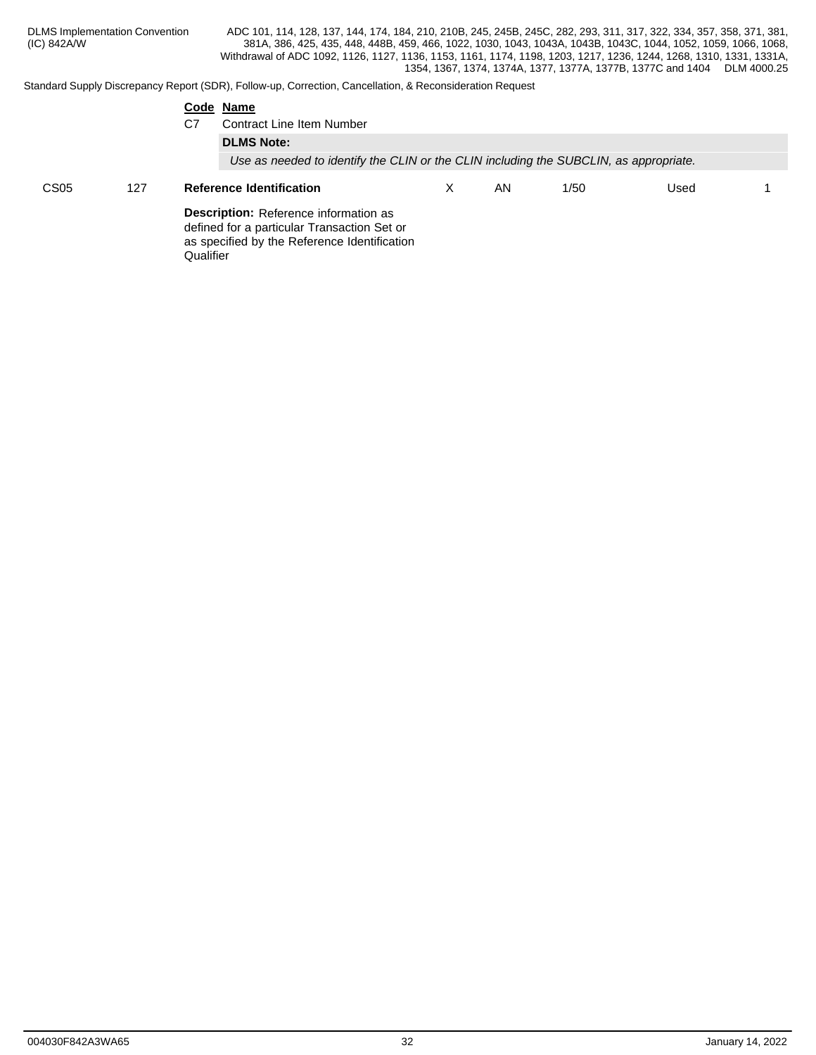| <b>DLMS</b> Implementation Convention |  |
|---------------------------------------|--|
| (IC) 842A/W                           |  |

|                  |     | C7        | Code Name<br><b>Contract Line Item Number</b><br><b>DLMS Note:</b><br>Use as needed to identify the CLIN or the CLIN including the SUBCLIN, as appropriate. |   |    |      |      |  |
|------------------|-----|-----------|-------------------------------------------------------------------------------------------------------------------------------------------------------------|---|----|------|------|--|
| CS <sub>05</sub> | 127 |           | <b>Reference Identification</b><br><b>Description:</b> Reference information as<br>defined for a particular Transaction Set or                              | х | AN | 1/50 | Used |  |
|                  |     | Qualifier | as specified by the Reference Identification                                                                                                                |   |    |      |      |  |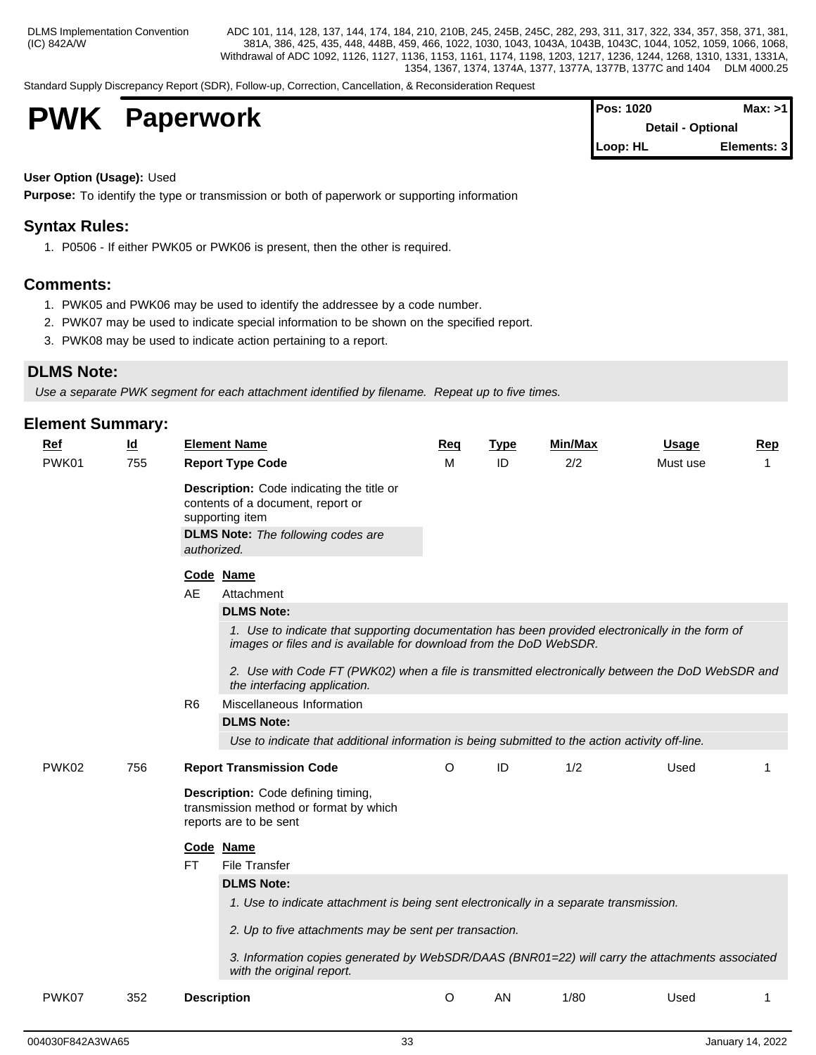Standard Supply Discrepancy Report (SDR), Follow-up, Correction, Cancellation, & Reconsideration Request

# **PWK Paperwork Pos: 1020 Max: >1**

| <b>Pos: 1020</b> | Max: >11                 |  |
|------------------|--------------------------|--|
|                  | <b>Detail - Optional</b> |  |
| <b>ILoop: HL</b> | Elements: 3              |  |

### **User Option (Usage):** Used

**Purpose:** To identify the type or transmission or both of paperwork or supporting information

# **Syntax Rules:**

1. P0506 - If either PWK05 or PWK06 is present, then the other is required.

### **Comments:**

- 1. PWK05 and PWK06 may be used to identify the addressee by a code number.
- 2. PWK07 may be used to indicate special information to be shown on the specified report.
- 3. PWK08 may be used to indicate action pertaining to a report.

### **DLMS Note:**

*Use a separate PWK segment for each attachment identified by filename. Repeat up to five times.*

| Ref   | $\underline{\mathsf{Id}}$ |                | <b>Element Name</b>                                                                                                                                                    | Reg | <b>Type</b> | Min/Max | <b>Usage</b> | Rep |
|-------|---------------------------|----------------|------------------------------------------------------------------------------------------------------------------------------------------------------------------------|-----|-------------|---------|--------------|-----|
| PWK01 | 755                       |                | <b>Report Type Code</b>                                                                                                                                                | M   | ID          | 2/2     | Must use     | 1   |
|       |                           |                | <b>Description:</b> Code indicating the title or<br>contents of a document, report or<br>supporting item<br><b>DLMS Note:</b> The following codes are<br>authorized.   |     |             |         |              |     |
|       |                           |                |                                                                                                                                                                        |     |             |         |              |     |
|       |                           | AE             | Code Name<br>Attachment                                                                                                                                                |     |             |         |              |     |
|       |                           |                | <b>DLMS Note:</b>                                                                                                                                                      |     |             |         |              |     |
|       |                           |                | 1. Use to indicate that supporting documentation has been provided electronically in the form of<br>images or files and is available for download from the DoD WebSDR. |     |             |         |              |     |
|       |                           |                | 2. Use with Code FT (PWK02) when a file is transmitted electronically between the DoD WebSDR and<br>the interfacing application.                                       |     |             |         |              |     |
|       |                           | R <sub>6</sub> | Miscellaneous Information                                                                                                                                              |     |             |         |              |     |
|       |                           |                | <b>DLMS Note:</b>                                                                                                                                                      |     |             |         |              |     |
|       |                           |                | Use to indicate that additional information is being submitted to the action activity off-line.                                                                        |     |             |         |              |     |
| PWK02 | 756                       |                | <b>Report Transmission Code</b>                                                                                                                                        | O   | ID          | 1/2     | Used         |     |
|       |                           |                | Description: Code defining timing,<br>transmission method or format by which<br>reports are to be sent                                                                 |     |             |         |              |     |
|       |                           |                | Code Name                                                                                                                                                              |     |             |         |              |     |
|       |                           | <b>FT</b>      | File Transfer                                                                                                                                                          |     |             |         |              |     |
|       |                           |                | <b>DLMS Note:</b>                                                                                                                                                      |     |             |         |              |     |
|       |                           |                | 1. Use to indicate attachment is being sent electronically in a separate transmission.                                                                                 |     |             |         |              |     |
|       |                           |                | 2. Up to five attachments may be sent per transaction.                                                                                                                 |     |             |         |              |     |
|       |                           |                | 3. Information copies generated by WebSDR/DAAS (BNR01=22) will carry the attachments associated<br>with the original report.                                           |     |             |         |              |     |
| PWK07 | 352                       |                | <b>Description</b>                                                                                                                                                     | O   | AN          | 1/80    | Used         |     |
|       |                           |                |                                                                                                                                                                        |     |             |         |              |     |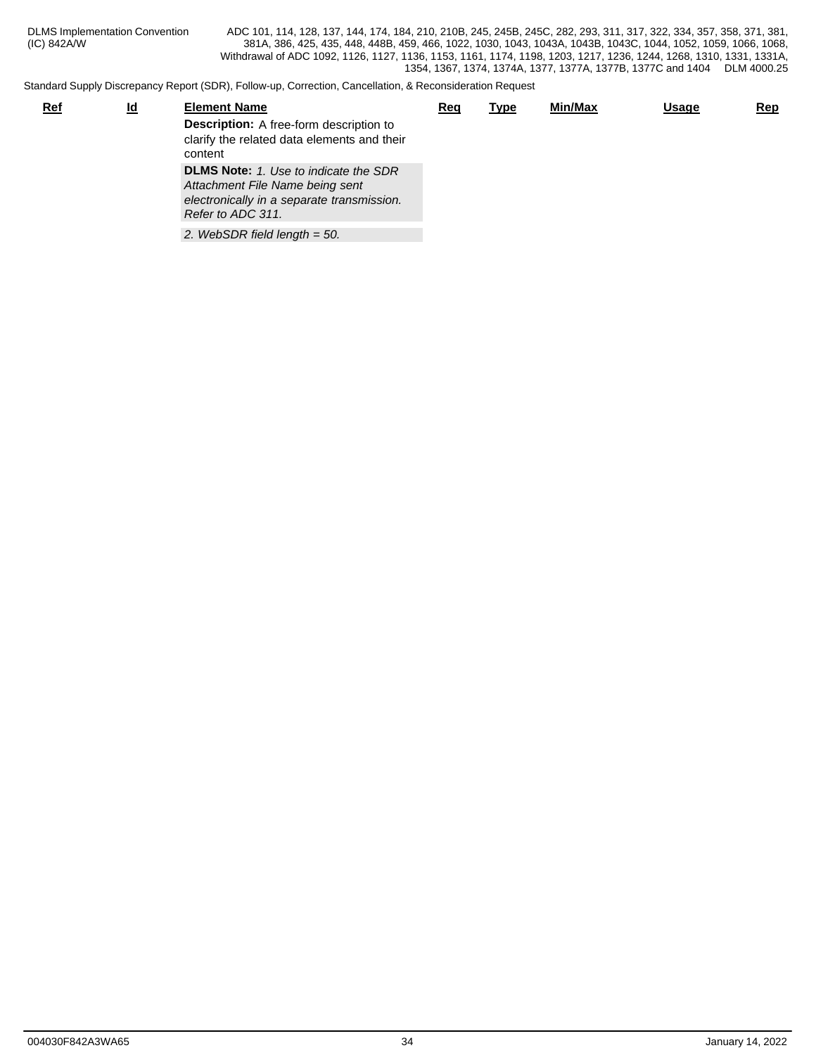| <u>Ref</u> | $\underline{\mathsf{Id}}$ | <b>Element Name</b>                                                                                                                                | <u>Req</u> | <u>Type</u> | Min/Max | <b>Usage</b> | <u>Rep</u> |
|------------|---------------------------|----------------------------------------------------------------------------------------------------------------------------------------------------|------------|-------------|---------|--------------|------------|
|            |                           | <b>Description:</b> A free-form description to<br>clarify the related data elements and their<br>content                                           |            |             |         |              |            |
|            |                           | <b>DLMS Note:</b> 1. Use to indicate the SDR<br>Attachment File Name being sent<br>electronically in a separate transmission.<br>Refer to ADC 311. |            |             |         |              |            |
|            |                           | 2. WebSDR field length $=$ 50.                                                                                                                     |            |             |         |              |            |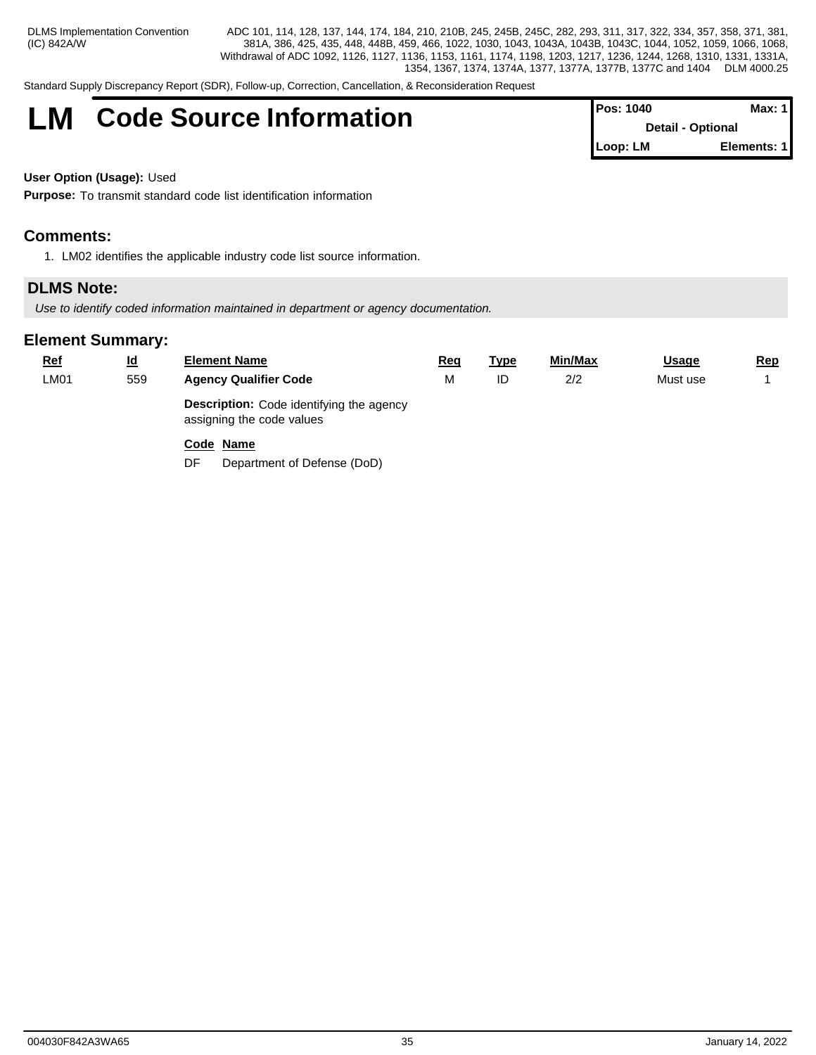Standard Supply Discrepancy Report (SDR), Follow-up, Correction, Cancellation, & Reconsideration Request

# **LM** Code Source Information

| <b>IPos: 1040</b>        | Max: 1      |
|--------------------------|-------------|
| <b>Detail - Optional</b> |             |
| Loop: LM                 | Elements: 1 |

### **User Option (Usage):** Used

**Purpose:** To transmit standard code list identification information

# **Comments:**

1. LM02 identifies the applicable industry code list source information.

# **DLMS Note:**

*Use to identify coded information maintained in department or agency documentation.* 

| <u>Ref</u> | $\underline{\mathsf{Id}}$ | <b>Element Name</b>                                                          | Req | <u>Type</u> | Min/Max | <b>Usage</b> | Rep |
|------------|---------------------------|------------------------------------------------------------------------------|-----|-------------|---------|--------------|-----|
| LM01       | 559                       | <b>Agency Qualifier Code</b>                                                 | M   | ID          | 2/2     | Must use     |     |
|            |                           | <b>Description:</b> Code identifying the agency<br>assigning the code values |     |             |         |              |     |
|            |                           | Code Name<br>Department of Defense (DoD)<br>DF                               |     |             |         |              |     |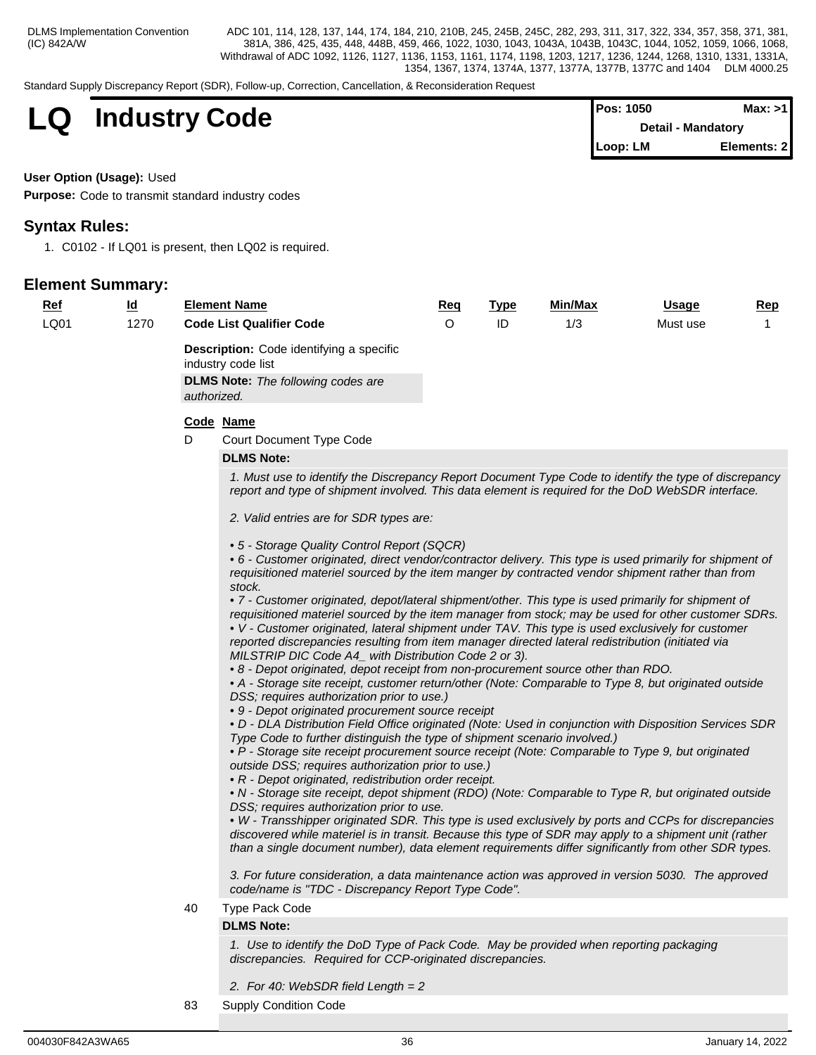Standard Supply Discrepancy Report (SDR), Follow-up, Correction, Cancellation, & Reconsideration Request

# **Code Pos: 1050 Max: >1050 Max: >1050 Max: >1050 Max: >1050 Max: >1050 Max: >1050 Max: >1050 Max: >1050 Max: >1050 Detail . Mandatory Detail - Mandatory Loop: LM Elements: 2**

**User Option (Usage):** Used

**Purpose:** Code to transmit standard industry codes

# **Syntax Rules:**

1. C0102 - If LQ01 is present, then LQ02 is required.

# **Element Summary:**

| <u>Ref</u> | <u>ld</u> | <b>Element Name</b>                                                   | Req | <u>Type</u> | <u>Min/Max</u> | <u>Usage</u> | Rep |
|------------|-----------|-----------------------------------------------------------------------|-----|-------------|----------------|--------------|-----|
| LQ01       | 1270      | <b>Code List Qualifier Code</b>                                       |     | ID          | 1/3            | Must use     |     |
|            |           | <b>Description:</b> Code identifying a specific<br>industry code list |     |             |                |              |     |
|            |           | <b>DLMS Note:</b> The following codes are                             |     |             |                |              |     |
|            |           | authorized.                                                           |     |             |                |              |     |

### **Code Name**

D Court Document Type Code

### **DLMS Note:**

*1. Must use to identify the Discrepancy Report Document Type Code to identify the type of discrepancy report and type of shipment involved. This data element is required for the DoD WebSDR interface.*

*2. Valid entries are for SDR types are:*

*• 5 - Storage Quality Control Report (SQCR)*

*• 6 - Customer originated, direct vendor/contractor delivery. This type is used primarily for shipment of requisitioned materiel sourced by the item manger by contracted vendor shipment rather than from stock.*

*• 7 - Customer originated, depot/lateral shipment/other. This type is used primarily for shipment of requisitioned materiel sourced by the item manager from stock; may be used for other customer SDRs.*

*• V - Customer originated, lateral shipment under TAV. This type is used exclusively for customer reported discrepancies resulting from item manager directed lateral redistribution (initiated via MILSTRIP DIC Code A4\_ with Distribution Code 2 or 3).*

*• 8 - Depot originated, depot receipt from non-procurement source other than RDO.*

*• A - Storage site receipt, customer return/other (Note: Comparable to Type 8, but originated outside DSS; requires authorization prior to use.)*

*• 9 - Depot originated procurement source receipt*

*• D - DLA Distribution Field Office originated (Note: Used in conjunction with Disposition Services SDR Type Code to further distinguish the type of shipment scenario involved.)*

*• P - Storage site receipt procurement source receipt (Note: Comparable to Type 9, but originated outside DSS; requires authorization prior to use.)*

*• R - Depot originated, redistribution order receipt.*

*• N - Storage site receipt, depot shipment (RDO) (Note: Comparable to Type R, but originated outside DSS; requires authorization prior to use.*

*• W - Transshipper originated SDR. This type is used exclusively by ports and CCPs for discrepancies discovered while materiel is in transit. Because this type of SDR may apply to a shipment unit (rather than a single document number), data element requirements differ significantly from other SDR types.*

*3. For future consideration, a data maintenance action was approved in version 5030. The approved code/name is "TDC - Discrepancy Report Type Code".*

40 Type Pack Code

### **DLMS Note:**

*1. Use to identify the DoD Type of Pack Code. May be provided when reporting packaging discrepancies. Required for CCP-originated discrepancies.*

*2. For 40: WebSDR field Length = 2*

83 Supply Condition Code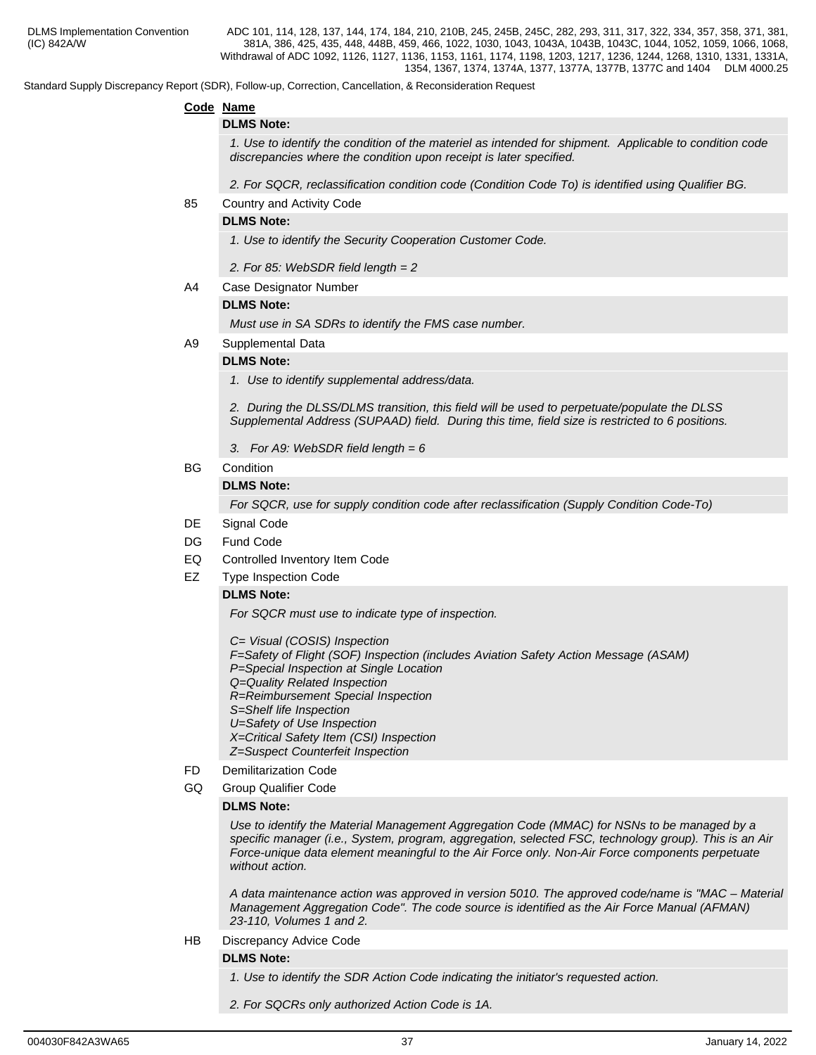Standard Supply Discrepancy Report (SDR), Follow-up, Correction, Cancellation, & Reconsideration Request

### **Code Name**

### **DLMS Note:**

*1. Use to identify the condition of the materiel as intended for shipment. Applicable to condition code discrepancies where the condition upon receipt is later specified.*

*2. For SQCR, reclassification condition code (Condition Code To) is identified using Qualifier BG.*

85 Country and Activity Code

#### **DLMS Note:**

- *1. Use to identify the Security Cooperation Customer Code.*
- *2. For 85: WebSDR field length = 2*
- A4 Case Designator Number

### **DLMS Note:**

*Must use in SA SDRs to identify the FMS case number.*

A9 Supplemental Data

### **DLMS Note:**

*1. Use to identify supplemental address/data.*

*2. During the DLSS/DLMS transition, this field will be used to perpetuate/populate the DLSS Supplemental Address (SUPAAD) field. During this time, field size is restricted to 6 positions.*

- *3. For A9: WebSDR field length = 6*
- BG Condition

### **DLMS Note:**

*For SQCR, use for supply condition code after reclassification (Supply Condition Code-To)*

- DE Signal Code
- DG Fund Code
- EQ Controlled Inventory Item Code
- EZ Type Inspection Code

### **DLMS Note:**

*For SQCR must use to indicate type of inspection.*

*C= Visual (COSIS) Inspection*

- *F=Safety of Flight (SOF) Inspection (includes Aviation Safety Action Message (ASAM)*
- *P=Special Inspection at Single Location*
- *Q=Quality Related Inspection*
- *R=Reimbursement Special Inspection*
- *S=Shelf life Inspection*
- *U=Safety of Use Inspection*
- *X=Critical Safety Item (CSI) Inspection*
- *Z=Suspect Counterfeit Inspection*
- FD Demilitarization Code
- GQ Group Qualifier Code

### **DLMS Note:**

*Use to identify the Material Management Aggregation Code (MMAC) for NSNs to be managed by a specific manager (i.e., System, program, aggregation, selected FSC, technology group). This is an Air Force-unique data element meaningful to the Air Force only. Non-Air Force components perpetuate without action.*

*A data maintenance action was approved in version 5010. The approved code/name is "MAC – Material Management Aggregation Code". The code source is identified as the Air Force Manual (AFMAN) 23-110, Volumes 1 and 2.*

### HB Discrepancy Advice Code

### **DLMS Note:**

*1. Use to identify the SDR Action Code indicating the initiator's requested action.*

*2. For SQCRs only authorized Action Code is 1A.*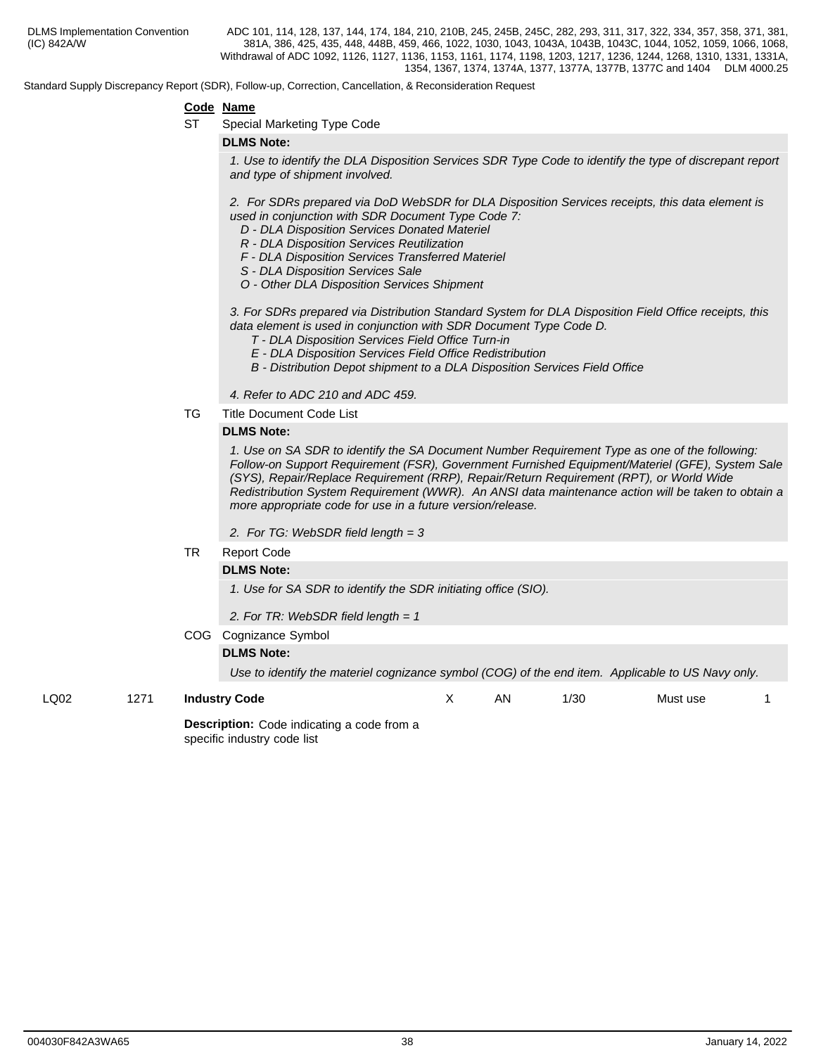Standard Supply Discrepancy Report (SDR), Follow-up, Correction, Cancellation, & Reconsideration Request

### **Code Name**

ST Special Marketing Type Code

### **DLMS Note:**

*1. Use to identify the DLA Disposition Services SDR Type Code to identify the type of discrepant report and type of shipment involved.*

*2. For SDRs prepared via DoD WebSDR for DLA Disposition Services receipts, this data element is used in conjunction with SDR Document Type Code 7:*

- *D DLA Disposition Services Donated Materiel*
- *R DLA Disposition Services Reutilization*
- *F DLA Disposition Services Transferred Materiel*
- *S DLA Disposition Services Sale*
- *O Other DLA Disposition Services Shipment*

*3. For SDRs prepared via Distribution Standard System for DLA Disposition Field Office receipts, this data element is used in conjunction with SDR Document Type Code D.* 

- *T DLA Disposition Services Field Office Turn-in*
- *E DLA Disposition Services Field Office Redistribution*
- *B Distribution Depot shipment to a DLA Disposition Services Field Office*

 *4. Refer to ADC 210 and ADC 459.*

TG Title Document Code List

### **DLMS Note:**

*1. Use on SA SDR to identify the SA Document Number Requirement Type as one of the following: Follow-on Support Requirement (FSR), Government Furnished Equipment/Materiel (GFE), System Sale (SYS), Repair/Replace Requirement (RRP), Repair/Return Requirement (RPT), or World Wide Redistribution System Requirement (WWR). An ANSI data maintenance action will be taken to obtain a more appropriate code for use in a future version/release.*

*2. For TG: WebSDR field length = 3*

### TR Report Code

### **DLMS Note:**

*1. Use for SA SDR to identify the SDR initiating office (SIO).*

*2. For TR: WebSDR field length = 1*

COG Cognizance Symbol

### **DLMS Note:**

*Use to identify the materiel cognizance symbol (COG) of the end item. Applicable to US Navy only.*

LQ02 1271 **Industry Code**

X AN 1/30 Must use 1

**Description:** Code indicating a code from a specific industry code list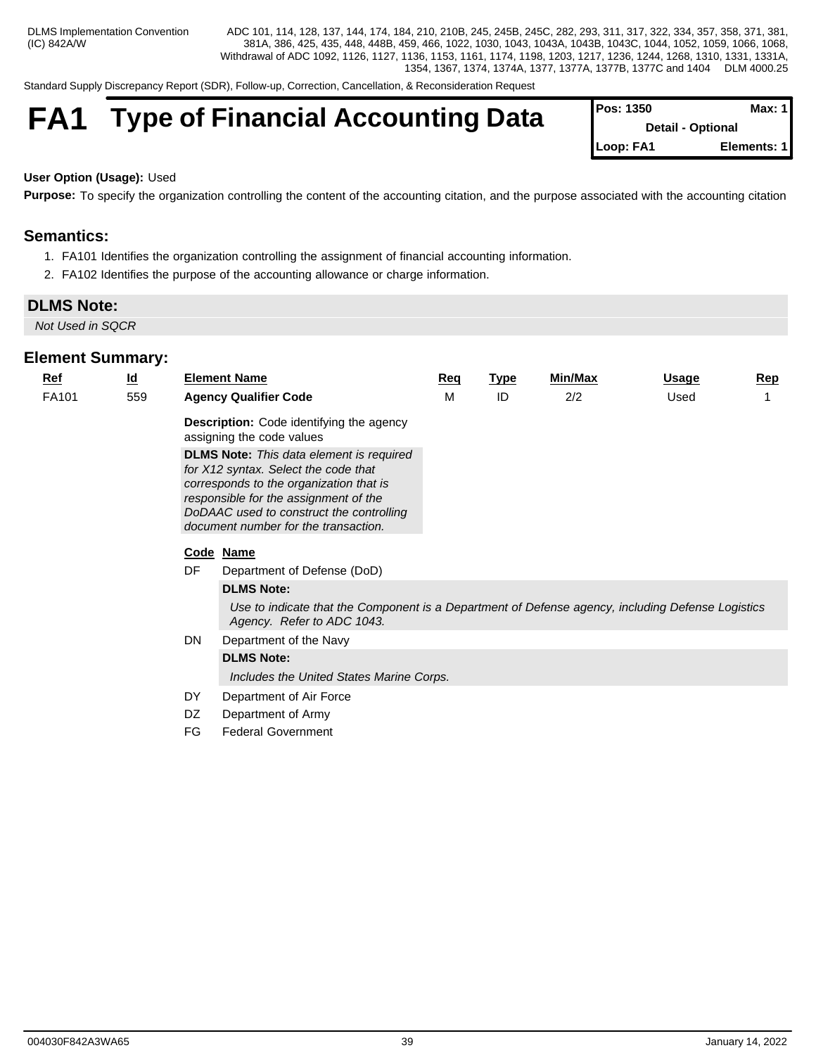Standard Supply Discrepancy Report (SDR), Follow-up, Correction, Cancellation, & Reconsideration Request

# **FA1** Type of Financial Accounting Data

| Pos: 1350 | Max: 1                   |  |
|-----------|--------------------------|--|
|           | <b>Detail - Optional</b> |  |
| Loop: FA1 | Elements: 1              |  |

### **User Option (Usage):** Used

**Purpose:** To specify the organization controlling the content of the accounting citation, and the purpose associated with the accounting citation

# **Semantics:**

- 1. FA101 Identifies the organization controlling the assignment of financial accounting information.
- 2. FA102 Identifies the purpose of the accounting allowance or charge information.

### **DLMS Note:**

*Not Used in SQCR*

| <b>Ref</b> | $\underline{\mathsf{Id}}$ |     | <b>Element Name</b>                                                                                                                                                                                                                                             | Req | <b>Type</b> | Min/Max | Usage | <b>Rep</b> |
|------------|---------------------------|-----|-----------------------------------------------------------------------------------------------------------------------------------------------------------------------------------------------------------------------------------------------------------------|-----|-------------|---------|-------|------------|
| FA101      | 559                       |     | <b>Agency Qualifier Code</b>                                                                                                                                                                                                                                    | м   | ID          | 2/2     | Used  |            |
|            |                           |     | <b>Description:</b> Code identifying the agency<br>assigning the code values                                                                                                                                                                                    |     |             |         |       |            |
|            |                           |     | <b>DLMS Note:</b> This data element is required<br>for X12 syntax. Select the code that<br>corresponds to the organization that is<br>responsible for the assignment of the<br>DoDAAC used to construct the controlling<br>document number for the transaction. |     |             |         |       |            |
|            |                           |     | Code Name                                                                                                                                                                                                                                                       |     |             |         |       |            |
|            |                           | DF  | Department of Defense (DoD)                                                                                                                                                                                                                                     |     |             |         |       |            |
|            |                           |     | <b>DLMS Note:</b>                                                                                                                                                                                                                                               |     |             |         |       |            |
|            |                           |     | Use to indicate that the Component is a Department of Defense agency, including Defense Logistics<br>Agency. Refer to ADC 1043.                                                                                                                                 |     |             |         |       |            |
|            |                           | DN. | Department of the Navy                                                                                                                                                                                                                                          |     |             |         |       |            |
|            |                           |     | <b>DLMS Note:</b>                                                                                                                                                                                                                                               |     |             |         |       |            |
|            |                           |     | Includes the United States Marine Corps.                                                                                                                                                                                                                        |     |             |         |       |            |
|            |                           | DY  | Department of Air Force                                                                                                                                                                                                                                         |     |             |         |       |            |
|            |                           | DZ  | Department of Army                                                                                                                                                                                                                                              |     |             |         |       |            |
|            |                           | FG  | <b>Federal Government</b>                                                                                                                                                                                                                                       |     |             |         |       |            |
|            |                           |     |                                                                                                                                                                                                                                                                 |     |             |         |       |            |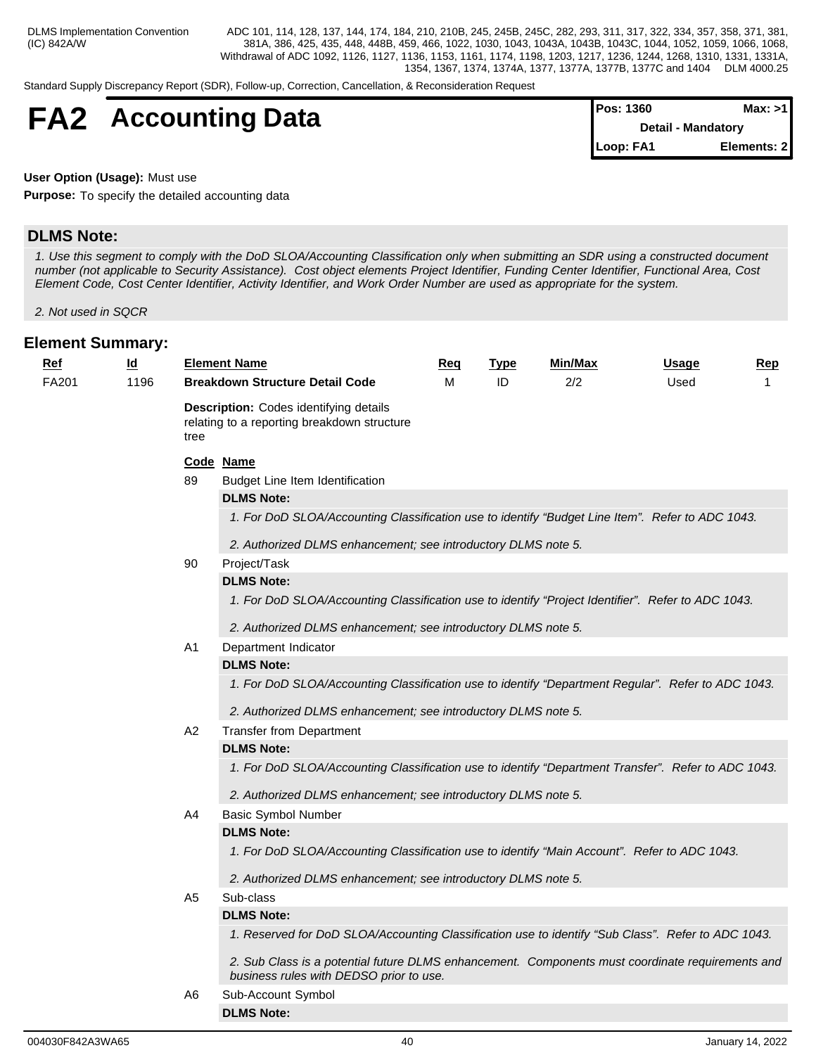Standard Supply Discrepancy Report (SDR), Follow-up, Correction, Cancellation, & Reconsideration Request

# **FA2** Accounting Data

| <b>Pos: 1360</b>          | Max: >1     |  |
|---------------------------|-------------|--|
| <b>Detail - Mandatory</b> |             |  |
| Loop: FA1                 | Elements: 2 |  |

**User Option (Usage):** Must use

**Purpose:** To specify the detailed accounting data

# **DLMS Note:**

*1. Use this segment to comply with the DoD SLOA/Accounting Classification only when submitting an SDR using a constructed document number (not applicable to Security Assistance). Cost object elements Project Identifier, Funding Center Identifier, Functional Area, Cost Element Code, Cost Center Identifier, Activity Identifier, and Work Order Number are used as appropriate for the system.*

*2. Not used in SQCR*

| <b>Element Summary:</b> |           |      |                                                                                                                                             |     |             |                |       |              |
|-------------------------|-----------|------|---------------------------------------------------------------------------------------------------------------------------------------------|-----|-------------|----------------|-------|--------------|
| $Ref$                   | <u>ld</u> |      | <b>Element Name</b>                                                                                                                         | Req | <b>Type</b> | <u>Min/Max</u> | Usage | <u>Rep</u>   |
| FA201                   | 1196      |      | <b>Breakdown Structure Detail Code</b>                                                                                                      | M   | ID          | 2/2            | Used  | $\mathbf{1}$ |
|                         |           | tree | <b>Description:</b> Codes identifying details<br>relating to a reporting breakdown structure                                                |     |             |                |       |              |
|                         |           |      | Code Name                                                                                                                                   |     |             |                |       |              |
|                         |           | 89   | Budget Line Item Identification                                                                                                             |     |             |                |       |              |
|                         |           |      | <b>DLMS Note:</b>                                                                                                                           |     |             |                |       |              |
|                         |           |      | 1. For DoD SLOA/Accounting Classification use to identify "Budget Line Item". Refer to ADC 1043.                                            |     |             |                |       |              |
|                         |           |      | 2. Authorized DLMS enhancement; see introductory DLMS note 5.                                                                               |     |             |                |       |              |
|                         |           | 90   | Project/Task                                                                                                                                |     |             |                |       |              |
|                         |           |      | <b>DLMS Note:</b>                                                                                                                           |     |             |                |       |              |
|                         |           |      | 1. For DoD SLOA/Accounting Classification use to identify "Project Identifier". Refer to ADC 1043.                                          |     |             |                |       |              |
|                         |           |      | 2. Authorized DLMS enhancement; see introductory DLMS note 5.                                                                               |     |             |                |       |              |
|                         |           | A1   | Department Indicator                                                                                                                        |     |             |                |       |              |
|                         |           |      | <b>DLMS Note:</b>                                                                                                                           |     |             |                |       |              |
|                         |           |      | 1. For DoD SLOA/Accounting Classification use to identify "Department Regular". Refer to ADC 1043.                                          |     |             |                |       |              |
|                         |           |      | 2. Authorized DLMS enhancement; see introductory DLMS note 5.                                                                               |     |             |                |       |              |
|                         |           | A2   | <b>Transfer from Department</b>                                                                                                             |     |             |                |       |              |
|                         |           |      | <b>DLMS Note:</b>                                                                                                                           |     |             |                |       |              |
|                         |           |      | 1. For DoD SLOA/Accounting Classification use to identify "Department Transfer". Refer to ADC 1043.                                         |     |             |                |       |              |
|                         |           |      | 2. Authorized DLMS enhancement; see introductory DLMS note 5.                                                                               |     |             |                |       |              |
|                         |           | A4   | <b>Basic Symbol Number</b>                                                                                                                  |     |             |                |       |              |
|                         |           |      | <b>DLMS Note:</b>                                                                                                                           |     |             |                |       |              |
|                         |           |      | 1. For DoD SLOA/Accounting Classification use to identify "Main Account". Refer to ADC 1043.                                                |     |             |                |       |              |
|                         |           |      | 2. Authorized DLMS enhancement; see introductory DLMS note 5.                                                                               |     |             |                |       |              |
|                         |           | A5   | Sub-class                                                                                                                                   |     |             |                |       |              |
|                         |           |      | <b>DLMS Note:</b>                                                                                                                           |     |             |                |       |              |
|                         |           |      | 1. Reserved for DoD SLOA/Accounting Classification use to identify "Sub Class". Refer to ADC 1043.                                          |     |             |                |       |              |
|                         |           |      | 2. Sub Class is a potential future DLMS enhancement. Components must coordinate requirements and<br>business rules with DEDSO prior to use. |     |             |                |       |              |
|                         |           | A6   | Sub-Account Symbol                                                                                                                          |     |             |                |       |              |
|                         |           |      | <b>DLMS Note:</b>                                                                                                                           |     |             |                |       |              |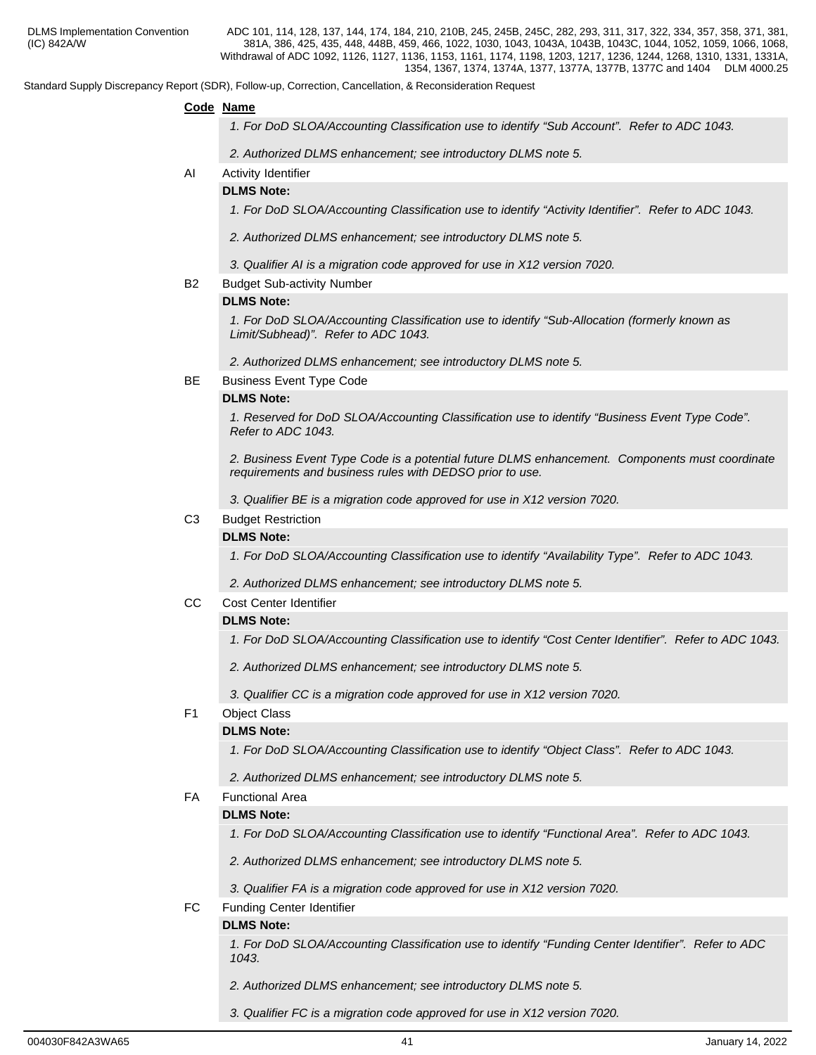Standard Supply Discrepancy Report (SDR), Follow-up, Correction, Cancellation, & Reconsideration Request

# **Code Name**

*1. For DoD SLOA/Accounting Classification use to identify "Sub Account". Refer to ADC 1043.*

*2. Authorized DLMS enhancement; see introductory DLMS note 5.*

# AI Activity Identifier

# **DLMS Note:**

*1. For DoD SLOA/Accounting Classification use to identify "Activity Identifier". Refer to ADC 1043.*

*2. Authorized DLMS enhancement; see introductory DLMS note 5.*

*3. Qualifier AI is a migration code approved for use in X12 version 7020.*

B2 Budget Sub-activity Number

### **DLMS Note:**

*1. For DoD SLOA/Accounting Classification use to identify "Sub-Allocation (formerly known as Limit/Subhead)". Refer to ADC 1043.*

*2. Authorized DLMS enhancement; see introductory DLMS note 5.*

BE Business Event Type Code

### **DLMS Note:**

*1. Reserved for DoD SLOA/Accounting Classification use to identify "Business Event Type Code". Refer to ADC 1043.*

*2. Business Event Type Code is a potential future DLMS enhancement. Components must coordinate requirements and business rules with DEDSO prior to use.*

*3. Qualifier BE is a migration code approved for use in X12 version 7020.*

### C3 Budget Restriction

### **DLMS Note:**

*1. For DoD SLOA/Accounting Classification use to identify "Availability Type". Refer to ADC 1043.*

*2. Authorized DLMS enhancement; see introductory DLMS note 5.*

CC Cost Center Identifier

### **DLMS Note:**

*1. For DoD SLOA/Accounting Classification use to identify "Cost Center Identifier". Refer to ADC 1043.*

*2. Authorized DLMS enhancement; see introductory DLMS note 5.*

*3. Qualifier CC is a migration code approved for use in X12 version 7020.*

### F1 Object Class

### **DLMS Note:**

*1. For DoD SLOA/Accounting Classification use to identify "Object Class". Refer to ADC 1043.*

*2. Authorized DLMS enhancement; see introductory DLMS note 5.*

### FA Functional Area

### **DLMS Note:**

*1. For DoD SLOA/Accounting Classification use to identify "Functional Area". Refer to ADC 1043.*

*2. Authorized DLMS enhancement; see introductory DLMS note 5.*

*3. Qualifier FA is a migration code approved for use in X12 version 7020.*

### FC Funding Center Identifier

### **DLMS Note:**

*1. For DoD SLOA/Accounting Classification use to identify "Funding Center Identifier". Refer to ADC 1043.*

- *2. Authorized DLMS enhancement; see introductory DLMS note 5.*
- *3. Qualifier FC is a migration code approved for use in X12 version 7020.*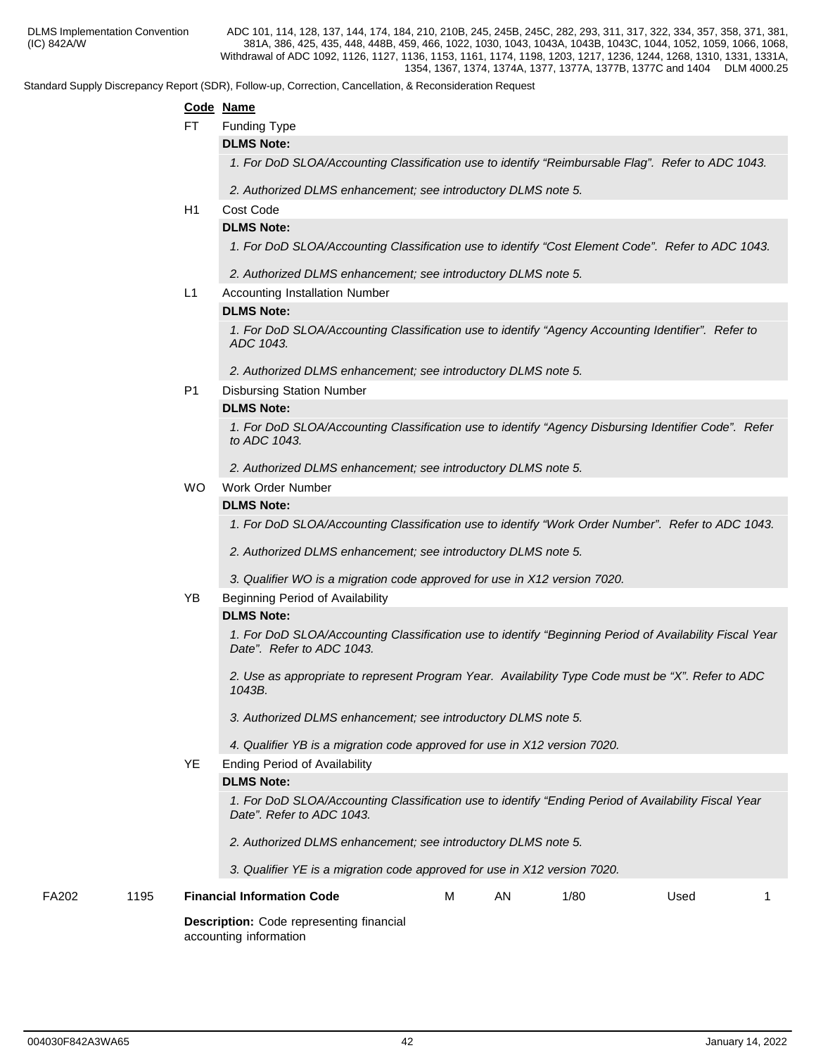Standard Supply Discrepancy Report (SDR), Follow-up, Correction, Cancellation, & Reconsideration Request

### **Code Name**

- FT Funding Type
	- **DLMS Note:**

*1. For DoD SLOA/Accounting Classification use to identify "Reimbursable Flag". Refer to ADC 1043.* 

*2. Authorized DLMS enhancement; see introductory DLMS note 5.*

H1 Cost Code

### **DLMS Note:**

*1. For DoD SLOA/Accounting Classification use to identify "Cost Element Code". Refer to ADC 1043.*

*2. Authorized DLMS enhancement; see introductory DLMS note 5.*

L1 Accounting Installation Number

### **DLMS Note:**

*1. For DoD SLOA/Accounting Classification use to identify "Agency Accounting Identifier". Refer to ADC 1043.* 

*2. Authorized DLMS enhancement; see introductory DLMS note 5.*

P1 Disbursing Station Number

### **DLMS Note:**

*1. For DoD SLOA/Accounting Classification use to identify "Agency Disbursing Identifier Code". Refer to ADC 1043.*

*2. Authorized DLMS enhancement; see introductory DLMS note 5.*

WO Work Order Number

### **DLMS Note:**

*1. For DoD SLOA/Accounting Classification use to identify "Work Order Number". Refer to ADC 1043.*

*2. Authorized DLMS enhancement; see introductory DLMS note 5.*

*3. Qualifier WO is a migration code approved for use in X12 version 7020.*

YB Beginning Period of Availability

### **DLMS Note:**

*1. For DoD SLOA/Accounting Classification use to identify "Beginning Period of Availability Fiscal Year Date". Refer to ADC 1043.*

*2. Use as appropriate to represent Program Year. Availability Type Code must be "X". Refer to ADC 1043B.*

- *3. Authorized DLMS enhancement; see introductory DLMS note 5.*
- *4. Qualifier YB is a migration code approved for use in X12 version 7020.*
- YE Ending Period of Availability

### **DLMS Note:**

*1. For DoD SLOA/Accounting Classification use to identify "Ending Period of Availability Fiscal Year Date". Refer to ADC 1043.* 

*2. Authorized DLMS enhancement; see introductory DLMS note 5.*

*3. Qualifier YE is a migration code approved for use in X12 version 7020.*

| FA202 | 1195 | Financial Information<br>Code | W. | .<br>ΑN | 1/80 | 0.00<br>∪ບບ |  |
|-------|------|-------------------------------|----|---------|------|-------------|--|
|       |      | --                            |    |         |      |             |  |

**Description:** Code representing financial accounting information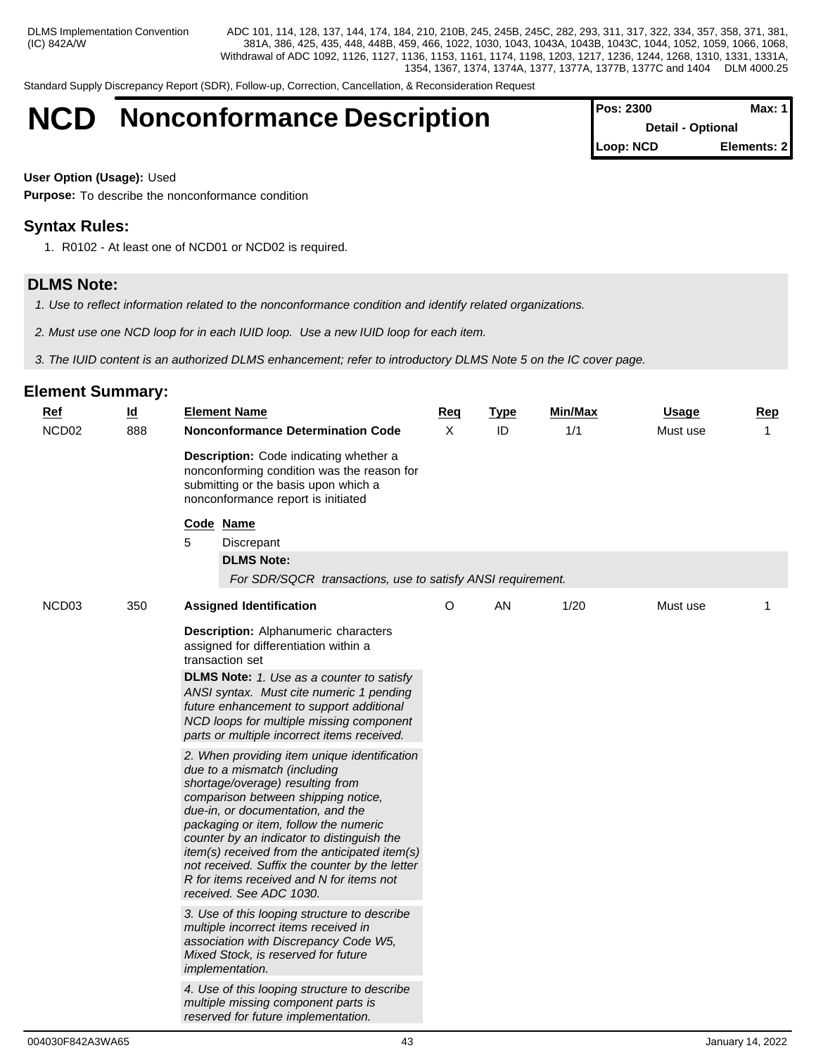Standard Supply Discrepancy Report (SDR), Follow-up, Correction, Cancellation, & Reconsideration Request

# **NCD** Nonconformance Description

| <b>I</b> Pos: 2300       | Max: $1$    |
|--------------------------|-------------|
| <b>Detail - Optional</b> |             |
| Loop: NCD                | Elements: 2 |

### **User Option (Usage):** Used

**Purpose:** To describe the nonconformance condition

# **Syntax Rules:**

1. R0102 - At least one of NCD01 or NCD02 is required.

# **DLMS Note:**

- *1. Use to reflect information related to the nonconformance condition and identify related organizations.*
- *2. Must use one NCD loop for in each IUID loop. Use a new IUID loop for each item.*

*3. The IUID content is an authorized DLMS enhancement; refer to introductory DLMS Note 5 on the IC cover page.* 

| <u>Ref</u>        | <u>ld</u> | <b>Element Name</b>                                                                                                                                                                                                                                                                                                                                                                                                                                           | <u>Req</u>   | <b>Type</b> | Min/Max | <b>Usage</b> | <u>Rep</u> |
|-------------------|-----------|---------------------------------------------------------------------------------------------------------------------------------------------------------------------------------------------------------------------------------------------------------------------------------------------------------------------------------------------------------------------------------------------------------------------------------------------------------------|--------------|-------------|---------|--------------|------------|
| NCD <sub>02</sub> | 888       | <b>Nonconformance Determination Code</b>                                                                                                                                                                                                                                                                                                                                                                                                                      | $\mathsf{x}$ | ID          | 1/1     | Must use     | 1          |
|                   |           | Description: Code indicating whether a<br>nonconforming condition was the reason for<br>submitting or the basis upon which a<br>nonconformance report is initiated                                                                                                                                                                                                                                                                                            |              |             |         |              |            |
|                   |           | Code Name                                                                                                                                                                                                                                                                                                                                                                                                                                                     |              |             |         |              |            |
|                   |           | 5<br>Discrepant                                                                                                                                                                                                                                                                                                                                                                                                                                               |              |             |         |              |            |
|                   |           | <b>DLMS Note:</b>                                                                                                                                                                                                                                                                                                                                                                                                                                             |              |             |         |              |            |
|                   |           | For SDR/SQCR transactions, use to satisfy ANSI requirement.                                                                                                                                                                                                                                                                                                                                                                                                   |              |             |         |              |            |
| NCD <sub>03</sub> | 350       | <b>Assigned Identification</b>                                                                                                                                                                                                                                                                                                                                                                                                                                | O            | AN          | 1/20    | Must use     | 1          |
|                   |           | <b>Description:</b> Alphanumeric characters<br>assigned for differentiation within a<br>transaction set                                                                                                                                                                                                                                                                                                                                                       |              |             |         |              |            |
|                   |           | <b>DLMS Note:</b> 1. Use as a counter to satisfy<br>ANSI syntax. Must cite numeric 1 pending<br>future enhancement to support additional<br>NCD loops for multiple missing component<br>parts or multiple incorrect items received.                                                                                                                                                                                                                           |              |             |         |              |            |
|                   |           | 2. When providing item unique identification<br>due to a mismatch (including<br>shortage/overage) resulting from<br>comparison between shipping notice,<br>due-in, or documentation, and the<br>packaging or item, follow the numeric<br>counter by an indicator to distinguish the<br>item(s) received from the anticipated item(s)<br>not received. Suffix the counter by the letter<br>R for items received and N for items not<br>received. See ADC 1030. |              |             |         |              |            |
|                   |           | 3. Use of this looping structure to describe<br>multiple incorrect items received in<br>association with Discrepancy Code W5,<br>Mixed Stock, is reserved for future<br>implementation.                                                                                                                                                                                                                                                                       |              |             |         |              |            |
|                   |           | 4. Use of this looping structure to describe<br>multiple missing component parts is<br>reserved for future implementation.                                                                                                                                                                                                                                                                                                                                    |              |             |         |              |            |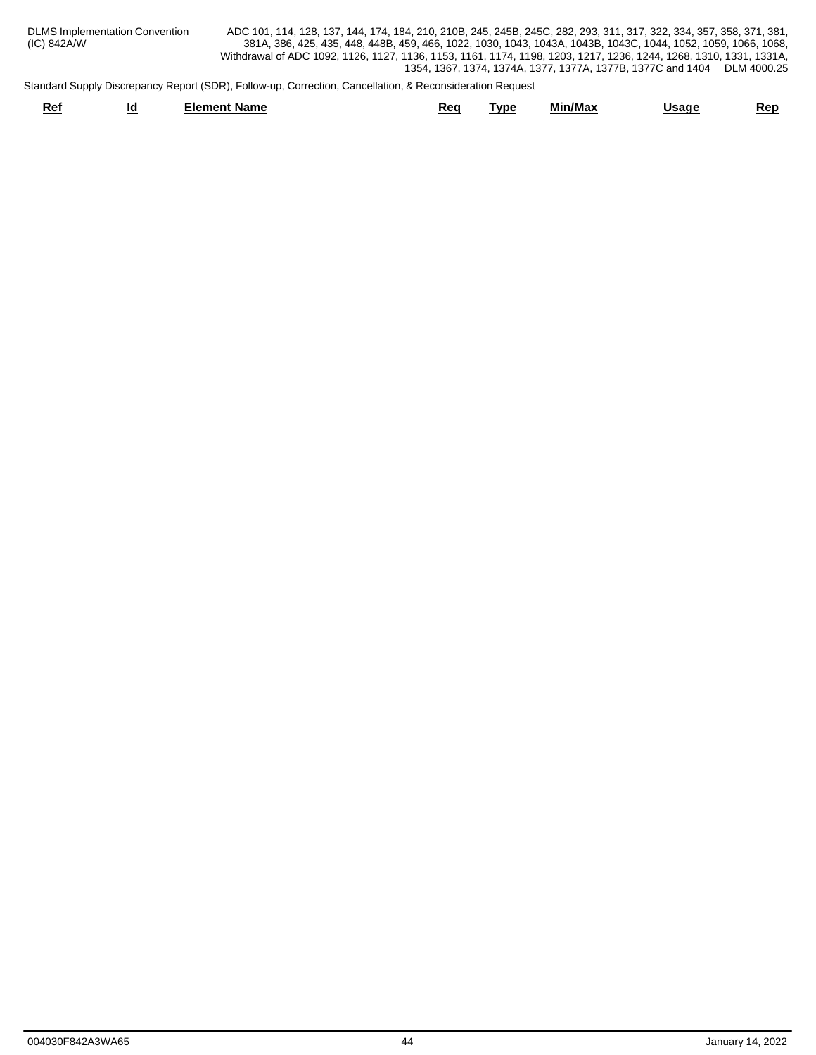| <b>DLMS Implementation Convention</b> | ADC 101, 114, 128, 137, 144, 174, 184, 210, 210B, 245, 245B, 245C, 282, 293, 311, 317, 322, 334, 357, 358, 371, 381, |
|---------------------------------------|----------------------------------------------------------------------------------------------------------------------|
| (IC) 842A/W                           | 381A, 386, 425, 435, 448, 448B, 459, 466, 1022, 1030, 1043, 1043A, 1043B, 1043C, 1044, 1052, 1059, 1066, 1068,       |
|                                       | Withdrawal of ADC 1092, 1126, 1127, 1136, 1153, 1161, 1174, 1198, 1203, 1217, 1236, 1244, 1268, 1310, 1331, 1331A,   |
|                                       | 1354, 1367, 1374, 1374A, 1377, 1377A, 1377B, 1377C and 1404<br>DLM 4000.25                                           |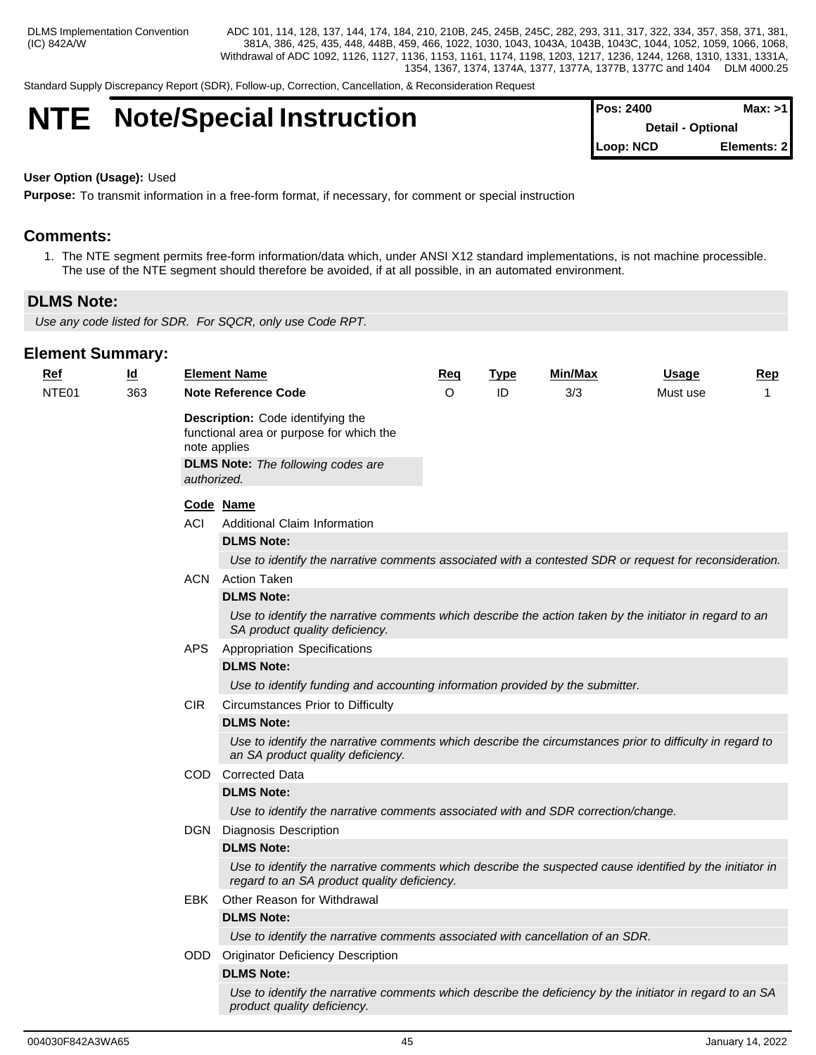Standard Supply Discrepancy Report (SDR), Follow-up, Correction, Cancellation, & Reconsideration Request

# **NTE** Note/Special Instruction

| <b>IPos: 2400</b> | Max: >1      |  |
|-------------------|--------------|--|
| Detail - Optional |              |  |
| Loop: NCD         | Elements: 21 |  |

### **User Option (Usage):** Used

**Purpose:** To transmit information in a free-form format, if necessary, for comment or special instruction

# **Comments:**

1. The NTE segment permits free-form information/data which, under ANSI X12 standard implementations, is not machine processible. The use of the NTE segment should therefore be avoided, if at all possible, in an automated environment.

# **DLMS Note:**

*Use any code listed for SDR. For SQCR, only use Code RPT.*

| $Ref$ | <u>ld</u> |             | <b>Element Name</b>                                                                                                                                     | Req      | <u>Type</u> | Min/Max | <b>Usage</b> | $\mathbf{Rep}$ |
|-------|-----------|-------------|---------------------------------------------------------------------------------------------------------------------------------------------------------|----------|-------------|---------|--------------|----------------|
| NTE01 | 363       |             | <b>Note Reference Code</b>                                                                                                                              | $\Omega$ | ID          | 3/3     | Must use     |                |
|       |           |             | Description: Code identifying the<br>functional area or purpose for which the<br>note applies<br><b>DLMS Note:</b> The following codes are              |          |             |         |              |                |
|       |           | authorized. |                                                                                                                                                         |          |             |         |              |                |
|       |           |             | Code Name                                                                                                                                               |          |             |         |              |                |
|       |           | ACI         | <b>Additional Claim Information</b>                                                                                                                     |          |             |         |              |                |
|       |           |             | <b>DLMS Note:</b>                                                                                                                                       |          |             |         |              |                |
|       |           |             | Use to identify the narrative comments associated with a contested SDR or request for reconsideration.                                                  |          |             |         |              |                |
|       |           |             | <b>ACN</b> Action Taken                                                                                                                                 |          |             |         |              |                |
|       |           |             | <b>DLMS Note:</b>                                                                                                                                       |          |             |         |              |                |
|       |           |             | Use to identify the narrative comments which describe the action taken by the initiator in regard to an<br>SA product quality deficiency.               |          |             |         |              |                |
|       |           | APS.        | <b>Appropriation Specifications</b>                                                                                                                     |          |             |         |              |                |
|       |           |             | <b>DLMS Note:</b>                                                                                                                                       |          |             |         |              |                |
|       |           |             | Use to identify funding and accounting information provided by the submitter.                                                                           |          |             |         |              |                |
|       |           | CIR.        | <b>Circumstances Prior to Difficulty</b>                                                                                                                |          |             |         |              |                |
|       |           |             | <b>DLMS Note:</b>                                                                                                                                       |          |             |         |              |                |
|       |           |             | Use to identify the narrative comments which describe the circumstances prior to difficulty in regard to<br>an SA product quality deficiency.           |          |             |         |              |                |
|       |           |             | COD Corrected Data                                                                                                                                      |          |             |         |              |                |
|       |           |             | <b>DLMS Note:</b>                                                                                                                                       |          |             |         |              |                |
|       |           |             | Use to identify the narrative comments associated with and SDR correction/change.                                                                       |          |             |         |              |                |
|       |           |             | <b>DGN</b> Diagnosis Description                                                                                                                        |          |             |         |              |                |
|       |           |             | <b>DLMS Note:</b>                                                                                                                                       |          |             |         |              |                |
|       |           |             | Use to identify the narrative comments which describe the suspected cause identified by the initiator in<br>regard to an SA product quality deficiency. |          |             |         |              |                |
|       |           |             | EBK Other Reason for Withdrawal                                                                                                                         |          |             |         |              |                |
|       |           |             | <b>DLMS Note:</b>                                                                                                                                       |          |             |         |              |                |
|       |           |             | Use to identify the narrative comments associated with cancellation of an SDR.                                                                          |          |             |         |              |                |
|       |           |             | ODD Originator Deficiency Description                                                                                                                   |          |             |         |              |                |
|       |           |             | <b>DLMS Note:</b>                                                                                                                                       |          |             |         |              |                |
|       |           |             | Use to identify the narrative comments which describe the deficiency by the initiator in regard to an SA<br>product quality deficiency.                 |          |             |         |              |                |
|       |           |             |                                                                                                                                                         |          |             |         |              |                |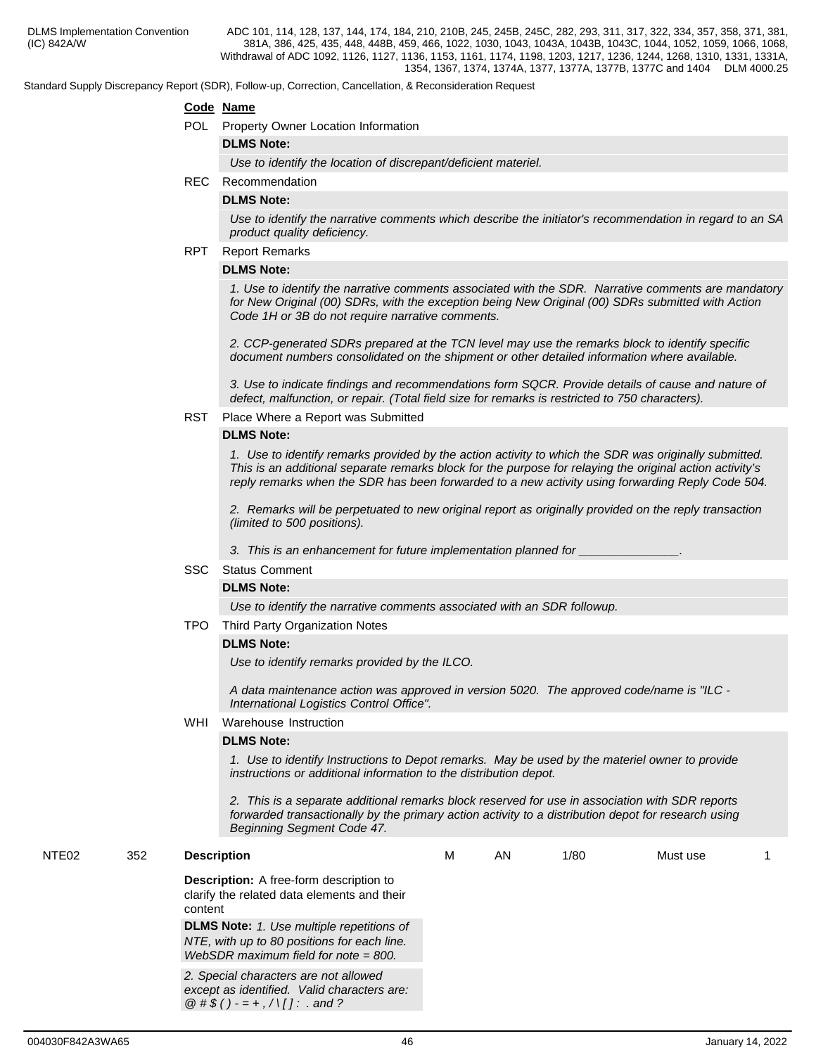Standard Supply Discrepancy Report (SDR), Follow-up, Correction, Cancellation, & Reconsideration Request

### **Code Name**

POL Property Owner Location Information

### **DLMS Note:**

*Use to identify the location of discrepant/deficient materiel.*

### REC Recommendation

### **DLMS Note:**

*Use to identify the narrative comments which describe the initiator's recommendation in regard to an SA product quality deficiency.*

### RPT Report Remarks

### **DLMS Note:**

*1. Use to identify the narrative comments associated with the SDR. Narrative comments are mandatory for New Original (00) SDRs, with the exception being New Original (00) SDRs submitted with Action Code 1H or 3B do not require narrative comments.*

*2. CCP-generated SDRs prepared at the TCN level may use the remarks block to identify specific document numbers consolidated on the shipment or other detailed information where available.*

*3. Use to indicate findings and recommendations form SQCR. Provide details of cause and nature of defect, malfunction, or repair. (Total field size for remarks is restricted to 750 characters).* 

RST Place Where a Report was Submitted

### **DLMS Note:**

*1. Use to identify remarks provided by the action activity to which the SDR was originally submitted. This is an additional separate remarks block for the purpose for relaying the original action activity's reply remarks when the SDR has been forwarded to a new activity using forwarding Reply Code 504.* 

*2. Remarks will be perpetuated to new original report as originally provided on the reply transaction (limited to 500 positions).*

3. This is an enhancement for future implementation planned for

### SSC Status Comment

### **DLMS Note:**

*Use to identify the narrative comments associated with an SDR followup.*

TPO Third Party Organization Notes

### **DLMS Note:**

*Use to identify remarks provided by the ILCO.* 

*A data maintenance action was approved in version 5020. The approved code/name is "ILC - International Logistics Control Office".*

WHI Warehouse Instruction

### **DLMS Note:**

*1. Use to identify Instructions to Depot remarks. May be used by the materiel owner to provide instructions or additional information to the distribution depot.*

*2. This is a separate additional remarks block reserved for use in association with SDR reports forwarded transactionally by the primary action activity to a distribution depot for research using Beginning Segment Code 47.*

| NTE <sub>02</sub> | 352 | <b>Description</b>                                                                                                                        | M | AN | 1/80 | Must use |  |
|-------------------|-----|-------------------------------------------------------------------------------------------------------------------------------------------|---|----|------|----------|--|
|                   |     | <b>Description:</b> A free-form description to<br>clarify the related data elements and their<br>content                                  |   |    |      |          |  |
|                   |     | <b>DLMS Note:</b> 1. Use multiple repetitions of<br>NTE, with up to 80 positions for each line.<br>WebSDR maximum field for note $=$ 800. |   |    |      |          |  |
|                   |     | 2. Special characters are not allowed<br>except as identified. Valid characters are:<br>$@# $() - = +$ , $/([] : .$ and ?                 |   |    |      |          |  |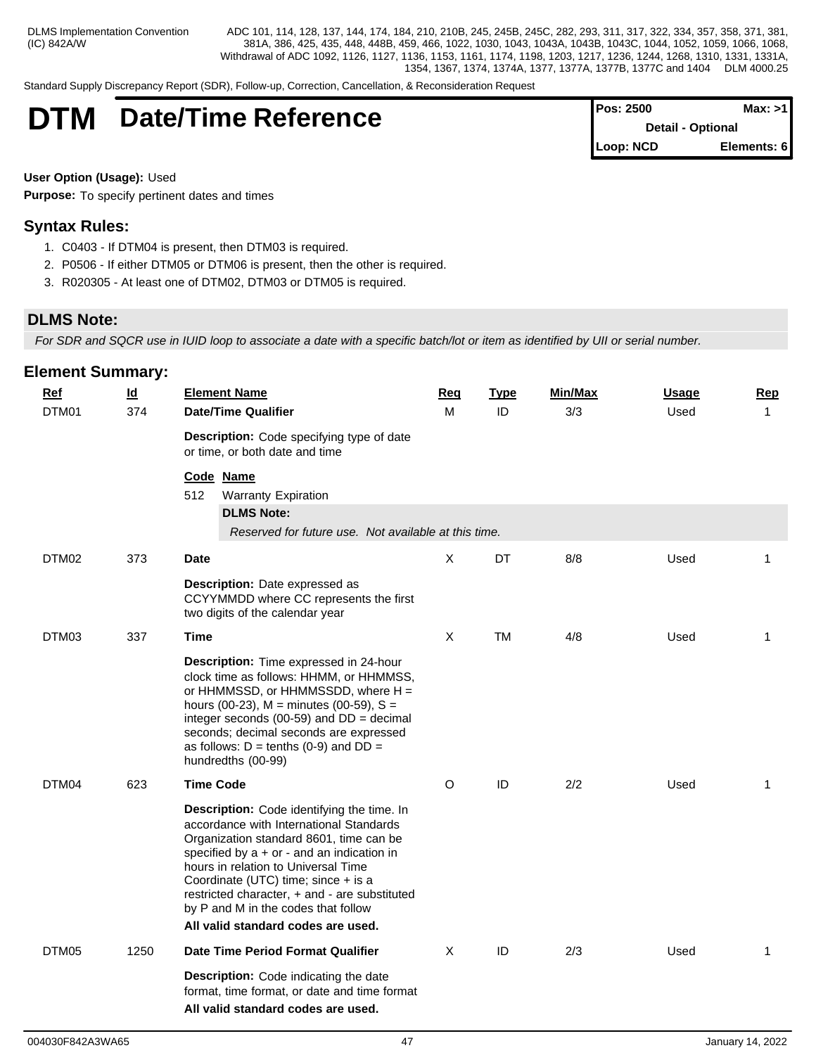Standard Supply Discrepancy Report (SDR), Follow-up, Correction, Cancellation, & Reconsideration Request

# **DTM** Date/Time Reference

| <b>Pos: 2500</b>         | Max: >11    |  |
|--------------------------|-------------|--|
| <b>Detail - Optional</b> |             |  |
| Loop: NCD                | Elements: 6 |  |

### **User Option (Usage):** Used

**Purpose:** To specify pertinent dates and times

# **Syntax Rules:**

- 1. C0403 If DTM04 is present, then DTM03 is required.
- 2. P0506 If either DTM05 or DTM06 is present, then the other is required.
- 3. R020305 At least one of DTM02, DTM03 or DTM05 is required.

# **DLMS Note:**

*For SDR and SQCR use in IUID loop to associate a date with a specific batch/lot or item as identified by UII or serial number.*

| <b>Element Summary:</b> |                                                                                                                                                                                                                                                                                                                                          |                                                                                                                                                                                                                                                                                                                                                                                              |          |             |                |       |              |
|-------------------------|------------------------------------------------------------------------------------------------------------------------------------------------------------------------------------------------------------------------------------------------------------------------------------------------------------------------------------------|----------------------------------------------------------------------------------------------------------------------------------------------------------------------------------------------------------------------------------------------------------------------------------------------------------------------------------------------------------------------------------------------|----------|-------------|----------------|-------|--------------|
| <b>Ref</b>              | $\underline{\mathsf{Id}}$                                                                                                                                                                                                                                                                                                                | <b>Element Name</b>                                                                                                                                                                                                                                                                                                                                                                          | Req<br>M | <b>Type</b> | <b>Min/Max</b> | Usage | Rep          |
| DTM01                   | 374                                                                                                                                                                                                                                                                                                                                      | <b>Date/Time Qualifier</b>                                                                                                                                                                                                                                                                                                                                                                   |          | ID          | 3/3            | Used  | $\mathbf{1}$ |
|                         |                                                                                                                                                                                                                                                                                                                                          | Description: Code specifying type of date<br>or time, or both date and time                                                                                                                                                                                                                                                                                                                  |          |             |                |       |              |
|                         |                                                                                                                                                                                                                                                                                                                                          | Code Name<br>512<br><b>Warranty Expiration</b>                                                                                                                                                                                                                                                                                                                                               |          |             |                |       |              |
|                         |                                                                                                                                                                                                                                                                                                                                          | <b>DLMS Note:</b>                                                                                                                                                                                                                                                                                                                                                                            |          |             |                |       |              |
|                         |                                                                                                                                                                                                                                                                                                                                          | Reserved for future use. Not available at this time.                                                                                                                                                                                                                                                                                                                                         |          |             |                |       |              |
| DTM02                   | 373                                                                                                                                                                                                                                                                                                                                      | <b>Date</b>                                                                                                                                                                                                                                                                                                                                                                                  | X        | DT          | 8/8            | Used  | 1            |
|                         |                                                                                                                                                                                                                                                                                                                                          | Description: Date expressed as<br>CCYYMMDD where CC represents the first<br>two digits of the calendar year                                                                                                                                                                                                                                                                                  |          |             |                |       |              |
| DTM03                   | 337                                                                                                                                                                                                                                                                                                                                      | <b>Time</b>                                                                                                                                                                                                                                                                                                                                                                                  |          | <b>TM</b>   | 4/8            | Used  | 1            |
|                         | Description: Time expressed in 24-hour<br>clock time as follows: HHMM, or HHMMSS,<br>or HHMMSSD, or HHMMSSDD, where H =<br>hours (00-23), $M =$ minutes (00-59), $S =$<br>integer seconds (00-59) and $DD = decimal$<br>seconds; decimal seconds are expressed<br>as follows: $D = \text{tenths}$ (0-9) and $DD =$<br>hundredths (00-99) |                                                                                                                                                                                                                                                                                                                                                                                              |          |             |                |       |              |
| DTM04                   | 623                                                                                                                                                                                                                                                                                                                                      | <b>Time Code</b>                                                                                                                                                                                                                                                                                                                                                                             | $\circ$  | ID          | 2/2            | Used  | 1            |
|                         |                                                                                                                                                                                                                                                                                                                                          | Description: Code identifying the time. In<br>accordance with International Standards<br>Organization standard 8601, time can be<br>specified by $a + or -$ and an indication in<br>hours in relation to Universal Time<br>Coordinate (UTC) time; since + is a<br>restricted character, + and - are substituted<br>by P and M in the codes that follow<br>All valid standard codes are used. |          |             |                |       |              |
| DTM05                   | 1250                                                                                                                                                                                                                                                                                                                                     | Date Time Period Format Qualifier                                                                                                                                                                                                                                                                                                                                                            | X        | ID          | 2/3            | Used  | 1            |
|                         |                                                                                                                                                                                                                                                                                                                                          | <b>Description:</b> Code indicating the date<br>format, time format, or date and time format<br>All valid standard codes are used.                                                                                                                                                                                                                                                           |          |             |                |       |              |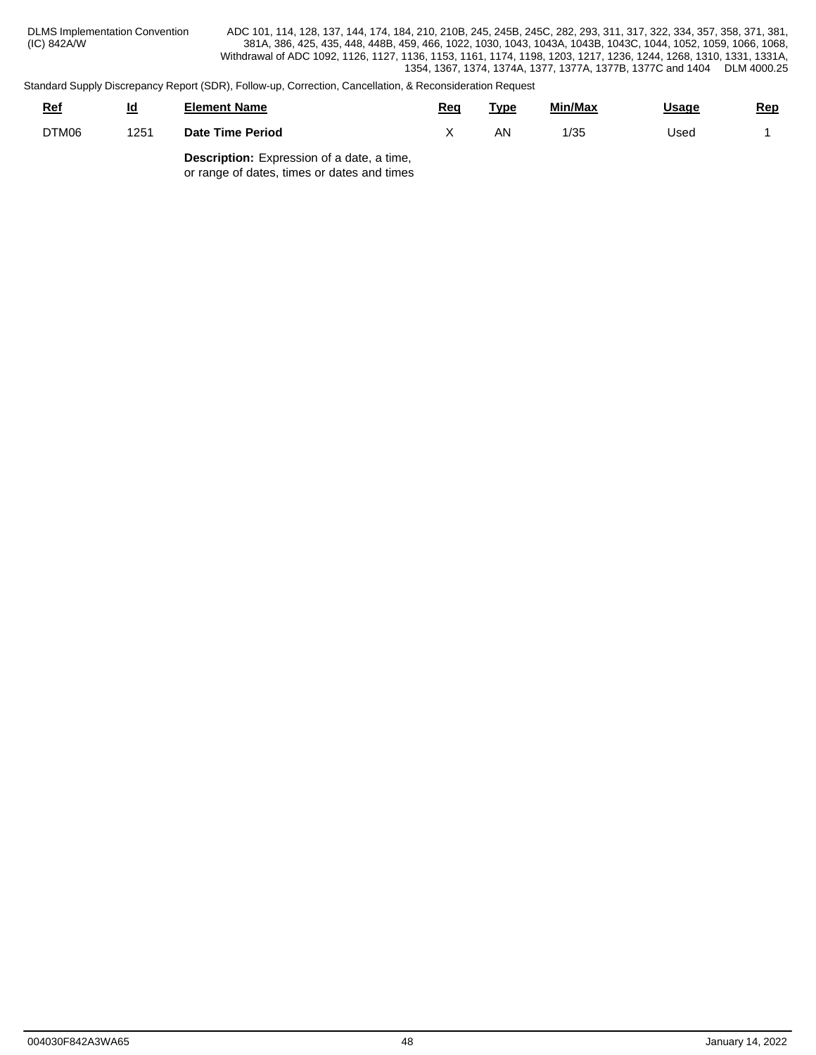Standard Supply Discrepancy Report (SDR), Follow-up, Correction, Cancellation, & Reconsideration Request

| <b>Ref</b> | Id<br>⋍ | Element Name                                      | Reg | Tvpe | Min/Max | <b>Usage</b> | <u>Rep</u> |  |  |
|------------|---------|---------------------------------------------------|-----|------|---------|--------------|------------|--|--|
| DTM06      | 1251    | <b>Date Time Period</b>                           |     | AN   | 1/35    | Jsed         |            |  |  |
|            |         | <b>Description:</b> Expression of a date, a time, |     |      |         |              |            |  |  |

or range of dates, times or dates and times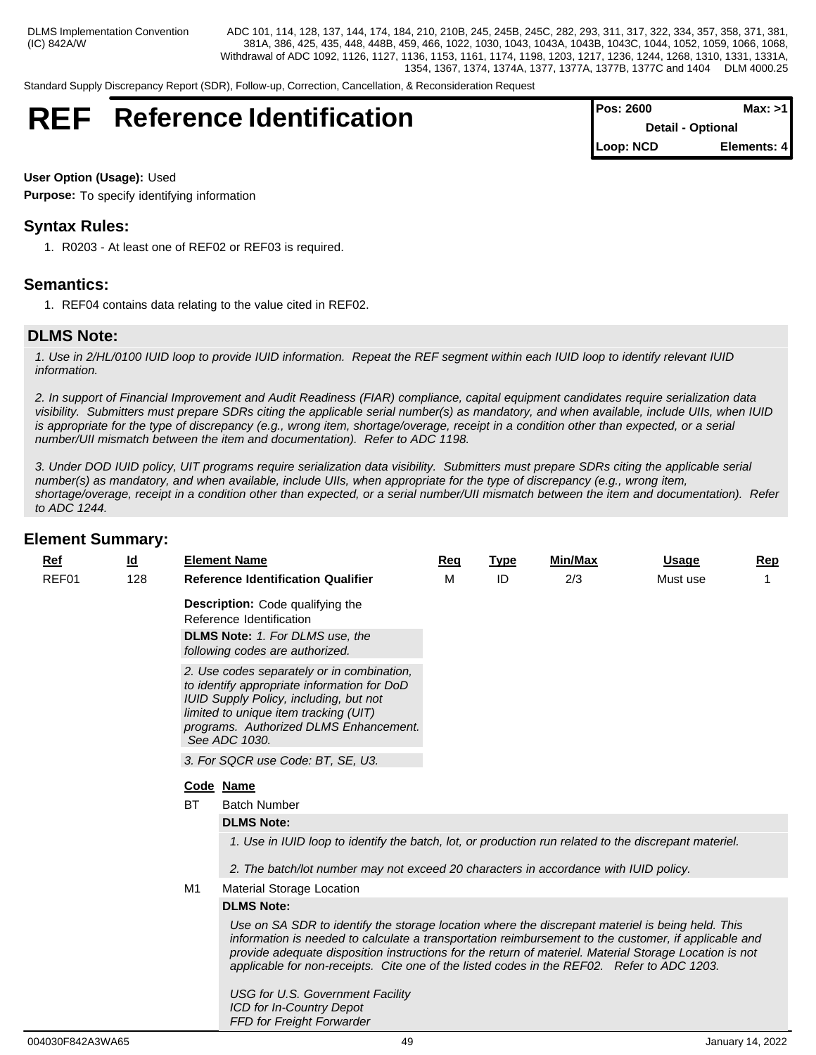Standard Supply Discrepancy Report (SDR), Follow-up, Correction, Cancellation, & Reconsideration Request

# **REF** Reference Identification

| <b>Pos: 2600</b> | Max: >1                  |
|------------------|--------------------------|
|                  | <b>Detail - Optional</b> |
| Loop: NCD        | Elements: 4              |

### **User Option (Usage):** Used

**Purpose:** To specify identifying information

# **Syntax Rules:**

1. R0203 - At least one of REF02 or REF03 is required.

# **Semantics:**

1. REF04 contains data relating to the value cited in REF02.

# **DLMS Note:**

*1. Use in 2/HL/0100 IUID loop to provide IUID information. Repeat the REF segment within each IUID loop to identify relevant IUID information.*

*2. In support of Financial Improvement and Audit Readiness (FIAR) compliance, capital equipment candidates require serialization data visibility. Submitters must prepare SDRs citing the applicable serial number(s) as mandatory, and when available, include UIIs, when IUID is appropriate for the type of discrepancy (e.g., wrong item, shortage/overage, receipt in a condition other than expected, or a serial number/UII mismatch between the item and documentation). Refer to ADC 1198.*

*3. Under DOD IUID policy, UIT programs require serialization data visibility. Submitters must prepare SDRs citing the applicable serial number(s) as mandatory, and when available, include UIIs, when appropriate for the type of discrepancy (e.g., wrong item, shortage/overage, receipt in a condition other than expected, or a serial number/UII mismatch between the item and documentation). Refer to ADC 1244.*

| Ref   | $\underline{\mathsf{Id}}$ |           | <b>Element Name</b>                                                                                                                                                                                                                                                                                                                                                                                              | Req | <b>Type</b> | Min/Max | Usage    | <b>Rep</b> |
|-------|---------------------------|-----------|------------------------------------------------------------------------------------------------------------------------------------------------------------------------------------------------------------------------------------------------------------------------------------------------------------------------------------------------------------------------------------------------------------------|-----|-------------|---------|----------|------------|
| REF01 | 128                       |           | <b>Reference Identification Qualifier</b>                                                                                                                                                                                                                                                                                                                                                                        | M   | ID          | 2/3     | Must use | 1          |
|       |                           |           | <b>Description:</b> Code qualifying the<br>Reference Identification                                                                                                                                                                                                                                                                                                                                              |     |             |         |          |            |
|       |                           |           | <b>DLMS Note:</b> 1. For DLMS use, the<br>following codes are authorized.                                                                                                                                                                                                                                                                                                                                        |     |             |         |          |            |
|       |                           |           | 2. Use codes separately or in combination,<br>to identify appropriate information for DoD<br>IUID Supply Policy, including, but not<br>limited to unique item tracking (UIT)<br>programs. Authorized DLMS Enhancement.<br>See ADC 1030.                                                                                                                                                                          |     |             |         |          |            |
|       |                           |           | 3. For SQCR use Code: BT, SE, U3.                                                                                                                                                                                                                                                                                                                                                                                |     |             |         |          |            |
|       |                           |           | Code Name                                                                                                                                                                                                                                                                                                                                                                                                        |     |             |         |          |            |
|       |                           | <b>BT</b> | <b>Batch Number</b>                                                                                                                                                                                                                                                                                                                                                                                              |     |             |         |          |            |
|       |                           |           | <b>DLMS Note:</b>                                                                                                                                                                                                                                                                                                                                                                                                |     |             |         |          |            |
|       |                           |           | 1. Use in IUID loop to identify the batch, lot, or production run related to the discrepant materiel.                                                                                                                                                                                                                                                                                                            |     |             |         |          |            |
|       |                           |           | 2. The batch/lot number may not exceed 20 characters in accordance with IUID policy.                                                                                                                                                                                                                                                                                                                             |     |             |         |          |            |
|       |                           | M1        | <b>Material Storage Location</b>                                                                                                                                                                                                                                                                                                                                                                                 |     |             |         |          |            |
|       |                           |           | <b>DLMS Note:</b>                                                                                                                                                                                                                                                                                                                                                                                                |     |             |         |          |            |
|       |                           |           | Use on SA SDR to identify the storage location where the discrepant materiel is being held. This<br>information is needed to calculate a transportation reimbursement to the customer, if applicable and<br>provide adequate disposition instructions for the return of materiel. Material Storage Location is not<br>applicable for non-receipts. Cite one of the listed codes in the REF02. Refer to ADC 1203. |     |             |         |          |            |
|       |                           |           | USG for U.S. Government Facility<br>ICD for In-Country Depot<br><b>FFD for Freight Forwarder</b>                                                                                                                                                                                                                                                                                                                 |     |             |         |          |            |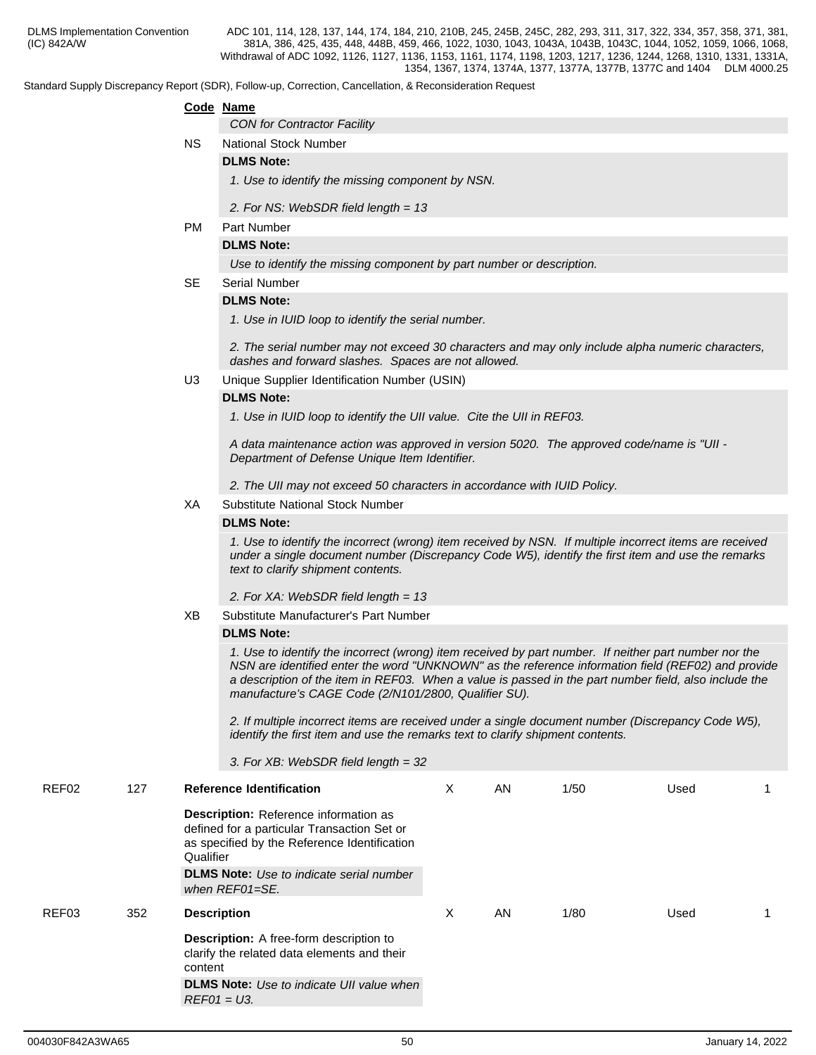|       |           |                    | Code Name                                                                                                                                                                                                                                                                                                                                                                    |              |    |      |      |    |  |  |  |  |
|-------|-----------|--------------------|------------------------------------------------------------------------------------------------------------------------------------------------------------------------------------------------------------------------------------------------------------------------------------------------------------------------------------------------------------------------------|--------------|----|------|------|----|--|--|--|--|
|       |           |                    | <b>CON for Contractor Facility</b>                                                                                                                                                                                                                                                                                                                                           |              |    |      |      |    |  |  |  |  |
|       |           | <b>NS</b>          | <b>National Stock Number</b>                                                                                                                                                                                                                                                                                                                                                 |              |    |      |      |    |  |  |  |  |
|       |           |                    | <b>DLMS Note:</b>                                                                                                                                                                                                                                                                                                                                                            |              |    |      |      |    |  |  |  |  |
|       |           |                    | 1. Use to identify the missing component by NSN.                                                                                                                                                                                                                                                                                                                             |              |    |      |      |    |  |  |  |  |
|       |           |                    | 2. For NS: WebSDR field length = 13                                                                                                                                                                                                                                                                                                                                          |              |    |      |      |    |  |  |  |  |
|       |           | <b>PM</b>          | Part Number                                                                                                                                                                                                                                                                                                                                                                  |              |    |      |      |    |  |  |  |  |
|       |           |                    | <b>DLMS Note:</b>                                                                                                                                                                                                                                                                                                                                                            |              |    |      |      |    |  |  |  |  |
|       |           |                    | Use to identify the missing component by part number or description.                                                                                                                                                                                                                                                                                                         |              |    |      |      |    |  |  |  |  |
|       |           | <b>SE</b>          | <b>Serial Number</b>                                                                                                                                                                                                                                                                                                                                                         |              |    |      |      |    |  |  |  |  |
|       |           |                    | <b>DLMS Note:</b>                                                                                                                                                                                                                                                                                                                                                            |              |    |      |      |    |  |  |  |  |
|       |           |                    | 1. Use in IUID loop to identify the serial number.                                                                                                                                                                                                                                                                                                                           |              |    |      |      |    |  |  |  |  |
|       |           |                    | 2. The serial number may not exceed 30 characters and may only include alpha numeric characters,<br>dashes and forward slashes. Spaces are not allowed.                                                                                                                                                                                                                      |              |    |      |      |    |  |  |  |  |
|       |           | U <sub>3</sub>     | Unique Supplier Identification Number (USIN)                                                                                                                                                                                                                                                                                                                                 |              |    |      |      |    |  |  |  |  |
|       |           | <b>DLMS Note:</b>  |                                                                                                                                                                                                                                                                                                                                                                              |              |    |      |      |    |  |  |  |  |
|       |           |                    | 1. Use in IUID loop to identify the UII value. Cite the UII in REF03.                                                                                                                                                                                                                                                                                                        |              |    |      |      |    |  |  |  |  |
|       |           |                    | A data maintenance action was approved in version 5020. The approved code/name is "UII -<br>Department of Defense Unique Item Identifier.                                                                                                                                                                                                                                    |              |    |      |      |    |  |  |  |  |
|       |           |                    | 2. The UII may not exceed 50 characters in accordance with IUID Policy.                                                                                                                                                                                                                                                                                                      |              |    |      |      |    |  |  |  |  |
|       |           | XA                 | <b>Substitute National Stock Number</b>                                                                                                                                                                                                                                                                                                                                      |              |    |      |      |    |  |  |  |  |
|       |           |                    | <b>DLMS Note:</b>                                                                                                                                                                                                                                                                                                                                                            |              |    |      |      |    |  |  |  |  |
|       |           |                    | 1. Use to identify the incorrect (wrong) item received by NSN. If multiple incorrect items are received<br>under a single document number (Discrepancy Code W5), identify the first item and use the remarks<br>text to clarify shipment contents.<br>2. For XA: WebSDR field length = 13                                                                                    |              |    |      |      |    |  |  |  |  |
|       |           | XB                 | Substitute Manufacturer's Part Number                                                                                                                                                                                                                                                                                                                                        |              |    |      |      |    |  |  |  |  |
|       |           |                    | <b>DLMS Note:</b>                                                                                                                                                                                                                                                                                                                                                            |              |    |      |      |    |  |  |  |  |
|       |           |                    | 1. Use to identify the incorrect (wrong) item received by part number. If neither part number nor the<br>NSN are identified enter the word "UNKNOWN" as the reference information field (REF02) and provide<br>a description of the item in REF03. When a value is passed in the part number field, also include the<br>manufacture's CAGE Code (2/N101/2800, Qualifier SU). |              |    |      |      |    |  |  |  |  |
|       |           |                    | 2. If multiple incorrect items are received under a single document number (Discrepancy Code W5),<br>identify the first item and use the remarks text to clarify shipment contents.                                                                                                                                                                                          |              |    |      |      |    |  |  |  |  |
|       |           |                    | 3. For XB: WebSDR field length = 32                                                                                                                                                                                                                                                                                                                                          |              |    |      |      |    |  |  |  |  |
| REF02 | 127       |                    | <b>Reference Identification</b>                                                                                                                                                                                                                                                                                                                                              | $\mathsf{X}$ | AN | 1/50 | Used | 1  |  |  |  |  |
|       | Qualifier |                    | Description: Reference information as<br>defined for a particular Transaction Set or<br>as specified by the Reference Identification<br><b>DLMS Note:</b> Use to indicate serial number                                                                                                                                                                                      |              |    |      |      |    |  |  |  |  |
| REF03 | 352       | <b>Description</b> | when REF01=SE.                                                                                                                                                                                                                                                                                                                                                               | X            | AN | 1/80 | Used | -1 |  |  |  |  |
|       |           | content            | <b>Description:</b> A free-form description to<br>clarify the related data elements and their                                                                                                                                                                                                                                                                                |              |    |      |      |    |  |  |  |  |
|       |           | $REFO1 = U3$ .     | <b>DLMS Note:</b> Use to indicate UII value when                                                                                                                                                                                                                                                                                                                             |              |    |      |      |    |  |  |  |  |
|       |           |                    |                                                                                                                                                                                                                                                                                                                                                                              |              |    |      |      |    |  |  |  |  |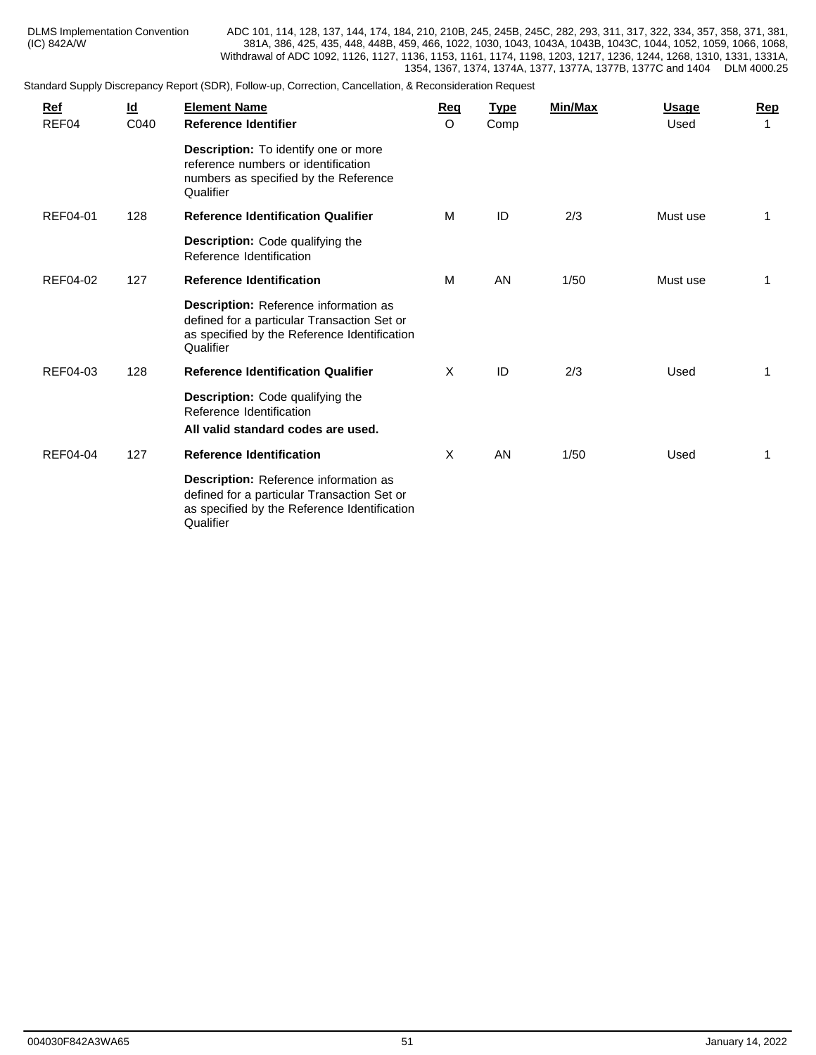| <b>Ref</b><br>REF04 | $\underline{\mathsf{Id}}$<br>C040 | <b>Element Name</b><br>Reference Identifier                                                                                                       | <b>Req</b><br>O | <b>Type</b><br>Comp | <b>Min/Max</b> | <b>Usage</b><br>Used | Rep<br>1 |
|---------------------|-----------------------------------|---------------------------------------------------------------------------------------------------------------------------------------------------|-----------------|---------------------|----------------|----------------------|----------|
|                     |                                   | Description: To identify one or more<br>reference numbers or identification<br>numbers as specified by the Reference<br>Qualifier                 |                 |                     |                |                      |          |
| REF04-01            | 128                               | <b>Reference Identification Qualifier</b>                                                                                                         | м               | ID                  | 2/3            | Must use             |          |
|                     |                                   | Description: Code qualifying the<br>Reference Identification                                                                                      |                 |                     |                |                      |          |
| <b>REF04-02</b>     | 127                               | <b>Reference Identification</b>                                                                                                                   | м               | AN                  | 1/50           | Must use             | -1       |
|                     |                                   | Description: Reference information as<br>defined for a particular Transaction Set or<br>as specified by the Reference Identification<br>Qualifier |                 |                     |                |                      |          |
| REF04-03            | 128                               | <b>Reference Identification Qualifier</b>                                                                                                         | X               | ID                  | 2/3            | Used                 |          |
|                     |                                   | Description: Code qualifying the<br>Reference Identification<br>All valid standard codes are used.                                                |                 |                     |                |                      |          |
| <b>REF04-04</b>     | 127                               | <b>Reference Identification</b>                                                                                                                   | X               | AN                  | 1/50           | Used                 |          |
|                     |                                   | Description: Reference information as<br>defined for a particular Transaction Set or<br>as specified by the Reference Identification<br>Qualifier |                 |                     |                |                      |          |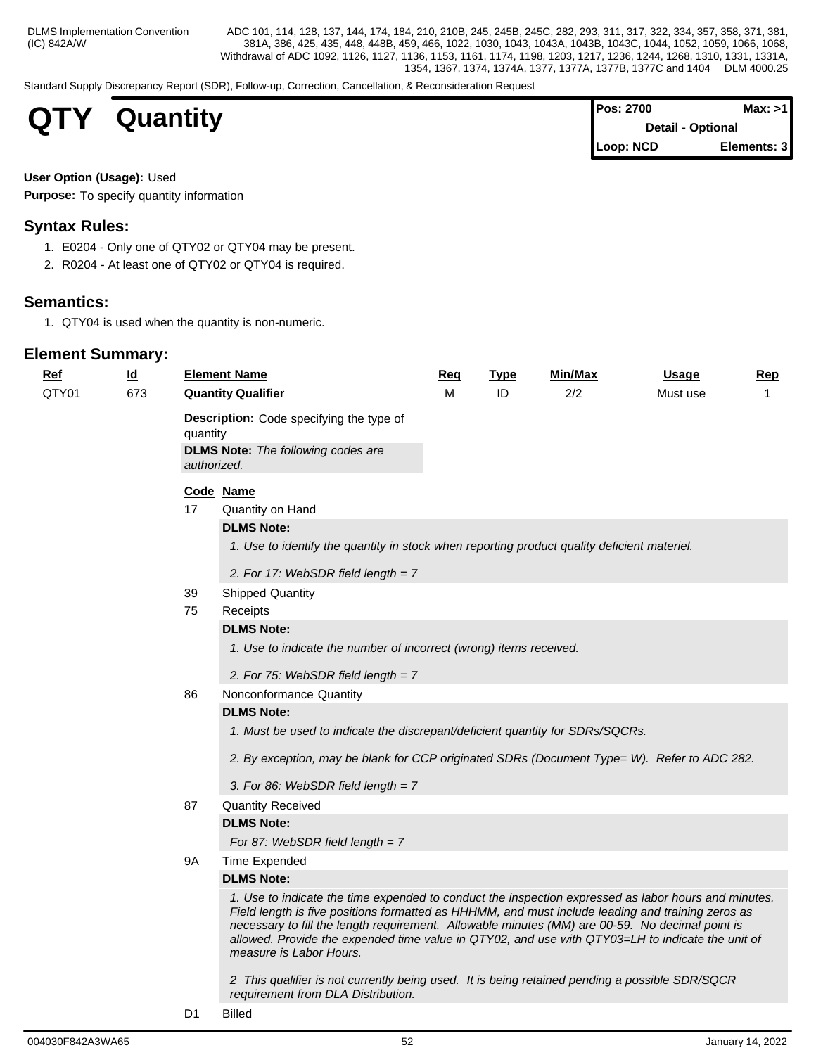Standard Supply Discrepancy Report (SDR), Follow-up, Correction, Cancellation, & Reconsideration Request

| <b>QTY</b> | <b>Quantity</b> | <b>Pos: 2700</b> | Max: >1                                       |  |  |
|------------|-----------------|------------------|-----------------------------------------------|--|--|
|            |                 |                  | Detail - Optional<br>Elements: 3<br>Loop: NCD |  |  |
|            |                 |                  |                                               |  |  |

### **User Option (Usage):** Used

**Purpose:** To specify quantity information

# **Syntax Rules:**

- 1. E0204 Only one of QTY02 or QTY04 may be present.
- 2. R0204 At least one of QTY02 or QTY04 is required.

# **Semantics:**

1. QTY04 is used when the quantity is non-numeric.

### **Element Summary:**

| $Ref$ | <u>ld</u> |             | <b>Element Name</b>                                                                                                                                                                                                                                                                                                                                                                                                                         | Req | <u>Type</u> | Min/Max | <b>Usage</b> | <u>Rep</u> |  |
|-------|-----------|-------------|---------------------------------------------------------------------------------------------------------------------------------------------------------------------------------------------------------------------------------------------------------------------------------------------------------------------------------------------------------------------------------------------------------------------------------------------|-----|-------------|---------|--------------|------------|--|
| QTY01 | 673       |             | <b>Quantity Qualifier</b>                                                                                                                                                                                                                                                                                                                                                                                                                   | M   | ID          | 2/2     | Must use     | 1          |  |
|       |           | quantity    | <b>Description:</b> Code specifying the type of                                                                                                                                                                                                                                                                                                                                                                                             |     |             |         |              |            |  |
|       |           | authorized. | <b>DLMS Note:</b> The following codes are                                                                                                                                                                                                                                                                                                                                                                                                   |     |             |         |              |            |  |
|       |           |             | Code Name                                                                                                                                                                                                                                                                                                                                                                                                                                   |     |             |         |              |            |  |
|       |           | 17          | Quantity on Hand                                                                                                                                                                                                                                                                                                                                                                                                                            |     |             |         |              |            |  |
|       |           |             | <b>DLMS Note:</b>                                                                                                                                                                                                                                                                                                                                                                                                                           |     |             |         |              |            |  |
|       |           |             | 1. Use to identify the quantity in stock when reporting product quality deficient materiel.                                                                                                                                                                                                                                                                                                                                                 |     |             |         |              |            |  |
|       |           |             | 2. For 17: WebSDR field length $= 7$                                                                                                                                                                                                                                                                                                                                                                                                        |     |             |         |              |            |  |
|       |           | 39          | <b>Shipped Quantity</b>                                                                                                                                                                                                                                                                                                                                                                                                                     |     |             |         |              |            |  |
|       |           | 75          | Receipts                                                                                                                                                                                                                                                                                                                                                                                                                                    |     |             |         |              |            |  |
|       |           |             | <b>DLMS Note:</b>                                                                                                                                                                                                                                                                                                                                                                                                                           |     |             |         |              |            |  |
|       |           |             | 1. Use to indicate the number of incorrect (wrong) items received.                                                                                                                                                                                                                                                                                                                                                                          |     |             |         |              |            |  |
|       |           |             | 2. For 75: WebSDR field length $= 7$                                                                                                                                                                                                                                                                                                                                                                                                        |     |             |         |              |            |  |
|       |           | 86          | Nonconformance Quantity                                                                                                                                                                                                                                                                                                                                                                                                                     |     |             |         |              |            |  |
|       |           |             | <b>DLMS Note:</b>                                                                                                                                                                                                                                                                                                                                                                                                                           |     |             |         |              |            |  |
|       |           |             | 1. Must be used to indicate the discrepant/deficient quantity for SDRs/SQCRs.                                                                                                                                                                                                                                                                                                                                                               |     |             |         |              |            |  |
|       |           |             | 2. By exception, may be blank for CCP originated SDRs (Document Type= W). Refer to ADC 282.                                                                                                                                                                                                                                                                                                                                                 |     |             |         |              |            |  |
|       |           |             | 3. For 86: WebSDR field length = $7$                                                                                                                                                                                                                                                                                                                                                                                                        |     |             |         |              |            |  |
|       |           | 87          | <b>Quantity Received</b>                                                                                                                                                                                                                                                                                                                                                                                                                    |     |             |         |              |            |  |
|       |           |             | <b>DLMS Note:</b>                                                                                                                                                                                                                                                                                                                                                                                                                           |     |             |         |              |            |  |
|       |           |             | For 87: WebSDR field length = $7$                                                                                                                                                                                                                                                                                                                                                                                                           |     |             |         |              |            |  |
|       |           | <b>9A</b>   | <b>Time Expended</b>                                                                                                                                                                                                                                                                                                                                                                                                                        |     |             |         |              |            |  |
|       |           |             | <b>DLMS Note:</b>                                                                                                                                                                                                                                                                                                                                                                                                                           |     |             |         |              |            |  |
|       |           |             | 1. Use to indicate the time expended to conduct the inspection expressed as labor hours and minutes.<br>Field length is five positions formatted as HHHMM, and must include leading and training zeros as<br>necessary to fill the length requirement. Allowable minutes (MM) are 00-59. No decimal point is<br>allowed. Provide the expended time value in QTY02, and use with QTY03=LH to indicate the unit of<br>measure is Labor Hours. |     |             |         |              |            |  |
|       |           |             | 2 This qualifier is not currently being used. It is being retained pending a possible SDR/SQCR<br>requirement from DLA Distribution.                                                                                                                                                                                                                                                                                                        |     |             |         |              |            |  |

D1 Billed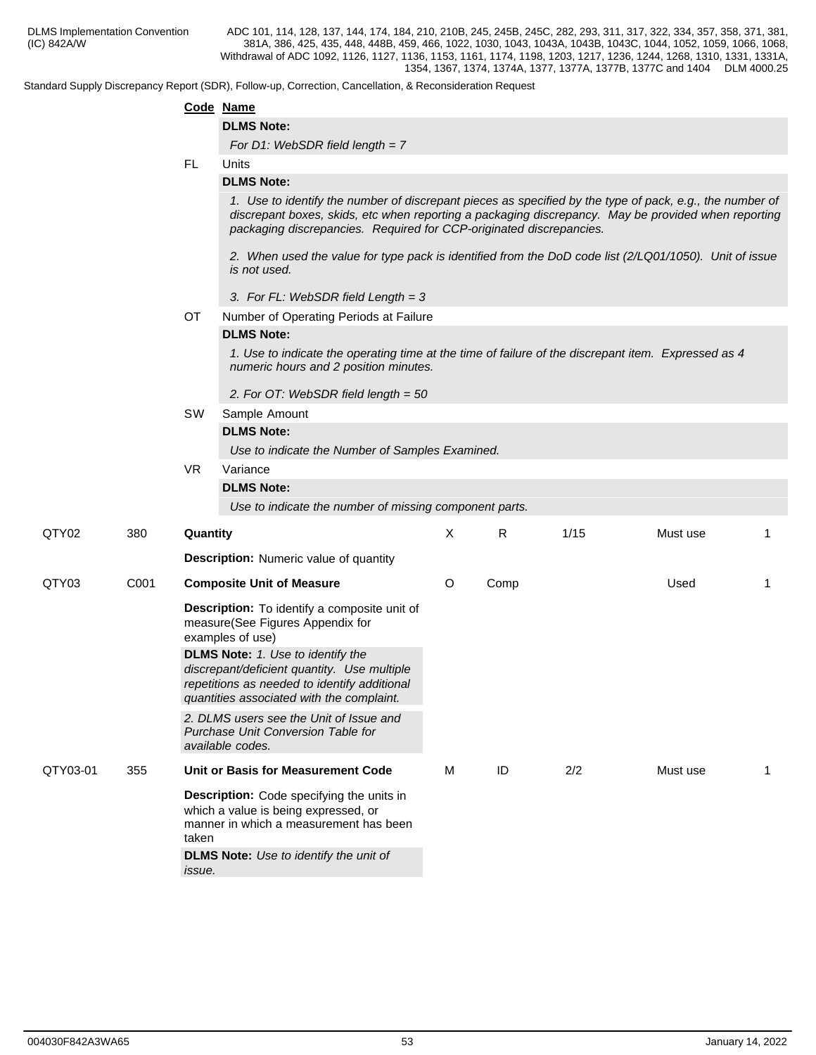|          |      |           | Standard Supply Discrepancy Report (SDR), Follow-up, Correction, Cancellation, & Reconsideration Request                                                                                                                                                                                                                                                                                         |   |      |      |          |              |  |  |  |
|----------|------|-----------|--------------------------------------------------------------------------------------------------------------------------------------------------------------------------------------------------------------------------------------------------------------------------------------------------------------------------------------------------------------------------------------------------|---|------|------|----------|--------------|--|--|--|
|          |      |           | Code Name                                                                                                                                                                                                                                                                                                                                                                                        |   |      |      |          |              |  |  |  |
|          |      |           | <b>DLMS Note:</b>                                                                                                                                                                                                                                                                                                                                                                                |   |      |      |          |              |  |  |  |
|          |      |           | For D1: WebSDR field length = $7$                                                                                                                                                                                                                                                                                                                                                                |   |      |      |          |              |  |  |  |
|          |      | FL.       | Units                                                                                                                                                                                                                                                                                                                                                                                            |   |      |      |          |              |  |  |  |
|          |      |           | <b>DLMS Note:</b>                                                                                                                                                                                                                                                                                                                                                                                |   |      |      |          |              |  |  |  |
|          |      |           | 1. Use to identify the number of discrepant pieces as specified by the type of pack, e.g., the number of<br>discrepant boxes, skids, etc when reporting a packaging discrepancy. May be provided when reporting<br>packaging discrepancies. Required for CCP-originated discrepancies.<br>2. When used the value for type pack is identified from the DoD code list (2/LQ01/1050). Unit of issue |   |      |      |          |              |  |  |  |
|          |      |           | is not used.                                                                                                                                                                                                                                                                                                                                                                                     |   |      |      |          |              |  |  |  |
|          |      |           | 3. For FL: WebSDR field Length = 3                                                                                                                                                                                                                                                                                                                                                               |   |      |      |          |              |  |  |  |
|          |      | <b>OT</b> | Number of Operating Periods at Failure                                                                                                                                                                                                                                                                                                                                                           |   |      |      |          |              |  |  |  |
|          |      |           | <b>DLMS Note:</b>                                                                                                                                                                                                                                                                                                                                                                                |   |      |      |          |              |  |  |  |
|          |      |           | 1. Use to indicate the operating time at the time of failure of the discrepant item. Expressed as 4<br>numeric hours and 2 position minutes.                                                                                                                                                                                                                                                     |   |      |      |          |              |  |  |  |
|          |      |           | 2. For OT: WebSDR field length = $50$                                                                                                                                                                                                                                                                                                                                                            |   |      |      |          |              |  |  |  |
|          |      | SW        | Sample Amount                                                                                                                                                                                                                                                                                                                                                                                    |   |      |      |          |              |  |  |  |
|          |      |           | <b>DLMS Note:</b>                                                                                                                                                                                                                                                                                                                                                                                |   |      |      |          |              |  |  |  |
|          |      |           | Use to indicate the Number of Samples Examined.                                                                                                                                                                                                                                                                                                                                                  |   |      |      |          |              |  |  |  |
|          |      | <b>VR</b> | Variance                                                                                                                                                                                                                                                                                                                                                                                         |   |      |      |          |              |  |  |  |
|          |      |           | <b>DLMS Note:</b><br>Use to indicate the number of missing component parts.                                                                                                                                                                                                                                                                                                                      |   |      |      |          |              |  |  |  |
| QTY02    | 380  | Quantity  |                                                                                                                                                                                                                                                                                                                                                                                                  | X | R    | 1/15 | Must use |              |  |  |  |
|          |      |           | <b>Description:</b> Numeric value of quantity                                                                                                                                                                                                                                                                                                                                                    |   |      |      |          |              |  |  |  |
| QTY03    | C001 |           | <b>Composite Unit of Measure</b>                                                                                                                                                                                                                                                                                                                                                                 | O | Comp |      | Used     | 1            |  |  |  |
|          |      |           | Description: To identify a composite unit of<br>measure(See Figures Appendix for<br>examples of use)                                                                                                                                                                                                                                                                                             |   |      |      |          |              |  |  |  |
|          |      |           | <b>DLMS Note:</b> 1. Use to identify the<br>discrepant/deficient quantity. Use multiple<br>repetitions as needed to identify additional<br>quantities associated with the complaint.                                                                                                                                                                                                             |   |      |      |          |              |  |  |  |
|          |      |           | 2. DLMS users see the Unit of Issue and<br>Purchase Unit Conversion Table for<br>available codes.                                                                                                                                                                                                                                                                                                |   |      |      |          |              |  |  |  |
| QTY03-01 | 355  |           | Unit or Basis for Measurement Code                                                                                                                                                                                                                                                                                                                                                               | M | ID   | 2/2  | Must use | $\mathbf{1}$ |  |  |  |
|          |      | taken     | Description: Code specifying the units in<br>which a value is being expressed, or<br>manner in which a measurement has been                                                                                                                                                                                                                                                                      |   |      |      |          |              |  |  |  |
|          |      | issue.    | <b>DLMS Note:</b> Use to identify the unit of                                                                                                                                                                                                                                                                                                                                                    |   |      |      |          |              |  |  |  |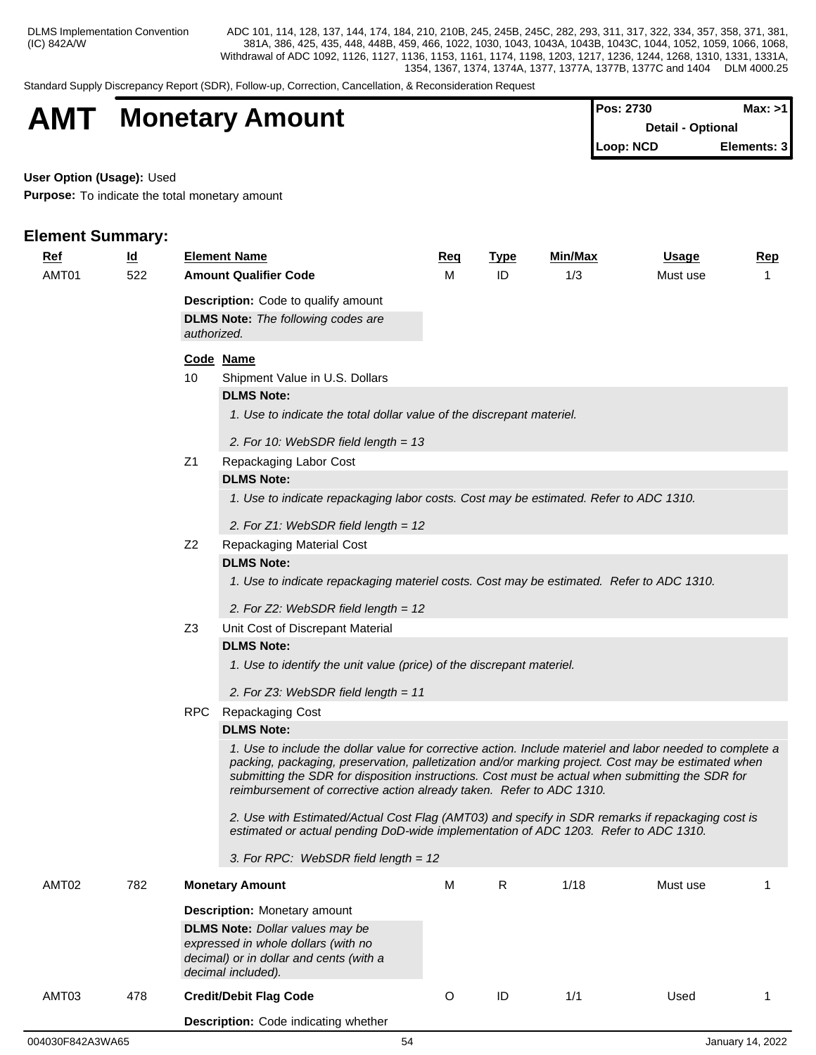Standard Supply Discrepancy Report (SDR), Follow-up, Correction, Cancellation, & Reconsideration Request

# **AMT** Monetary Amount **Pos: 2730 Max: >1 Max: >1 Max: >1 Detail - Optional Loop: NCD Elements: 3**

**User Option (Usage):** Used

**Purpose:** To indicate the total monetary amount

| $Ref$<br>AMT01 | <u>ld</u><br>522 | <b>Element Name</b><br><b>Amount Qualifier Code</b>                                                                                            |                                                                                                                                                                                                                                                                                                                                                                                             | <u>Req</u><br>М | <b>Type</b><br>ID | Min/Max<br>1/3 | <b>Usage</b><br>Must use | <b>Rep</b><br>1 |  |  |  |  |
|----------------|------------------|------------------------------------------------------------------------------------------------------------------------------------------------|---------------------------------------------------------------------------------------------------------------------------------------------------------------------------------------------------------------------------------------------------------------------------------------------------------------------------------------------------------------------------------------------|-----------------|-------------------|----------------|--------------------------|-----------------|--|--|--|--|
|                |                  | <b>Description:</b> Code to qualify amount<br><b>DLMS Note:</b> The following codes are<br>authorized.                                         |                                                                                                                                                                                                                                                                                                                                                                                             |                 |                   |                |                          |                 |  |  |  |  |
|                |                  | Code Name                                                                                                                                      |                                                                                                                                                                                                                                                                                                                                                                                             |                 |                   |                |                          |                 |  |  |  |  |
|                |                  | 10                                                                                                                                             | Shipment Value in U.S. Dollars                                                                                                                                                                                                                                                                                                                                                              |                 |                   |                |                          |                 |  |  |  |  |
|                |                  | <b>DLMS Note:</b>                                                                                                                              |                                                                                                                                                                                                                                                                                                                                                                                             |                 |                   |                |                          |                 |  |  |  |  |
|                |                  |                                                                                                                                                | 1. Use to indicate the total dollar value of the discrepant materiel.                                                                                                                                                                                                                                                                                                                       |                 |                   |                |                          |                 |  |  |  |  |
|                |                  |                                                                                                                                                | 2. For 10: WebSDR field length = $13$                                                                                                                                                                                                                                                                                                                                                       |                 |                   |                |                          |                 |  |  |  |  |
|                |                  | Z1                                                                                                                                             | Repackaging Labor Cost                                                                                                                                                                                                                                                                                                                                                                      |                 |                   |                |                          |                 |  |  |  |  |
|                |                  | <b>DLMS Note:</b>                                                                                                                              |                                                                                                                                                                                                                                                                                                                                                                                             |                 |                   |                |                          |                 |  |  |  |  |
|                |                  |                                                                                                                                                | 1. Use to indicate repackaging labor costs. Cost may be estimated. Refer to ADC 1310.                                                                                                                                                                                                                                                                                                       |                 |                   |                |                          |                 |  |  |  |  |
|                |                  |                                                                                                                                                | 2. For $Z1$ : WebSDR field length = 12                                                                                                                                                                                                                                                                                                                                                      |                 |                   |                |                          |                 |  |  |  |  |
|                |                  | Z <sub>2</sub>                                                                                                                                 | Repackaging Material Cost                                                                                                                                                                                                                                                                                                                                                                   |                 |                   |                |                          |                 |  |  |  |  |
|                |                  | <b>DLMS Note:</b>                                                                                                                              |                                                                                                                                                                                                                                                                                                                                                                                             |                 |                   |                |                          |                 |  |  |  |  |
|                |                  | 1. Use to indicate repackaging materiel costs. Cost may be estimated. Refer to ADC 1310.<br>2. For Z2: WebSDR field length = 12                |                                                                                                                                                                                                                                                                                                                                                                                             |                 |                   |                |                          |                 |  |  |  |  |
|                |                  |                                                                                                                                                |                                                                                                                                                                                                                                                                                                                                                                                             |                 |                   |                |                          |                 |  |  |  |  |
|                |                  | Z <sub>3</sub><br><b>DLMS Note:</b>                                                                                                            | Unit Cost of Discrepant Material                                                                                                                                                                                                                                                                                                                                                            |                 |                   |                |                          |                 |  |  |  |  |
|                |                  |                                                                                                                                                | 1. Use to identify the unit value (price) of the discrepant materiel.                                                                                                                                                                                                                                                                                                                       |                 |                   |                |                          |                 |  |  |  |  |
|                |                  |                                                                                                                                                | 2. For $Z3$ : WebSDR field length = 11                                                                                                                                                                                                                                                                                                                                                      |                 |                   |                |                          |                 |  |  |  |  |
|                |                  | RPC                                                                                                                                            | <b>Repackaging Cost</b>                                                                                                                                                                                                                                                                                                                                                                     |                 |                   |                |                          |                 |  |  |  |  |
|                |                  | <b>DLMS Note:</b>                                                                                                                              |                                                                                                                                                                                                                                                                                                                                                                                             |                 |                   |                |                          |                 |  |  |  |  |
|                |                  |                                                                                                                                                | 1. Use to include the dollar value for corrective action. Include materiel and labor needed to complete a<br>packing, packaging, preservation, palletization and/or marking project. Cost may be estimated when<br>submitting the SDR for disposition instructions. Cost must be actual when submitting the SDR for<br>reimbursement of corrective action already taken. Refer to ADC 1310. |                 |                   |                |                          |                 |  |  |  |  |
|                |                  |                                                                                                                                                | 2. Use with Estimated/Actual Cost Flag (AMT03) and specify in SDR remarks if repackaging cost is<br>estimated or actual pending DoD-wide implementation of ADC 1203. Refer to ADC 1310.                                                                                                                                                                                                     |                 |                   |                |                          |                 |  |  |  |  |
|                |                  |                                                                                                                                                | 3. For RPC: WebSDR field length = 12                                                                                                                                                                                                                                                                                                                                                        |                 |                   |                |                          |                 |  |  |  |  |
| AMT02          | 782              | <b>Monetary Amount</b>                                                                                                                         |                                                                                                                                                                                                                                                                                                                                                                                             | M               | $\mathsf{R}$      | 1/18           | Must use                 | 1               |  |  |  |  |
|                |                  | <b>Description:</b> Monetary amount                                                                                                            |                                                                                                                                                                                                                                                                                                                                                                                             |                 |                   |                |                          |                 |  |  |  |  |
|                |                  | <b>DLMS Note:</b> Dollar values may be<br>expressed in whole dollars (with no<br>decimal) or in dollar and cents (with a<br>decimal included). |                                                                                                                                                                                                                                                                                                                                                                                             |                 |                   |                |                          |                 |  |  |  |  |
| AMT03          | 478              | <b>Credit/Debit Flag Code</b>                                                                                                                  |                                                                                                                                                                                                                                                                                                                                                                                             | O               | ID                | 1/1            | Used                     | $\mathbf{1}$    |  |  |  |  |
|                |                  |                                                                                                                                                | Description: Code indicating whether                                                                                                                                                                                                                                                                                                                                                        |                 |                   |                |                          |                 |  |  |  |  |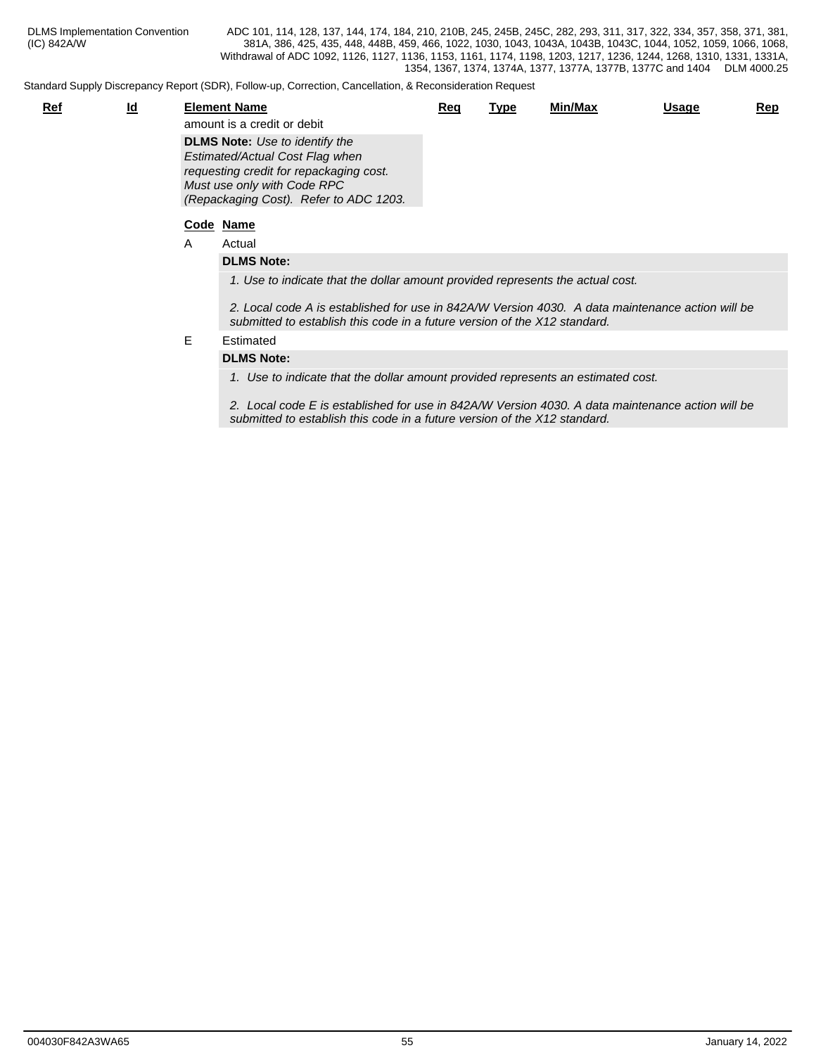Standard Supply Discrepancy Report (SDR), Follow-up, Correction, Cancellation, & Reconsideration Request

| <u>Ref</u> | <u>ld</u> | <b>Element Name</b>                     | Req | Type | Min/Max | <u>Usage</u> | Rep |
|------------|-----------|-----------------------------------------|-----|------|---------|--------------|-----|
|            |           | amount is a credit or debit             |     |      |         |              |     |
|            |           | <b>DLMS Note:</b> Use to identify the   |     |      |         |              |     |
|            |           | Estimated/Actual Cost Flag when         |     |      |         |              |     |
|            |           | requesting credit for repackaging cost. |     |      |         |              |     |
|            |           | Must use only with Code RPC             |     |      |         |              |     |
|            |           | (Repackaging Cost). Refer to ADC 1203.  |     |      |         |              |     |

### **Code Name**

A Actual

**DLMS Note:**

*1. Use to indicate that the dollar amount provided represents the actual cost.* 

*2. Local code A is established for use in 842A/W Version 4030. A data maintenance action will be submitted to establish this code in a future version of the X12 standard.*

#### E Estimated

### **DLMS Note:**

*1. Use to indicate that the dollar amount provided represents an estimated cost.*

*2. Local code E is established for use in 842A/W Version 4030. A data maintenance action will be submitted to establish this code in a future version of the X12 standard.*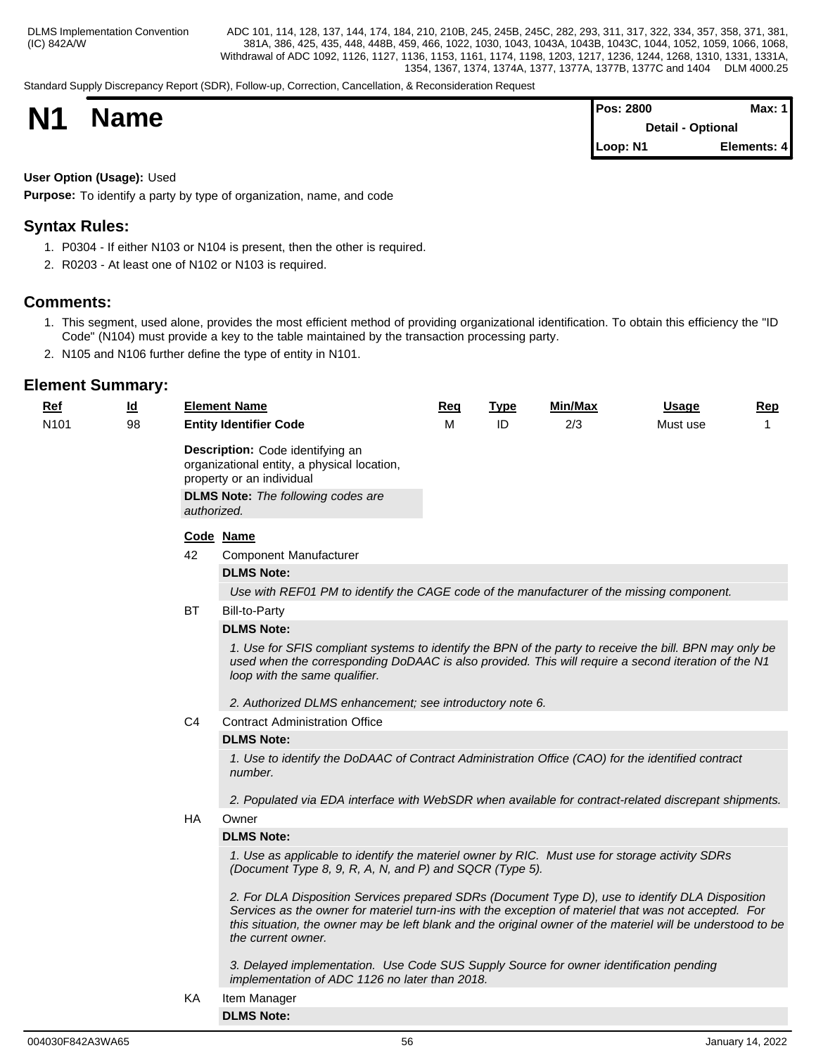Standard Supply Discrepancy Report (SDR), Follow-up, Correction, Cancellation, & Reconsideration Request

| <b>N1</b> | <b>Name</b> | <b>Pos: 2800</b>         | <b>Max: 1</b> |  |  |  |
|-----------|-------------|--------------------------|---------------|--|--|--|
|           |             | <b>Detail - Optional</b> |               |  |  |  |
|           |             | Loop: N1                 | Elements: 4   |  |  |  |

# **User Option (Usage):** Used

**Purpose:** To identify a party by type of organization, name, and code

# **Syntax Rules:**

- 1. P0304 If either N103 or N104 is present, then the other is required.
- 2. R0203 At least one of N102 or N103 is required.

# **Comments:**

- 1. This segment, used alone, provides the most efficient method of providing organizational identification. To obtain this efficiency the "ID Code" (N104) must provide a key to the table maintained by the transaction processing party.
- 2. N105 and N106 further define the type of entity in N101.

# **Element Summary:**

| Ref              | $\underline{\mathsf{Id}}$ |                | <b>Element Name</b>                                                                                                                                                                                                                                                                                                                            | Req | <b>Type</b> | Min/Max | <b>Usage</b> | Rep |
|------------------|---------------------------|----------------|------------------------------------------------------------------------------------------------------------------------------------------------------------------------------------------------------------------------------------------------------------------------------------------------------------------------------------------------|-----|-------------|---------|--------------|-----|
| N <sub>101</sub> | 98                        |                | <b>Entity Identifier Code</b>                                                                                                                                                                                                                                                                                                                  | М   | ID          | 2/3     | Must use     | -1  |
|                  |                           | authorized.    | Description: Code identifying an<br>organizational entity, a physical location,<br>property or an individual<br><b>DLMS Note:</b> The following codes are                                                                                                                                                                                      |     |             |         |              |     |
|                  |                           |                | Code Name                                                                                                                                                                                                                                                                                                                                      |     |             |         |              |     |
|                  |                           | 42             | <b>Component Manufacturer</b>                                                                                                                                                                                                                                                                                                                  |     |             |         |              |     |
|                  |                           |                | <b>DLMS Note:</b>                                                                                                                                                                                                                                                                                                                              |     |             |         |              |     |
|                  |                           |                | Use with REF01 PM to identify the CAGE code of the manufacturer of the missing component.                                                                                                                                                                                                                                                      |     |             |         |              |     |
|                  |                           | <b>BT</b>      | <b>Bill-to-Party</b>                                                                                                                                                                                                                                                                                                                           |     |             |         |              |     |
|                  |                           |                | <b>DLMS Note:</b>                                                                                                                                                                                                                                                                                                                              |     |             |         |              |     |
|                  |                           |                | 1. Use for SFIS compliant systems to identify the BPN of the party to receive the bill. BPN may only be<br>used when the corresponding DoDAAC is also provided. This will require a second iteration of the N1<br>loop with the same qualifier.<br>2. Authorized DLMS enhancement; see introductory note 6.                                    |     |             |         |              |     |
|                  |                           | C <sub>4</sub> | <b>Contract Administration Office</b>                                                                                                                                                                                                                                                                                                          |     |             |         |              |     |
|                  |                           |                | <b>DLMS Note:</b>                                                                                                                                                                                                                                                                                                                              |     |             |         |              |     |
|                  |                           |                | 1. Use to identify the DoDAAC of Contract Administration Office (CAO) for the identified contract<br>number.                                                                                                                                                                                                                                   |     |             |         |              |     |
|                  |                           |                | 2. Populated via EDA interface with WebSDR when available for contract-related discrepant shipments.                                                                                                                                                                                                                                           |     |             |         |              |     |
|                  |                           | HA             | Owner                                                                                                                                                                                                                                                                                                                                          |     |             |         |              |     |
|                  |                           |                | <b>DLMS Note:</b>                                                                                                                                                                                                                                                                                                                              |     |             |         |              |     |
|                  |                           |                | 1. Use as applicable to identify the materiel owner by RIC. Must use for storage activity SDRs<br>(Document Type 8, 9, R, A, N, and P) and SQCR (Type 5).                                                                                                                                                                                      |     |             |         |              |     |
|                  |                           |                | 2. For DLA Disposition Services prepared SDRs (Document Type D), use to identify DLA Disposition<br>Services as the owner for materiel turn-ins with the exception of materiel that was not accepted. For<br>this situation, the owner may be left blank and the original owner of the materiel will be understood to be<br>the current owner. |     |             |         |              |     |
|                  |                           |                | 3. Delayed implementation. Use Code SUS Supply Source for owner identification pending<br>implementation of ADC 1126 no later than 2018.                                                                                                                                                                                                       |     |             |         |              |     |
|                  |                           | KA             | Item Manager                                                                                                                                                                                                                                                                                                                                   |     |             |         |              |     |

**DLMS Note:**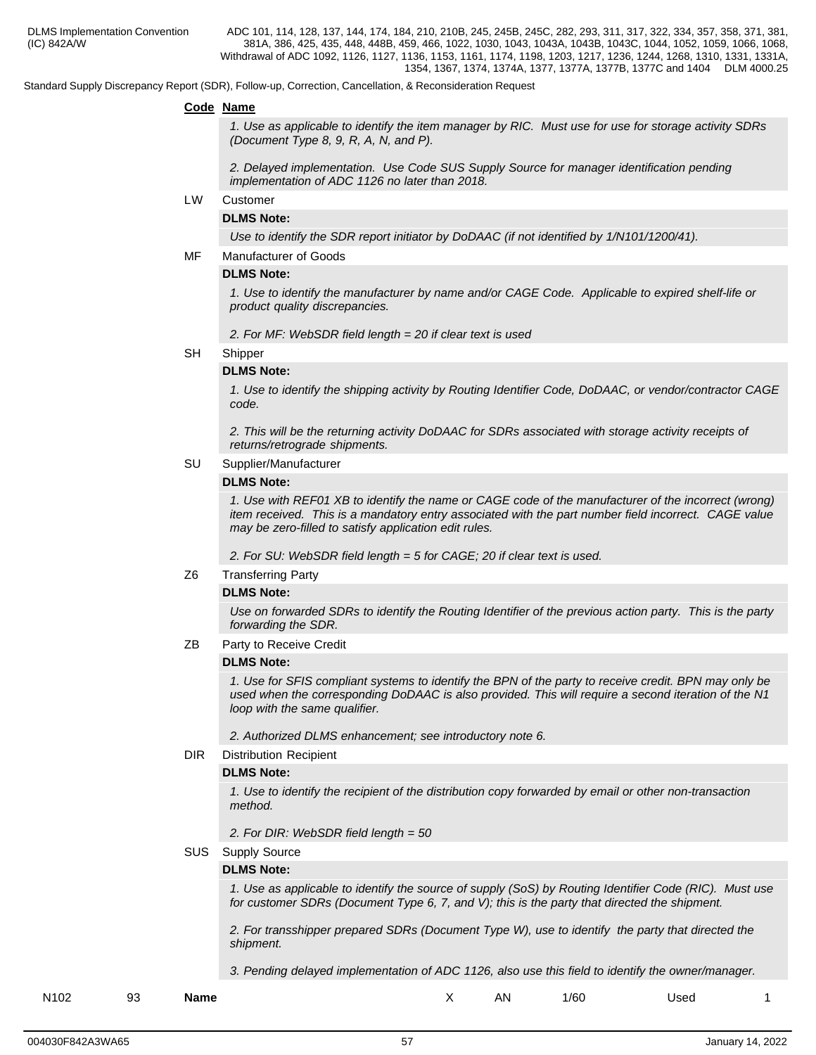Standard Supply Discrepancy Report (SDR), Follow-up, Correction, Cancellation, & Reconsideration Request

### **Code Name**

*1. Use as applicable to identify the item manager by RIC. Must use for use for storage activity SDRs (Document Type 8, 9, R, A, N, and P).* 

*2. Delayed implementation. Use Code SUS Supply Source for manager identification pending implementation of ADC 1126 no later than 2018.*

### LW Customer

### **DLMS Note:**

*Use to identify the SDR report initiator by DoDAAC (if not identified by 1/N101/1200/41).*

### MF Manufacturer of Goods

### **DLMS Note:**

*1. Use to identify the manufacturer by name and/or CAGE Code. Applicable to expired shelf-life or product quality discrepancies.*

*2. For MF: WebSDR field length = 20 if clear text is used*

### SH Shipper

### **DLMS Note:**

*1. Use to identify the shipping activity by Routing Identifier Code, DoDAAC, or vendor/contractor CAGE code.*

*2. This will be the returning activity DoDAAC for SDRs associated with storage activity receipts of returns/retrograde shipments.*

### SU Supplier/Manufacturer

### **DLMS Note:**

*1. Use with REF01 XB to identify the name or CAGE code of the manufacturer of the incorrect (wrong) item received. This is a mandatory entry associated with the part number field incorrect. CAGE value may be zero-filled to satisfy application edit rules.*

*2. For SU: WebSDR field length = 5 for CAGE; 20 if clear text is used.*

Z6 Transferring Party

### **DLMS Note:**

*Use on forwarded SDRs to identify the Routing Identifier of the previous action party. This is the party forwarding the SDR.*

ZB Party to Receive Credit

### **DLMS Note:**

*1. Use for SFIS compliant systems to identify the BPN of the party to receive credit. BPN may only be used when the corresponding DoDAAC is also provided. This will require a second iteration of the N1 loop with the same qualifier.*

*2. Authorized DLMS enhancement; see introductory note 6.*

DIR Distribution Recipient

### **DLMS Note:**

*1. Use to identify the recipient of the distribution copy forwarded by email or other non-transaction method.*

- *2. For DIR: WebSDR field length = 50*
- SUS Supply Source

### **DLMS Note:**

*1. Use as applicable to identify the source of supply (SoS) by Routing Identifier Code (RIC). Must use for customer SDRs (Document Type 6, 7, and V); this is the party that directed the shipment.* 

*2. For transshipper prepared SDRs (Document Type W), use to identify the party that directed the shipment.*

*3. Pending delayed implementation of ADC 1126, also use this field to identify the owner/manager.*

| N <sub>102</sub><br>1/60<br>AN<br>$\sim$<br><b>Name</b><br>Used<br>ິ |
|----------------------------------------------------------------------|
|----------------------------------------------------------------------|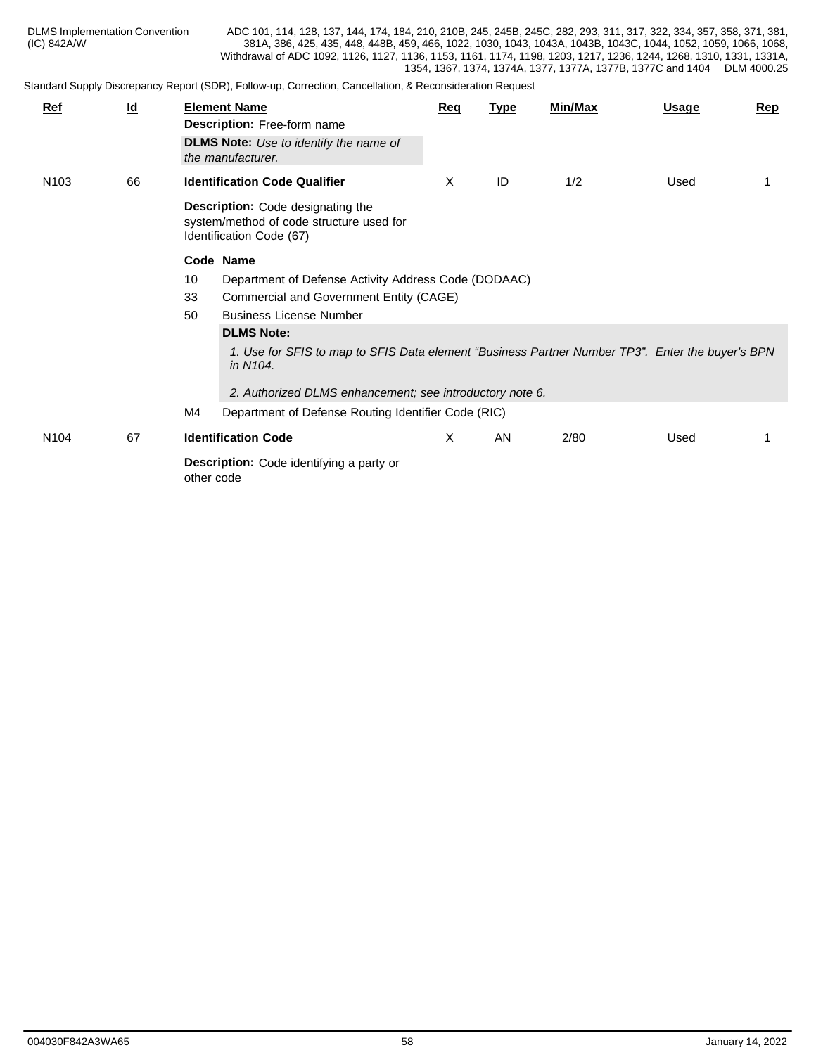| <b>DLMS Implementation Convention</b> | ADC 101, 114, 128, 137, 144, 174, 184, 210, 210B, 245, 245B, 245C, 282, 293, 311, 317, 322, 334, 357, 358, 371, 381, |
|---------------------------------------|----------------------------------------------------------------------------------------------------------------------|
| (IC) 842A/W                           | 381A, 386, 425, 435, 448, 448B, 459, 466, 1022, 1030, 1043, 1043A, 1043B, 1043C, 1044, 1052, 1059, 1066, 1068,       |
|                                       | Withdrawal of ADC 1092, 1126, 1127, 1136, 1153, 1161, 1174, 1198, 1203, 1217, 1236, 1244, 1268, 1310, 1331, 1331A,   |
|                                       | 1354, 1367, 1374, 1374A, 1377, 1377A, 1377B, 1377C and 1404<br>DLM 4000.25                                           |

| Ref              | $\underline{\mathsf{Id}}$ |            | <b>Element Name</b><br>Description: Free-form name<br><b>DLMS Note:</b> Use to identify the name of<br>the manufacturer.                                                                                                                                                                     | Rea      | <b>Type</b> | <b>Min/Max</b> | <b>Usage</b> | Rep |  |  |
|------------------|---------------------------|------------|----------------------------------------------------------------------------------------------------------------------------------------------------------------------------------------------------------------------------------------------------------------------------------------------|----------|-------------|----------------|--------------|-----|--|--|
| N <sub>103</sub> | 66                        | 10<br>33   | <b>Identification Code Qualifier</b><br>Description: Code designating the<br>system/method of code structure used for<br>Identification Code (67)<br>Code Name<br>Department of Defense Activity Address Code (DODAAC)<br>Commercial and Government Entity (CAGE)                            | X.       | ID          | 1/2            | Used         |     |  |  |
|                  |                           | M4         | 50<br><b>Business License Number</b><br><b>DLMS Note:</b><br>1. Use for SFIS to map to SFIS Data element "Business Partner Number TP3". Enter the buyer's BPN<br>in N104.<br>2. Authorized DLMS enhancement; see introductory note 6.<br>Department of Defense Routing Identifier Code (RIC) |          |             |                |              |     |  |  |
| N <sub>104</sub> | 67                        | other code | <b>Identification Code</b><br><b>Description:</b> Code identifying a party or                                                                                                                                                                                                                | $\times$ | AN          | 2/80           | Used         |     |  |  |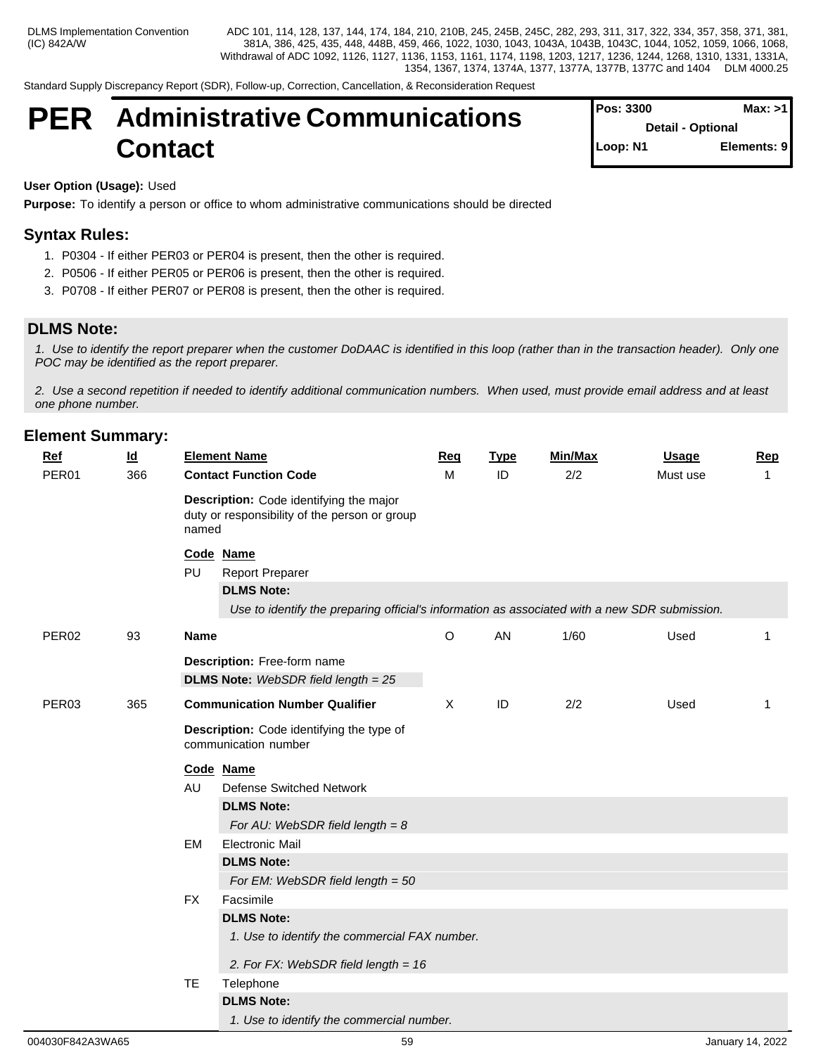Standard Supply Discrepancy Report (SDR), Follow-up, Correction, Cancellation, & Reconsideration Request

# **PER Administrative Communications Contact**

| <b>Pos: 3300</b><br>Max: >11 |  |
|------------------------------|--|
| <b>Detail - Optional</b>     |  |
| Loop: N1<br>Elements: 9      |  |

### **User Option (Usage):** Used

**Purpose:** To identify a person or office to whom administrative communications should be directed

# **Syntax Rules:**

- 1. P0304 If either PER03 or PER04 is present, then the other is required.
- 2. P0506 If either PER05 or PER06 is present, then the other is required.
- 3. P0708 If either PER07 or PER08 is present, then the other is required.

### **DLMS Note:**

*1. Use to identify the report preparer when the customer DoDAAC is identified in this loop (rather than in the transaction header). Only one POC may be identified as the report preparer.*

*2. Use a second repetition if needed to identify additional communication numbers. When used, must provide email address and at least one phone number.*

| <b>Element Summary:</b> |                           |             |                                                                                               |          |             |                |              |              |
|-------------------------|---------------------------|-------------|-----------------------------------------------------------------------------------------------|----------|-------------|----------------|--------------|--------------|
| <b>Ref</b>              | $\underline{\mathsf{Id}}$ |             | <b>Element Name</b>                                                                           | Req      | <b>Type</b> | <b>Min/Max</b> | <b>Usage</b> | Rep          |
| PER01                   | 366                       |             | <b>Contact Function Code</b>                                                                  | M        | ID          | 2/2            | Must use     | $\mathbf{1}$ |
|                         |                           | named       | Description: Code identifying the major<br>duty or responsibility of the person or group      |          |             |                |              |              |
|                         |                           | PU          | Code Name<br><b>Report Preparer</b>                                                           |          |             |                |              |              |
|                         |                           |             | <b>DLMS Note:</b>                                                                             |          |             |                |              |              |
|                         |                           |             | Use to identify the preparing official's information as associated with a new SDR submission. |          |             |                |              |              |
| PER <sub>02</sub>       | 93                        | <b>Name</b> |                                                                                               | $\circ$  | AN          | 1/60           | Used         | 1            |
|                         |                           |             | Description: Free-form name<br><b>DLMS Note:</b> WebSDR field length $= 25$                   |          |             |                |              |              |
| PER03                   | 365                       |             | <b>Communication Number Qualifier</b>                                                         | $\times$ | ID          | 2/2            | Used         | -1           |
|                         |                           |             | Description: Code identifying the type of<br>communication number                             |          |             |                |              |              |
|                         |                           |             | Code Name                                                                                     |          |             |                |              |              |
|                         |                           | AU          | Defense Switched Network                                                                      |          |             |                |              |              |
|                         |                           |             | <b>DLMS Note:</b>                                                                             |          |             |                |              |              |
|                         |                           |             | For AU: WebSDR field length = $8$                                                             |          |             |                |              |              |
|                         |                           | EM          | <b>Electronic Mail</b>                                                                        |          |             |                |              |              |
|                         |                           |             | <b>DLMS Note:</b>                                                                             |          |             |                |              |              |
|                         |                           |             | For EM: WebSDR field length = $50$                                                            |          |             |                |              |              |
|                         |                           | <b>FX</b>   | Facsimile                                                                                     |          |             |                |              |              |
|                         |                           |             | <b>DLMS Note:</b>                                                                             |          |             |                |              |              |
|                         |                           |             | 1. Use to identify the commercial FAX number.                                                 |          |             |                |              |              |
|                         |                           |             | 2. For FX: WebSDR field length = 16                                                           |          |             |                |              |              |
|                         |                           | TE          | Telephone                                                                                     |          |             |                |              |              |
|                         |                           |             | <b>DLMS Note:</b>                                                                             |          |             |                |              |              |
|                         |                           |             | 1. Use to identify the commercial number.                                                     |          |             |                |              |              |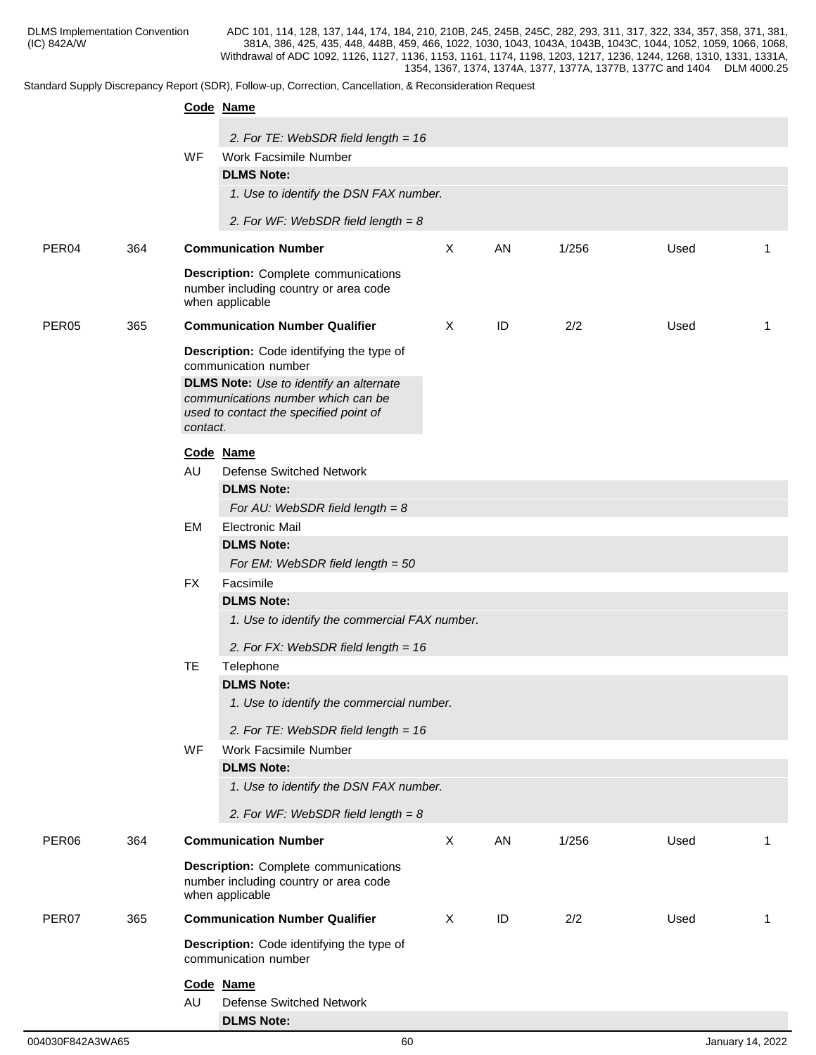|                   |     |           | Code Name                                                                                                                      |              |    |       |      |    |
|-------------------|-----|-----------|--------------------------------------------------------------------------------------------------------------------------------|--------------|----|-------|------|----|
|                   |     |           | 2. For TE: WebSDR field length = 16                                                                                            |              |    |       |      |    |
|                   |     | WF        | Work Facsimile Number<br><b>DLMS Note:</b>                                                                                     |              |    |       |      |    |
|                   |     |           | 1. Use to identify the DSN FAX number.                                                                                         |              |    |       |      |    |
|                   |     |           |                                                                                                                                |              |    |       |      |    |
|                   |     |           | 2. For WF: WebSDR field length = $8$                                                                                           |              |    |       |      |    |
| PER <sub>04</sub> | 364 |           | <b>Communication Number</b>                                                                                                    | $\mathsf{X}$ | AN | 1/256 | Used |    |
|                   |     |           | <b>Description:</b> Complete communications<br>number including country or area code<br>when applicable                        |              |    |       |      |    |
| PER <sub>05</sub> | 365 |           | <b>Communication Number Qualifier</b>                                                                                          | $\sf X$      | ID | 2/2   | Used | -1 |
|                   |     |           | Description: Code identifying the type of<br>communication number                                                              |              |    |       |      |    |
|                   |     | contact.  | <b>DLMS Note:</b> Use to identify an alternate<br>communications number which can be<br>used to contact the specified point of |              |    |       |      |    |
|                   |     |           | Code Name                                                                                                                      |              |    |       |      |    |
|                   |     | AU        | <b>Defense Switched Network</b>                                                                                                |              |    |       |      |    |
|                   |     |           | <b>DLMS Note:</b>                                                                                                              |              |    |       |      |    |
|                   |     |           | For AU: WebSDR field length = $8$                                                                                              |              |    |       |      |    |
|                   |     | EM        | <b>Electronic Mail</b>                                                                                                         |              |    |       |      |    |
|                   |     |           | <b>DLMS Note:</b><br>For EM: WebSDR field length = 50                                                                          |              |    |       |      |    |
|                   |     | <b>FX</b> | Facsimile                                                                                                                      |              |    |       |      |    |
|                   |     |           | <b>DLMS Note:</b>                                                                                                              |              |    |       |      |    |
|                   |     |           | 1. Use to identify the commercial FAX number.                                                                                  |              |    |       |      |    |
|                   |     |           | 2. For FX: WebSDR field length = 16                                                                                            |              |    |       |      |    |
|                   |     | <b>TE</b> | Telephone                                                                                                                      |              |    |       |      |    |
|                   |     |           | <b>DLMS Note:</b>                                                                                                              |              |    |       |      |    |
|                   |     |           | 1. Use to identify the commercial number.                                                                                      |              |    |       |      |    |
|                   |     |           | 2. For TE: WebSDR field length = 16                                                                                            |              |    |       |      |    |
|                   |     | <b>WF</b> | Work Facsimile Number                                                                                                          |              |    |       |      |    |
|                   |     |           | <b>DLMS Note:</b>                                                                                                              |              |    |       |      |    |
|                   |     |           | 1. Use to identify the DSN FAX number.                                                                                         |              |    |       |      |    |
|                   |     |           | 2. For WF: WebSDR field length = $8$                                                                                           |              |    |       |      |    |
| PER <sub>06</sub> | 364 |           | <b>Communication Number</b>                                                                                                    | $\mathsf{X}$ | AN | 1/256 | Used |    |
|                   |     |           | <b>Description:</b> Complete communications<br>number including country or area code<br>when applicable                        |              |    |       |      |    |
| PER07             | 365 |           | <b>Communication Number Qualifier</b>                                                                                          | $\sf X$      | ID | 2/2   | Used | -1 |
|                   |     |           | Description: Code identifying the type of<br>communication number                                                              |              |    |       |      |    |
|                   |     |           | Code Name                                                                                                                      |              |    |       |      |    |
|                   |     | AU        | <b>Defense Switched Network</b>                                                                                                |              |    |       |      |    |
|                   |     |           | <b>DLMS Note:</b>                                                                                                              |              |    |       |      |    |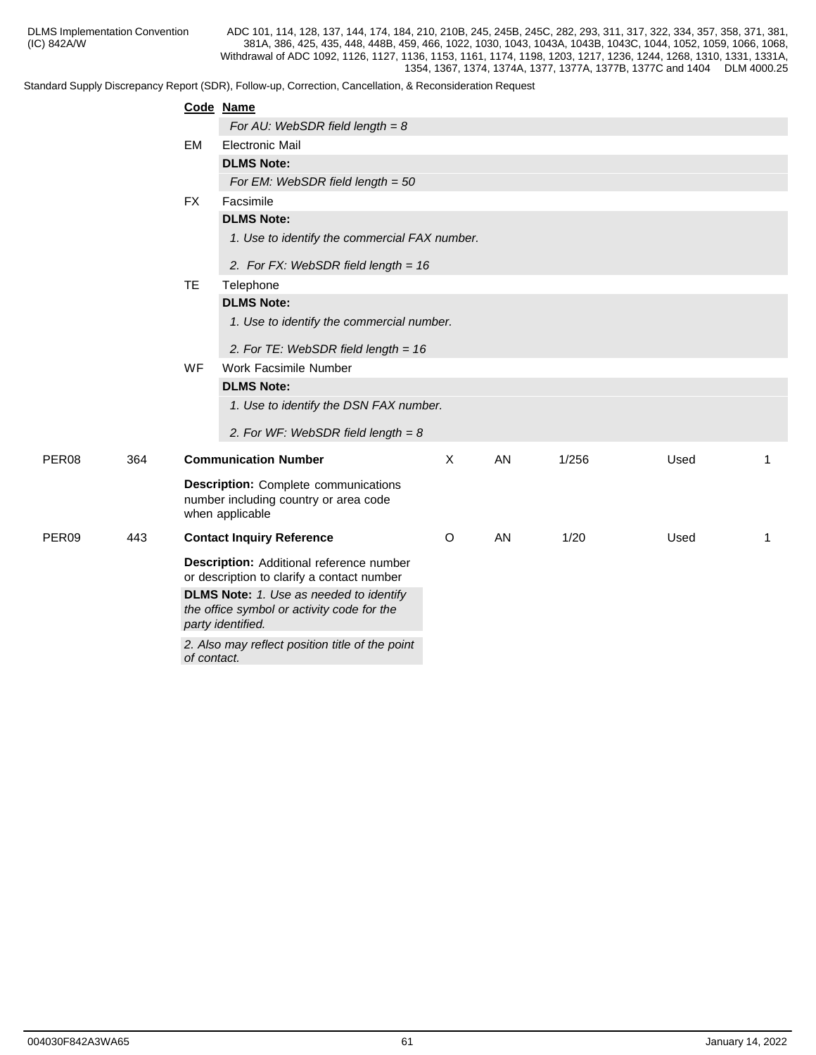|                   |     |             | Code Name                                                                                                         |         |           |       |      |   |
|-------------------|-----|-------------|-------------------------------------------------------------------------------------------------------------------|---------|-----------|-------|------|---|
|                   |     |             | For AU: WebSDR field length = $8$                                                                                 |         |           |       |      |   |
|                   |     | EM          | <b>Electronic Mail</b>                                                                                            |         |           |       |      |   |
|                   |     |             | <b>DLMS Note:</b>                                                                                                 |         |           |       |      |   |
|                   |     |             | For EM: WebSDR field length = $50$                                                                                |         |           |       |      |   |
|                   |     | <b>FX</b>   | Facsimile                                                                                                         |         |           |       |      |   |
|                   |     |             | <b>DLMS Note:</b>                                                                                                 |         |           |       |      |   |
|                   |     |             | 1. Use to identify the commercial FAX number.                                                                     |         |           |       |      |   |
|                   |     |             | 2. For FX: WebSDR field length = 16                                                                               |         |           |       |      |   |
|                   |     | TE          | Telephone                                                                                                         |         |           |       |      |   |
|                   |     |             | <b>DLMS Note:</b>                                                                                                 |         |           |       |      |   |
|                   |     |             | 1. Use to identify the commercial number.                                                                         |         |           |       |      |   |
|                   |     |             | 2. For TE: WebSDR field length = 16                                                                               |         |           |       |      |   |
|                   |     | WF          | Work Facsimile Number                                                                                             |         |           |       |      |   |
|                   |     |             | <b>DLMS Note:</b>                                                                                                 |         |           |       |      |   |
|                   |     |             | 1. Use to identify the DSN FAX number.                                                                            |         |           |       |      |   |
|                   |     |             | 2. For WF: WebSDR field length = $8$                                                                              |         |           |       |      |   |
| PER08             | 364 |             | <b>Communication Number</b>                                                                                       | X       | <b>AN</b> | 1/256 | Used | 1 |
|                   |     |             | <b>Description:</b> Complete communications<br>number including country or area code<br>when applicable           |         |           |       |      |   |
| PER <sub>09</sub> | 443 |             | <b>Contact Inquiry Reference</b>                                                                                  | $\circ$ | AN        | 1/20  | Used | 1 |
|                   |     |             | Description: Additional reference number<br>or description to clarify a contact number                            |         |           |       |      |   |
|                   |     |             | <b>DLMS Note:</b> 1. Use as needed to identify<br>the office symbol or activity code for the<br>party identified. |         |           |       |      |   |
|                   |     | of contact. | 2. Also may reflect position title of the point                                                                   |         |           |       |      |   |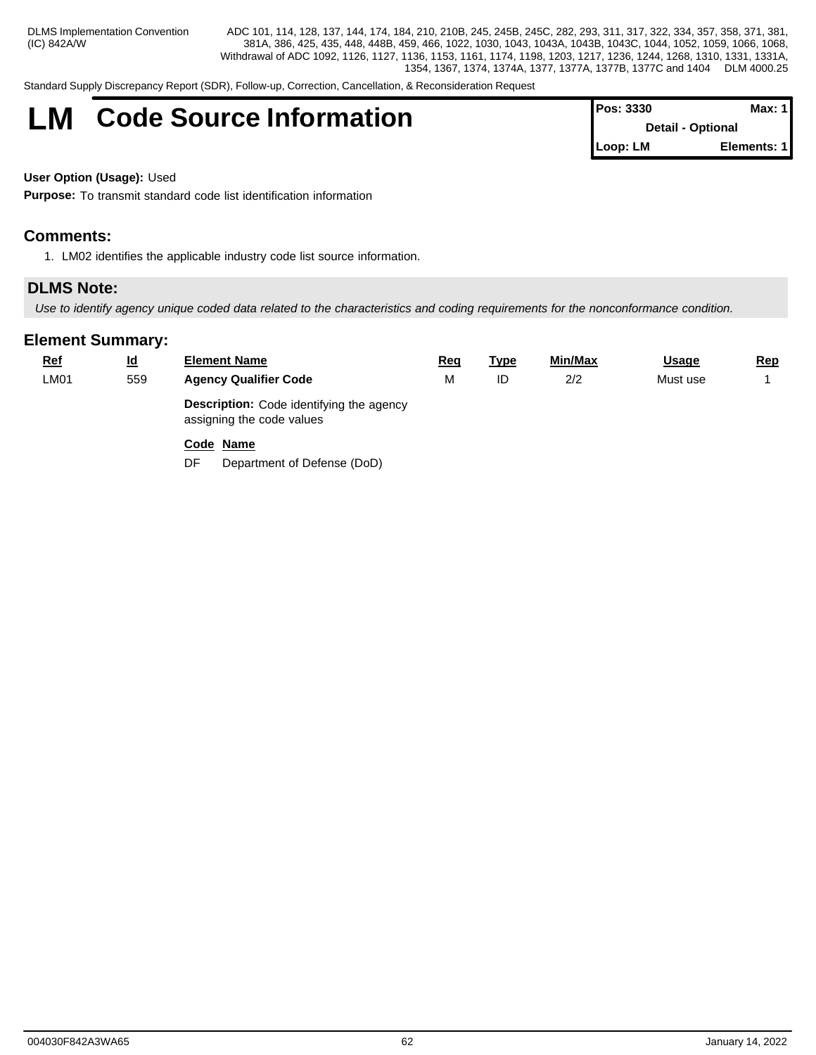Standard Supply Discrepancy Report (SDR), Follow-up, Correction, Cancellation, & Reconsideration Request

# **LM** Code Source Information

| <b>IPos: 3330</b> | Max: $1$                 |
|-------------------|--------------------------|
|                   | <b>Detail - Optional</b> |
| $Loop: LM$        | Elements: 1              |

# **User Option (Usage):** Used

**Purpose:** To transmit standard code list identification information

# **Comments:**

1. LM02 identifies the applicable industry code list source information.

# **DLMS Note:**

*Use to identify agency unique coded data related to the characteristics and coding requirements for the nonconformance condition.*

| $Ref$ | $\underline{\mathsf{Id}}$ | <b>Element Name</b>                                                          | <u>Req</u> | <u>Type</u> | Min/Max | <b>Usage</b> | <u>Rep</u> |
|-------|---------------------------|------------------------------------------------------------------------------|------------|-------------|---------|--------------|------------|
| LM01  | 559                       | <b>Agency Qualifier Code</b>                                                 | M          | ID          | 2/2     | Must use     |            |
|       |                           | <b>Description:</b> Code identifying the agency<br>assigning the code values |            |             |         |              |            |
|       |                           | Code Name<br>Department of Defense (DoD)<br>DF                               |            |             |         |              |            |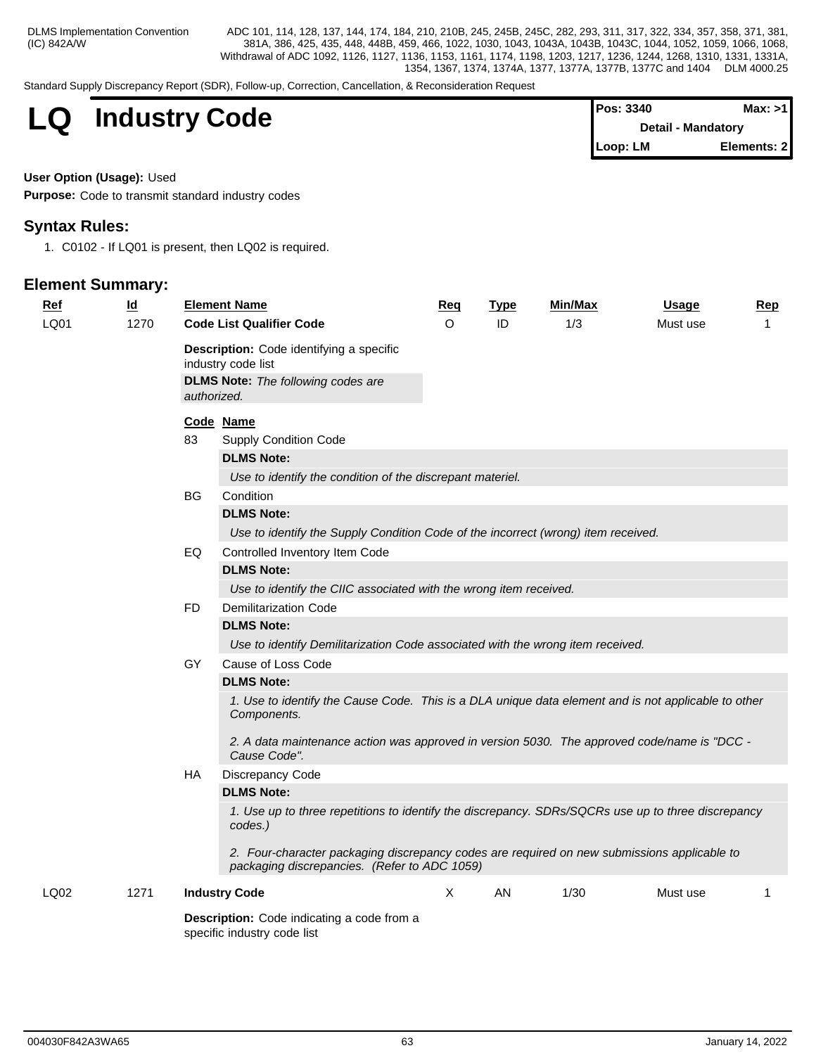Standard Supply Discrepancy Report (SDR), Follow-up, Correction, Cancellation, & Reconsideration Request

| LQ<br><b>Industry Code</b> | <b>Pos: 3340</b>          | Max: >1     |  |
|----------------------------|---------------------------|-------------|--|
|                            | <b>Detail - Mandatory</b> |             |  |
|                            | $\blacksquare$ Loop: LM   | Elements: 2 |  |

### **User Option (Usage):** Used

**Purpose:** Code to transmit standard industry codes

# **Syntax Rules:**

1. C0102 - If LQ01 is present, then LQ02 is required.

| <b>Ref</b> | $\underline{\mathsf{Id}}$ |             | <b>Element Name</b>                                                                                                                         | Req      | <b>Type</b> | Min/Max | <b>Usage</b> | Rep |
|------------|---------------------------|-------------|---------------------------------------------------------------------------------------------------------------------------------------------|----------|-------------|---------|--------------|-----|
| LQ01       | 1270                      |             | <b>Code List Qualifier Code</b>                                                                                                             | $\Omega$ | ID          | 1/3     | Must use     | 1   |
|            |                           |             | Description: Code identifying a specific<br>industry code list                                                                              |          |             |         |              |     |
|            |                           | authorized. | <b>DLMS Note:</b> The following codes are                                                                                                   |          |             |         |              |     |
|            |                           |             |                                                                                                                                             |          |             |         |              |     |
|            |                           |             | Code Name                                                                                                                                   |          |             |         |              |     |
|            |                           | 83          | <b>Supply Condition Code</b><br><b>DLMS Note:</b>                                                                                           |          |             |         |              |     |
|            |                           |             | Use to identify the condition of the discrepant materiel.                                                                                   |          |             |         |              |     |
|            |                           |             | Condition                                                                                                                                   |          |             |         |              |     |
|            |                           | <b>BG</b>   | <b>DLMS Note:</b>                                                                                                                           |          |             |         |              |     |
|            |                           |             | Use to identify the Supply Condition Code of the incorrect (wrong) item received.                                                           |          |             |         |              |     |
|            |                           |             |                                                                                                                                             |          |             |         |              |     |
|            |                           | EQ          | Controlled Inventory Item Code<br><b>DLMS Note:</b>                                                                                         |          |             |         |              |     |
|            |                           |             | Use to identify the CIIC associated with the wrong item received.                                                                           |          |             |         |              |     |
|            |                           | FD.         | <b>Demilitarization Code</b>                                                                                                                |          |             |         |              |     |
|            |                           |             | <b>DLMS Note:</b>                                                                                                                           |          |             |         |              |     |
|            |                           |             | Use to identify Demilitarization Code associated with the wrong item received.                                                              |          |             |         |              |     |
|            |                           | GY.         | Cause of Loss Code                                                                                                                          |          |             |         |              |     |
|            |                           |             | <b>DLMS Note:</b>                                                                                                                           |          |             |         |              |     |
|            |                           |             | 1. Use to identify the Cause Code. This is a DLA unique data element and is not applicable to other                                         |          |             |         |              |     |
|            |                           |             | Components.                                                                                                                                 |          |             |         |              |     |
|            |                           |             | 2. A data maintenance action was approved in version 5030. The approved code/name is "DCC -<br>Cause Code".                                 |          |             |         |              |     |
|            |                           | HA          | Discrepancy Code                                                                                                                            |          |             |         |              |     |
|            |                           |             | <b>DLMS Note:</b>                                                                                                                           |          |             |         |              |     |
|            |                           |             | 1. Use up to three repetitions to identify the discrepancy. SDRs/SQCRs use up to three discrepancy<br>codes.)                               |          |             |         |              |     |
|            |                           |             | 2. Four-character packaging discrepancy codes are required on new submissions applicable to<br>packaging discrepancies. (Refer to ADC 1059) |          |             |         |              |     |
| LQ02       | 1271                      |             | <b>Industry Code</b>                                                                                                                        | X        | AN          | 1/30    | Must use     | -1  |
|            |                           |             | Description: Code indicating a code from a<br>specific industry code list                                                                   |          |             |         |              |     |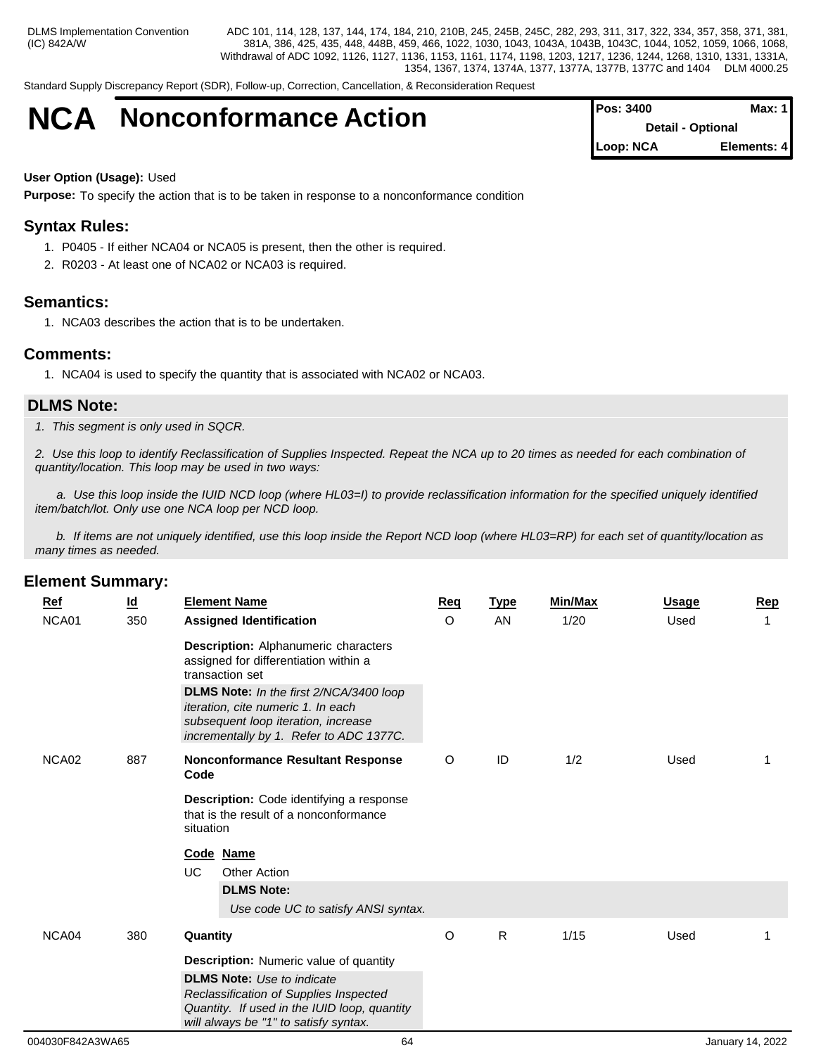Standard Supply Discrepancy Report (SDR), Follow-up, Correction, Cancellation, & Reconsideration Request

# **NCA** Nonconformance Action

| <b>Pos: 3400</b> | Max: $1$                 |
|------------------|--------------------------|
|                  | <b>Detail - Optional</b> |
| Loop: NCA        | Elements: 4              |

### **User Option (Usage):** Used

**Purpose:** To specify the action that is to be taken in response to a nonconformance condition

# **Syntax Rules:**

- 1. P0405 If either NCA04 or NCA05 is present, then the other is required.
- 2. R0203 At least one of NCA02 or NCA03 is required.

### **Semantics:**

1. NCA03 describes the action that is to be undertaken.

### **Comments:**

1. NCA04 is used to specify the quantity that is associated with NCA02 or NCA03.

# **DLMS Note:**

*1. This segment is only used in SQCR.*

*2. Use this loop to identify Reclassification of Supplies Inspected. Repeat the NCA up to 20 times as needed for each combination of quantity/location. This loop may be used in two ways:*

 *a. Use this loop inside the IUID NCD loop (where HL03=I) to provide reclassification information for the specified uniquely identified item/batch/lot. Only use one NCA loop per NCD loop.*

 *b. If items are not uniquely identified, use this loop inside the Report NCD loop (where HL03=RP) for each set of quantity/location as many times as needed.*

| <b>Ref</b> | <u>ld</u> | <b>Element Name</b>                                                                                                                                                                                                                                                                                          |                                                                                        | <b>Req</b> | <b>Type</b>  | Min/Max | <b>Usage</b> | Rep |
|------------|-----------|--------------------------------------------------------------------------------------------------------------------------------------------------------------------------------------------------------------------------------------------------------------------------------------------------------------|----------------------------------------------------------------------------------------|------------|--------------|---------|--------------|-----|
| NCA01      | 350       | <b>Assigned Identification</b><br><b>Description:</b> Alphanumeric characters<br>assigned for differentiation within a<br>transaction set<br>DLMS Note: In the first 2/NCA/3400 loop<br>iteration, cite numeric 1. In each<br>subsequent loop iteration, increase<br>incrementally by 1. Refer to ADC 1377C. |                                                                                        | O          | AN           | 1/20    | Used         | 1   |
|            |           |                                                                                                                                                                                                                                                                                                              |                                                                                        |            |              |         |              |     |
|            |           |                                                                                                                                                                                                                                                                                                              |                                                                                        |            |              |         |              |     |
| NCA02      | 887       | Code                                                                                                                                                                                                                                                                                                         | <b>Nonconformance Resultant Response</b>                                               | O          | ID           | 1/2     | Used         |     |
|            |           | Description: Code identifying a response<br>that is the result of a nonconformance<br>situation                                                                                                                                                                                                              |                                                                                        |            |              |         |              |     |
|            |           | Code<br><b>Name</b><br><b>UC</b><br><b>Other Action</b>                                                                                                                                                                                                                                                      |                                                                                        |            |              |         |              |     |
|            |           | <b>DLMS Note:</b>                                                                                                                                                                                                                                                                                            |                                                                                        |            |              |         |              |     |
|            |           |                                                                                                                                                                                                                                                                                                              | Use code UC to satisfy ANSI syntax.                                                    |            |              |         |              |     |
| NCA04      | 380       | Quantity<br><b>Description:</b> Numeric value of quantity                                                                                                                                                                                                                                                    |                                                                                        | $\circ$    | $\mathsf{R}$ | $1/15$  | Used         |     |
|            |           |                                                                                                                                                                                                                                                                                                              |                                                                                        |            |              |         |              |     |
|            |           | <b>DLMS Note:</b> Use to indicate<br>will always be "1" to satisfy syntax.                                                                                                                                                                                                                                   | Reclassification of Supplies Inspected<br>Quantity. If used in the IUID loop, quantity |            |              |         |              |     |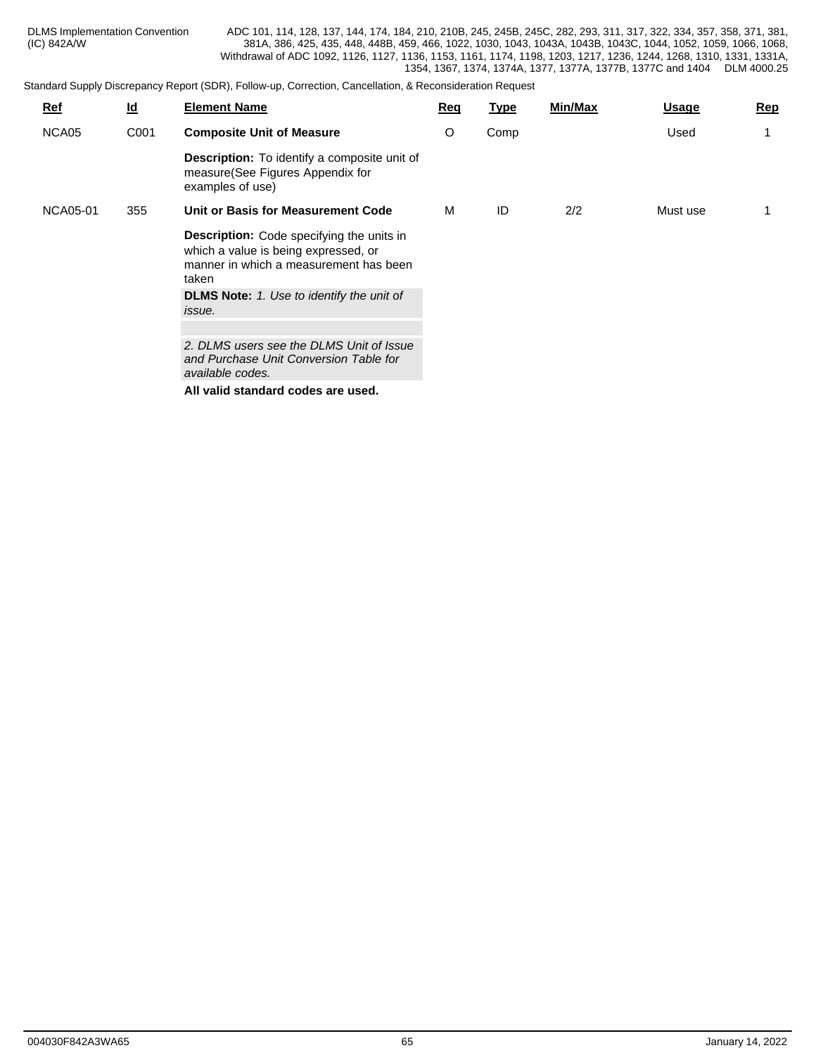| Ref             | $\underline{\mathsf{Id}}$ | <b>Element Name</b>                                                                                                                                                                                       | Req | <u>Type</u> | <b>Min/Max</b> | Usage    | Rep |
|-----------------|---------------------------|-----------------------------------------------------------------------------------------------------------------------------------------------------------------------------------------------------------|-----|-------------|----------------|----------|-----|
| NCA05           | C001                      | <b>Composite Unit of Measure</b>                                                                                                                                                                          | O   | Comp        |                | Used     |     |
|                 |                           | <b>Description:</b> To identify a composite unit of<br>measure (See Figures Appendix for<br>examples of use)                                                                                              |     |             |                |          |     |
| <b>NCA05-01</b> | 355                       | Unit or Basis for Measurement Code                                                                                                                                                                        | M   | ID          | 2/2            | Must use |     |
|                 |                           | Description: Code specifying the units in<br>which a value is being expressed, or<br>manner in which a measurement has been<br>taken<br><b>DLMS Note:</b> 1. Use to identify the unit of<br><i>issue.</i> |     |             |                |          |     |
|                 |                           |                                                                                                                                                                                                           |     |             |                |          |     |
|                 |                           | 2. DLMS users see the DLMS Unit of Issue<br>and Purchase Unit Conversion Table for<br>available codes.                                                                                                    |     |             |                |          |     |
|                 |                           | All valid standard codes are used.                                                                                                                                                                        |     |             |                |          |     |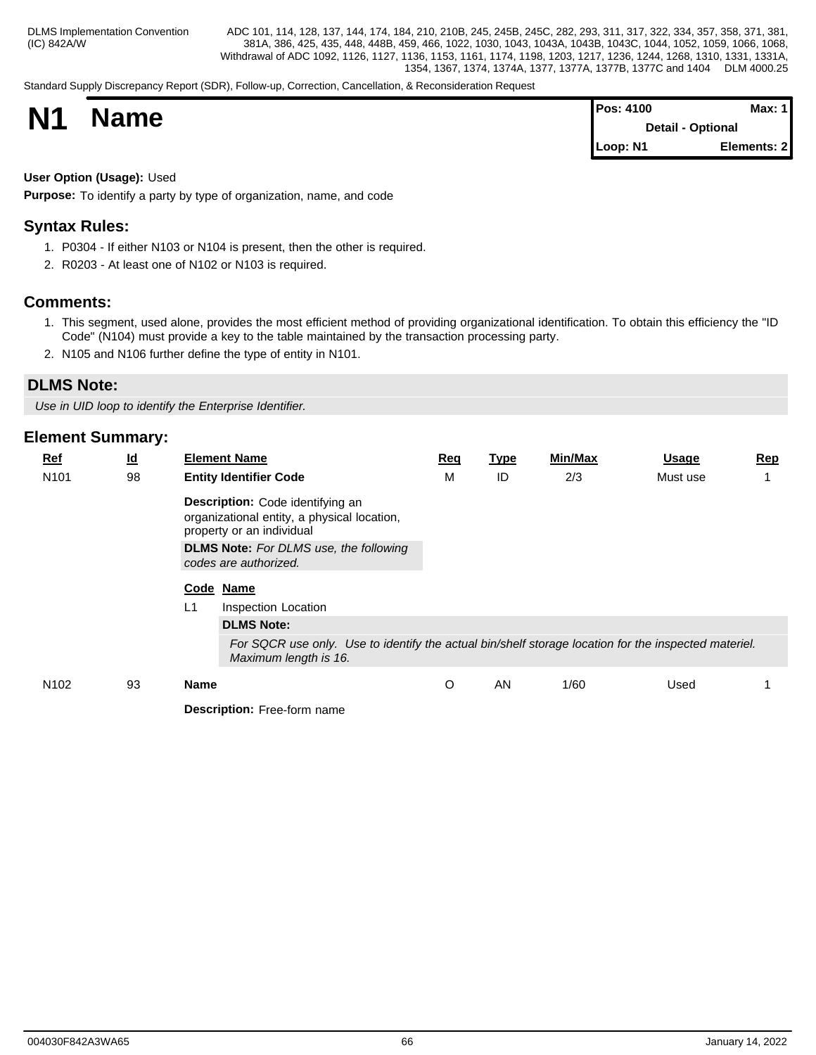Standard Supply Discrepancy Report (SDR), Follow-up, Correction, Cancellation, & Reconsideration Request

| <b>N1</b> | <b>Name</b> | Pos: 4100                | <b>Max: 1</b> |  |
|-----------|-------------|--------------------------|---------------|--|
|           |             | <b>Detail - Optional</b> |               |  |
|           |             | Loop: N1                 | Elements: 2   |  |

### **User Option (Usage):** Used

**Purpose:** To identify a party by type of organization, name, and code

# **Syntax Rules:**

- 1. P0304 If either N103 or N104 is present, then the other is required.
- 2. R0203 At least one of N102 or N103 is required.

# **Comments:**

- 1. This segment, used alone, provides the most efficient method of providing organizational identification. To obtain this efficiency the "ID Code" (N104) must provide a key to the table maintained by the transaction processing party.
- 2. N105 and N106 further define the type of entity in N101.

# **DLMS Note:**

*Use in UID loop to identify the Enterprise Identifier.*

| $Ref$            | <u>ld</u> | <b>Element Name</b>                                                                                 |                                                                                                                               | Req | <b>Type</b> | Min/Max | <u>Usage</u> | Rep |
|------------------|-----------|-----------------------------------------------------------------------------------------------------|-------------------------------------------------------------------------------------------------------------------------------|-----|-------------|---------|--------------|-----|
| N <sub>101</sub> | 98        | <b>Entity Identifier Code</b>                                                                       |                                                                                                                               | M   | ID          | 2/3     | Must use     |     |
|                  |           | Description: Code identifying an<br>property or an individual<br>codes are authorized.<br>Code Name | organizational entity, a physical location,<br><b>DLMS Note:</b> For DLMS use, the following                                  |     |             |         |              |     |
|                  | L1        |                                                                                                     | Inspection Location                                                                                                           |     |             |         |              |     |
|                  |           | <b>DLMS Note:</b>                                                                                   |                                                                                                                               |     |             |         |              |     |
|                  |           |                                                                                                     | For SQCR use only. Use to identify the actual bin/shelf storage location for the inspected materiel.<br>Maximum length is 16. |     |             |         |              |     |
| N <sub>102</sub> | 93        | Name                                                                                                |                                                                                                                               | O   | AN          | 1/60    | Used         |     |
|                  |           | <b>Description:</b> Free-form name                                                                  |                                                                                                                               |     |             |         |              |     |